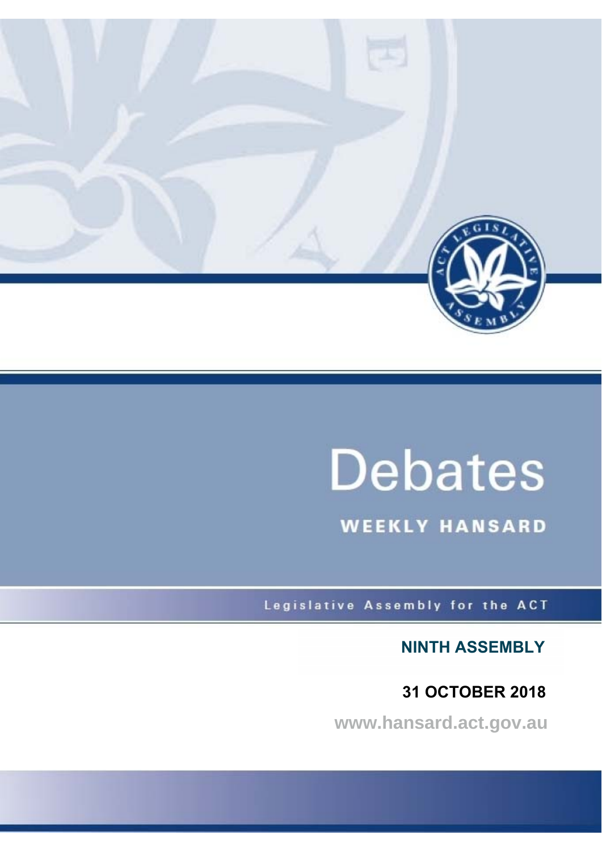

# **Debates**

**WEEKLY HANSARD** 

Legislative Assembly for the ACT

**NINTH ASSEMBLY**

 **31 OCTOBER 2018**

**www.hansard.act.gov.au**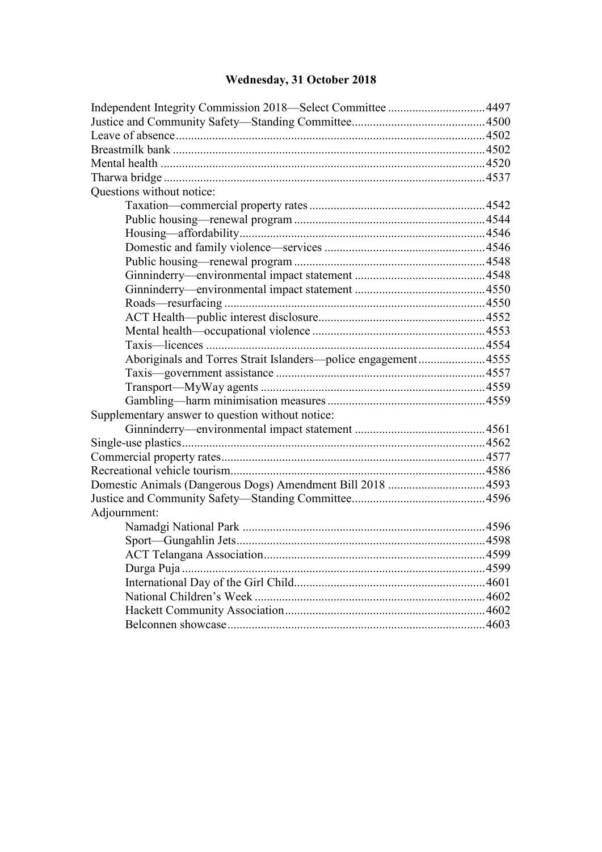## **[Wednesday, 31 October 2018](#page-2-0)**

| Questions without notice:                                     |  |
|---------------------------------------------------------------|--|
|                                                               |  |
|                                                               |  |
|                                                               |  |
|                                                               |  |
|                                                               |  |
|                                                               |  |
|                                                               |  |
|                                                               |  |
|                                                               |  |
|                                                               |  |
|                                                               |  |
| Aboriginals and Torres Strait Islanders—police engagement4555 |  |
|                                                               |  |
|                                                               |  |
|                                                               |  |
| Supplementary answer to question without notice:              |  |
|                                                               |  |
|                                                               |  |
|                                                               |  |
|                                                               |  |
|                                                               |  |
|                                                               |  |
| Adjournment:                                                  |  |
|                                                               |  |
|                                                               |  |
|                                                               |  |
| Durga Puja                                                    |  |
|                                                               |  |
|                                                               |  |
|                                                               |  |
|                                                               |  |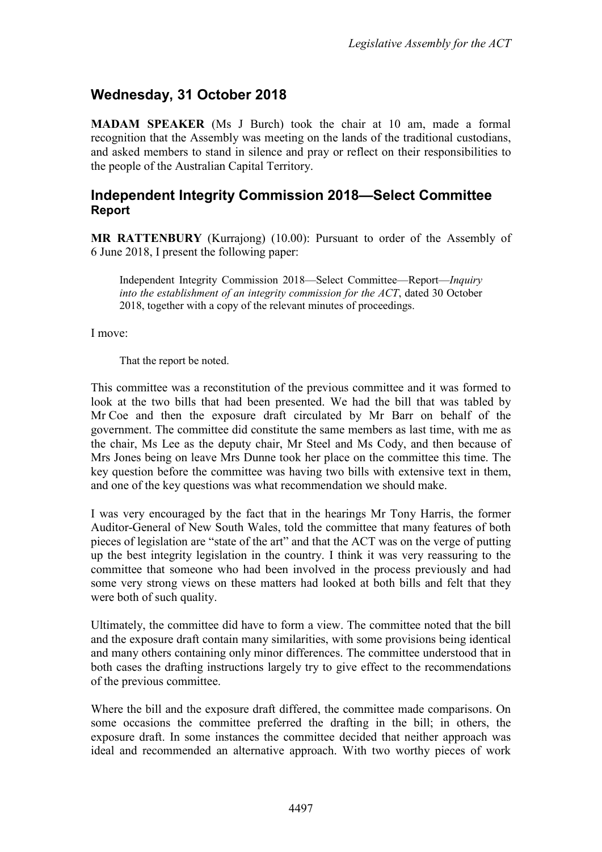### <span id="page-2-0"></span>**Wednesday, 31 October 2018**

**MADAM SPEAKER** (Ms J Burch) took the chair at 10 am, made a formal recognition that the Assembly was meeting on the lands of the traditional custodians, and asked members to stand in silence and pray or reflect on their responsibilities to the people of the Australian Capital Territory.

#### <span id="page-2-1"></span>**Independent Integrity Commission 2018—Select Committee Report**

**MR RATTENBURY** (Kurrajong) (10.00): Pursuant to order of the Assembly of 6 June 2018, I present the following paper:

Independent Integrity Commission 2018—Select Committee—Report—*Inquiry into the establishment of an integrity commission for the ACT*, dated 30 October 2018, together with a copy of the relevant minutes of proceedings.

I move:

That the report be noted.

This committee was a reconstitution of the previous committee and it was formed to look at the two bills that had been presented. We had the bill that was tabled by Mr Coe and then the exposure draft circulated by Mr Barr on behalf of the government. The committee did constitute the same members as last time, with me as the chair, Ms Lee as the deputy chair, Mr Steel and Ms Cody, and then because of Mrs Jones being on leave Mrs Dunne took her place on the committee this time. The key question before the committee was having two bills with extensive text in them, and one of the key questions was what recommendation we should make.

I was very encouraged by the fact that in the hearings Mr Tony Harris, the former Auditor-General of New South Wales, told the committee that many features of both pieces of legislation are "state of the art" and that the ACT was on the verge of putting up the best integrity legislation in the country. I think it was very reassuring to the committee that someone who had been involved in the process previously and had some very strong views on these matters had looked at both bills and felt that they were both of such quality.

Ultimately, the committee did have to form a view. The committee noted that the bill and the exposure draft contain many similarities, with some provisions being identical and many others containing only minor differences. The committee understood that in both cases the drafting instructions largely try to give effect to the recommendations of the previous committee.

Where the bill and the exposure draft differed, the committee made comparisons. On some occasions the committee preferred the drafting in the bill; in others, the exposure draft. In some instances the committee decided that neither approach was ideal and recommended an alternative approach. With two worthy pieces of work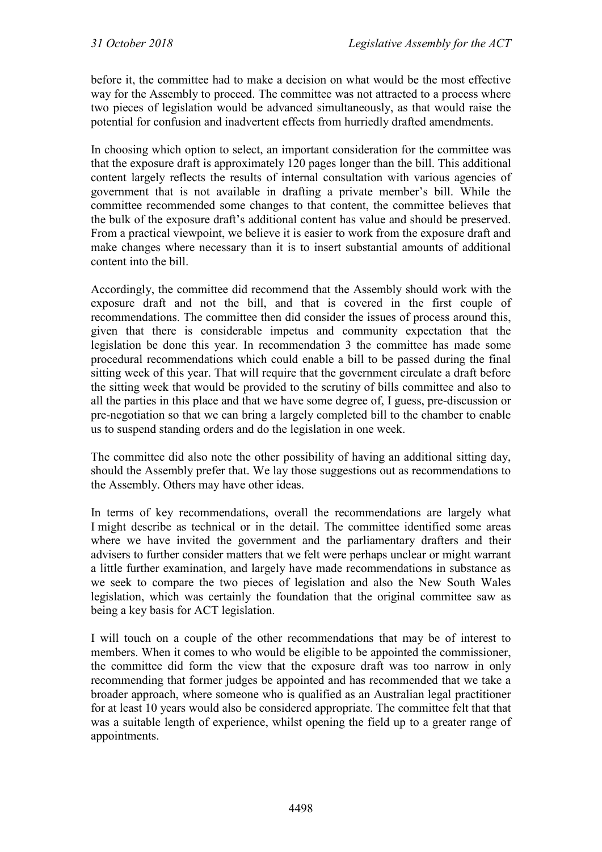before it, the committee had to make a decision on what would be the most effective way for the Assembly to proceed. The committee was not attracted to a process where two pieces of legislation would be advanced simultaneously, as that would raise the potential for confusion and inadvertent effects from hurriedly drafted amendments.

In choosing which option to select, an important consideration for the committee was that the exposure draft is approximately 120 pages longer than the bill. This additional content largely reflects the results of internal consultation with various agencies of government that is not available in drafting a private member's bill. While the committee recommended some changes to that content, the committee believes that the bulk of the exposure draft's additional content has value and should be preserved. From a practical viewpoint, we believe it is easier to work from the exposure draft and make changes where necessary than it is to insert substantial amounts of additional content into the bill.

Accordingly, the committee did recommend that the Assembly should work with the exposure draft and not the bill, and that is covered in the first couple of recommendations. The committee then did consider the issues of process around this, given that there is considerable impetus and community expectation that the legislation be done this year. In recommendation 3 the committee has made some procedural recommendations which could enable a bill to be passed during the final sitting week of this year. That will require that the government circulate a draft before the sitting week that would be provided to the scrutiny of bills committee and also to all the parties in this place and that we have some degree of, I guess, pre-discussion or pre-negotiation so that we can bring a largely completed bill to the chamber to enable us to suspend standing orders and do the legislation in one week.

The committee did also note the other possibility of having an additional sitting day, should the Assembly prefer that. We lay those suggestions out as recommendations to the Assembly. Others may have other ideas.

In terms of key recommendations, overall the recommendations are largely what I might describe as technical or in the detail. The committee identified some areas where we have invited the government and the parliamentary drafters and their advisers to further consider matters that we felt were perhaps unclear or might warrant a little further examination, and largely have made recommendations in substance as we seek to compare the two pieces of legislation and also the New South Wales legislation, which was certainly the foundation that the original committee saw as being a key basis for ACT legislation.

I will touch on a couple of the other recommendations that may be of interest to members. When it comes to who would be eligible to be appointed the commissioner, the committee did form the view that the exposure draft was too narrow in only recommending that former judges be appointed and has recommended that we take a broader approach, where someone who is qualified as an Australian legal practitioner for at least 10 years would also be considered appropriate. The committee felt that that was a suitable length of experience, whilst opening the field up to a greater range of appointments.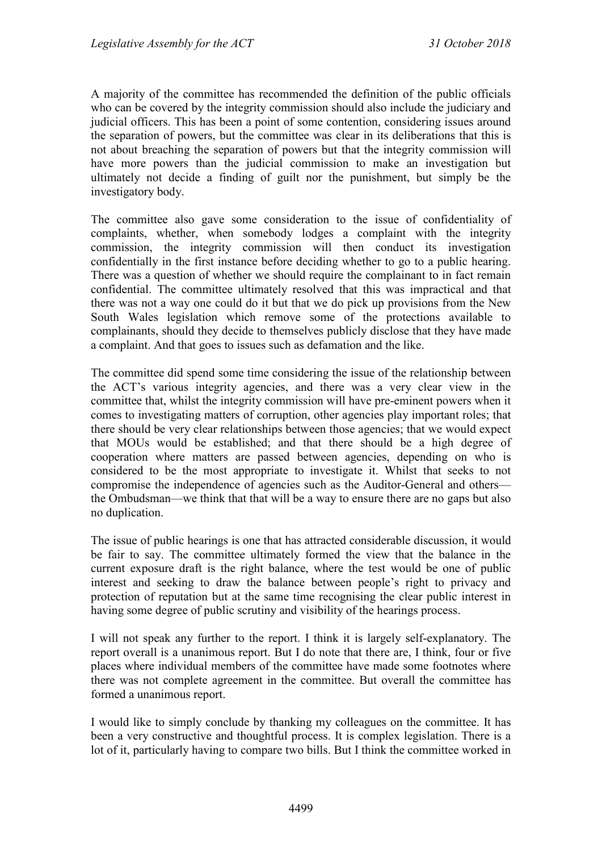A majority of the committee has recommended the definition of the public officials who can be covered by the integrity commission should also include the judiciary and judicial officers. This has been a point of some contention, considering issues around the separation of powers, but the committee was clear in its deliberations that this is not about breaching the separation of powers but that the integrity commission will have more powers than the judicial commission to make an investigation but ultimately not decide a finding of guilt nor the punishment, but simply be the investigatory body.

The committee also gave some consideration to the issue of confidentiality of complaints, whether, when somebody lodges a complaint with the integrity commission, the integrity commission will then conduct its investigation confidentially in the first instance before deciding whether to go to a public hearing. There was a question of whether we should require the complainant to in fact remain confidential. The committee ultimately resolved that this was impractical and that there was not a way one could do it but that we do pick up provisions from the New South Wales legislation which remove some of the protections available to complainants, should they decide to themselves publicly disclose that they have made a complaint. And that goes to issues such as defamation and the like.

The committee did spend some time considering the issue of the relationship between the ACT's various integrity agencies, and there was a very clear view in the committee that, whilst the integrity commission will have pre-eminent powers when it comes to investigating matters of corruption, other agencies play important roles; that there should be very clear relationships between those agencies; that we would expect that MOUs would be established; and that there should be a high degree of cooperation where matters are passed between agencies, depending on who is considered to be the most appropriate to investigate it. Whilst that seeks to not compromise the independence of agencies such as the Auditor-General and others the Ombudsman—we think that that will be a way to ensure there are no gaps but also no duplication.

The issue of public hearings is one that has attracted considerable discussion, it would be fair to say. The committee ultimately formed the view that the balance in the current exposure draft is the right balance, where the test would be one of public interest and seeking to draw the balance between people's right to privacy and protection of reputation but at the same time recognising the clear public interest in having some degree of public scrutiny and visibility of the hearings process.

I will not speak any further to the report. I think it is largely self-explanatory. The report overall is a unanimous report. But I do note that there are, I think, four or five places where individual members of the committee have made some footnotes where there was not complete agreement in the committee. But overall the committee has formed a unanimous report.

I would like to simply conclude by thanking my colleagues on the committee. It has been a very constructive and thoughtful process. It is complex legislation. There is a lot of it, particularly having to compare two bills. But I think the committee worked in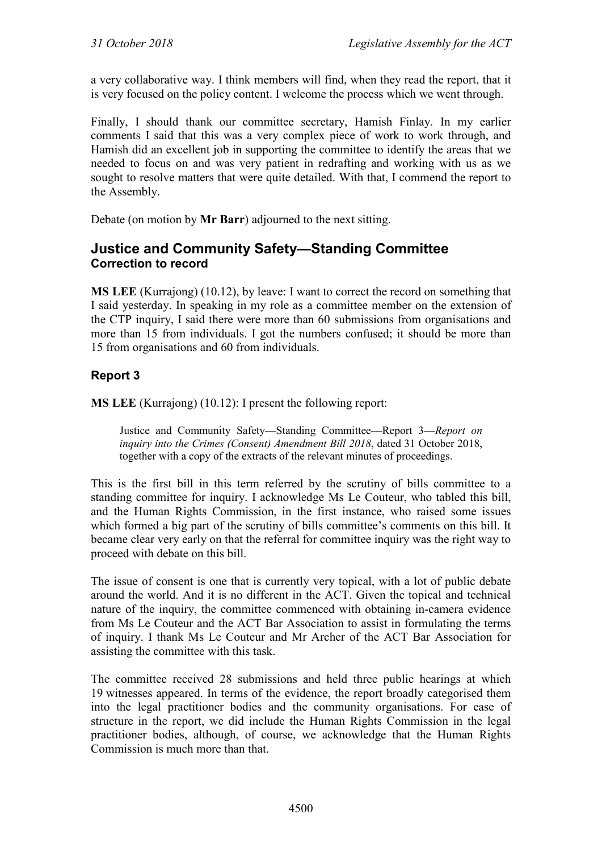a very collaborative way. I think members will find, when they read the report, that it is very focused on the policy content. I welcome the process which we went through.

Finally, I should thank our committee secretary, Hamish Finlay. In my earlier comments I said that this was a very complex piece of work to work through, and Hamish did an excellent job in supporting the committee to identify the areas that we needed to focus on and was very patient in redrafting and working with us as we sought to resolve matters that were quite detailed. With that, I commend the report to the Assembly.

Debate (on motion by **Mr Barr**) adjourned to the next sitting.

#### <span id="page-5-0"></span>**Justice and Community Safety—Standing Committee Correction to record**

**MS LEE** (Kurrajong) (10.12), by leave: I want to correct the record on something that I said yesterday. In speaking in my role as a committee member on the extension of the CTP inquiry, I said there were more than 60 submissions from organisations and more than 15 from individuals. I got the numbers confused; it should be more than 15 from organisations and 60 from individuals.

#### **Report 3**

**MS LEE** (Kurrajong) (10.12): I present the following report:

Justice and Community Safety—Standing Committee—Report 3—*Report on inquiry into the Crimes (Consent) Amendment Bill 2018*, dated 31 October 2018, together with a copy of the extracts of the relevant minutes of proceedings.

This is the first bill in this term referred by the scrutiny of bills committee to a standing committee for inquiry. I acknowledge Ms Le Couteur, who tabled this bill, and the Human Rights Commission, in the first instance, who raised some issues which formed a big part of the scrutiny of bills committee's comments on this bill. It became clear very early on that the referral for committee inquiry was the right way to proceed with debate on this bill.

The issue of consent is one that is currently very topical, with a lot of public debate around the world. And it is no different in the ACT. Given the topical and technical nature of the inquiry, the committee commenced with obtaining in-camera evidence from Ms Le Couteur and the ACT Bar Association to assist in formulating the terms of inquiry. I thank Ms Le Couteur and Mr Archer of the ACT Bar Association for assisting the committee with this task.

The committee received 28 submissions and held three public hearings at which 19 witnesses appeared. In terms of the evidence, the report broadly categorised them into the legal practitioner bodies and the community organisations. For ease of structure in the report, we did include the Human Rights Commission in the legal practitioner bodies, although, of course, we acknowledge that the Human Rights Commission is much more than that.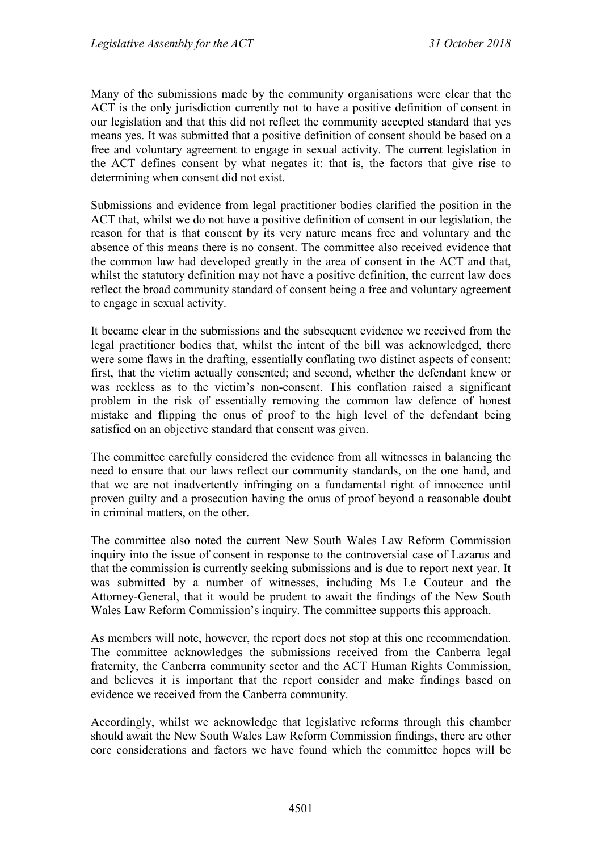Many of the submissions made by the community organisations were clear that the ACT is the only jurisdiction currently not to have a positive definition of consent in our legislation and that this did not reflect the community accepted standard that yes means yes. It was submitted that a positive definition of consent should be based on a free and voluntary agreement to engage in sexual activity. The current legislation in the ACT defines consent by what negates it: that is, the factors that give rise to determining when consent did not exist.

Submissions and evidence from legal practitioner bodies clarified the position in the ACT that, whilst we do not have a positive definition of consent in our legislation, the reason for that is that consent by its very nature means free and voluntary and the absence of this means there is no consent. The committee also received evidence that the common law had developed greatly in the area of consent in the ACT and that, whilst the statutory definition may not have a positive definition, the current law does reflect the broad community standard of consent being a free and voluntary agreement to engage in sexual activity.

It became clear in the submissions and the subsequent evidence we received from the legal practitioner bodies that, whilst the intent of the bill was acknowledged, there were some flaws in the drafting, essentially conflating two distinct aspects of consent: first, that the victim actually consented; and second, whether the defendant knew or was reckless as to the victim's non-consent. This conflation raised a significant problem in the risk of essentially removing the common law defence of honest mistake and flipping the onus of proof to the high level of the defendant being satisfied on an objective standard that consent was given.

The committee carefully considered the evidence from all witnesses in balancing the need to ensure that our laws reflect our community standards, on the one hand, and that we are not inadvertently infringing on a fundamental right of innocence until proven guilty and a prosecution having the onus of proof beyond a reasonable doubt in criminal matters, on the other.

The committee also noted the current New South Wales Law Reform Commission inquiry into the issue of consent in response to the controversial case of Lazarus and that the commission is currently seeking submissions and is due to report next year. It was submitted by a number of witnesses, including Ms Le Couteur and the Attorney-General, that it would be prudent to await the findings of the New South Wales Law Reform Commission's inquiry. The committee supports this approach.

As members will note, however, the report does not stop at this one recommendation. The committee acknowledges the submissions received from the Canberra legal fraternity, the Canberra community sector and the ACT Human Rights Commission, and believes it is important that the report consider and make findings based on evidence we received from the Canberra community.

Accordingly, whilst we acknowledge that legislative reforms through this chamber should await the New South Wales Law Reform Commission findings, there are other core considerations and factors we have found which the committee hopes will be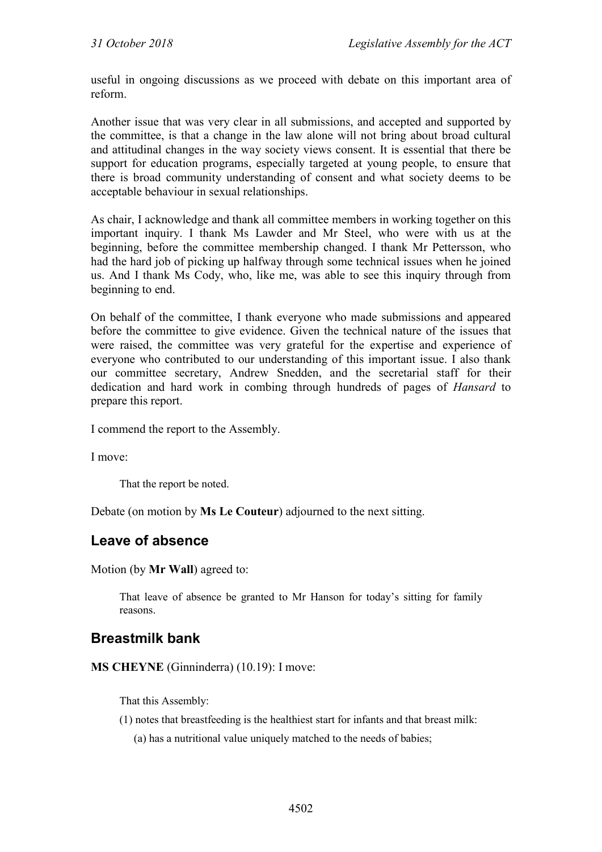useful in ongoing discussions as we proceed with debate on this important area of reform.

Another issue that was very clear in all submissions, and accepted and supported by the committee, is that a change in the law alone will not bring about broad cultural and attitudinal changes in the way society views consent. It is essential that there be support for education programs, especially targeted at young people, to ensure that there is broad community understanding of consent and what society deems to be acceptable behaviour in sexual relationships.

As chair, I acknowledge and thank all committee members in working together on this important inquiry. I thank Ms Lawder and Mr Steel, who were with us at the beginning, before the committee membership changed. I thank Mr Pettersson, who had the hard job of picking up halfway through some technical issues when he joined us. And I thank Ms Cody, who, like me, was able to see this inquiry through from beginning to end.

On behalf of the committee, I thank everyone who made submissions and appeared before the committee to give evidence. Given the technical nature of the issues that were raised, the committee was very grateful for the expertise and experience of everyone who contributed to our understanding of this important issue. I also thank our committee secretary, Andrew Snedden, and the secretarial staff for their dedication and hard work in combing through hundreds of pages of *Hansard* to prepare this report.

I commend the report to the Assembly.

I move:

That the report be noted.

Debate (on motion by **Ms Le Couteur**) adjourned to the next sitting.

### <span id="page-7-0"></span>**Leave of absence**

Motion (by **Mr Wall**) agreed to:

That leave of absence be granted to Mr Hanson for today's sitting for family reasons.

#### <span id="page-7-1"></span>**Breastmilk bank**

**MS CHEYNE** (Ginninderra) (10.19): I move:

That this Assembly:

- (1) notes that breastfeeding is the healthiest start for infants and that breast milk:
	- (a) has a nutritional value uniquely matched to the needs of babies;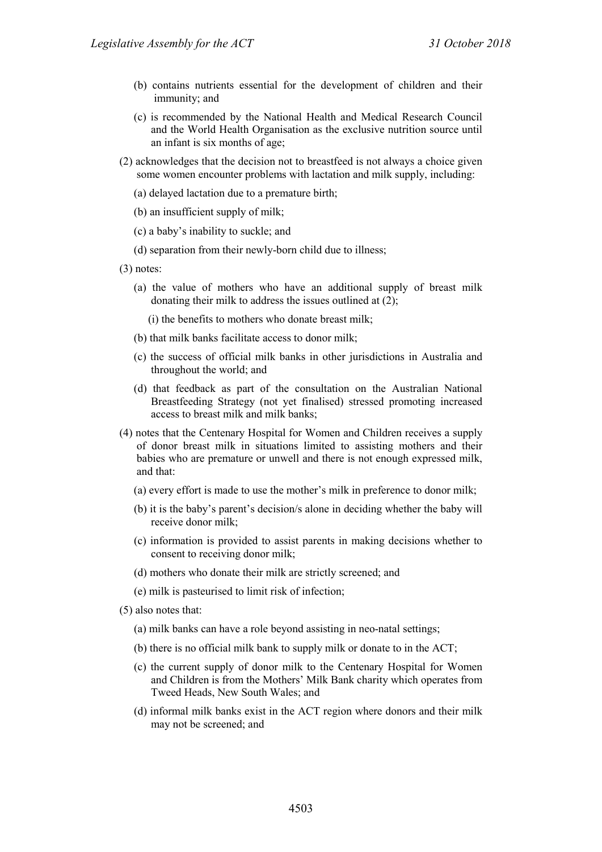- (b) contains nutrients essential for the development of children and their immunity; and
- (c) is recommended by the National Health and Medical Research Council and the World Health Organisation as the exclusive nutrition source until an infant is six months of age;
- (2) acknowledges that the decision not to breastfeed is not always a choice given some women encounter problems with lactation and milk supply, including:
	- (a) delayed lactation due to a premature birth;
	- (b) an insufficient supply of milk;
	- (c) a baby's inability to suckle; and
	- (d) separation from their newly-born child due to illness;
- (3) notes:
	- (a) the value of mothers who have an additional supply of breast milk donating their milk to address the issues outlined at (2);

(i) the benefits to mothers who donate breast milk;

- (b) that milk banks facilitate access to donor milk;
- (c) the success of official milk banks in other jurisdictions in Australia and throughout the world; and
- (d) that feedback as part of the consultation on the Australian National Breastfeeding Strategy (not yet finalised) stressed promoting increased access to breast milk and milk banks;
- (4) notes that the Centenary Hospital for Women and Children receives a supply of donor breast milk in situations limited to assisting mothers and their babies who are premature or unwell and there is not enough expressed milk, and that:
	- (a) every effort is made to use the mother's milk in preference to donor milk;
	- (b) it is the baby's parent's decision/s alone in deciding whether the baby will receive donor milk;
	- (c) information is provided to assist parents in making decisions whether to consent to receiving donor milk;
	- (d) mothers who donate their milk are strictly screened; and
	- (e) milk is pasteurised to limit risk of infection;
- (5) also notes that:
	- (a) milk banks can have a role beyond assisting in neo-natal settings;
	- (b) there is no official milk bank to supply milk or donate to in the ACT;
	- (c) the current supply of donor milk to the Centenary Hospital for Women and Children is from the Mothers' Milk Bank charity which operates from Tweed Heads, New South Wales; and
	- (d) informal milk banks exist in the ACT region where donors and their milk may not be screened; and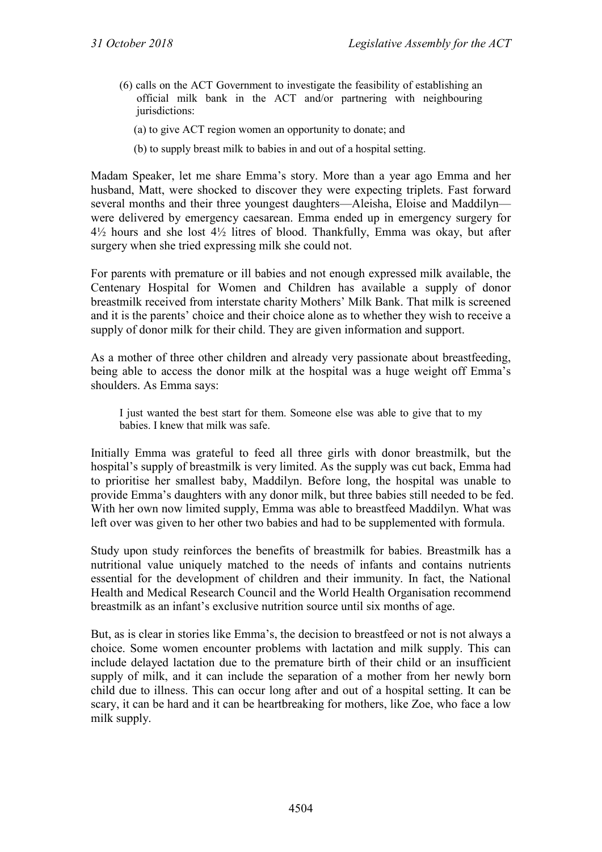- (6) calls on the ACT Government to investigate the feasibility of establishing an official milk bank in the ACT and/or partnering with neighbouring jurisdictions:
	- (a) to give ACT region women an opportunity to donate; and
	- (b) to supply breast milk to babies in and out of a hospital setting.

Madam Speaker, let me share Emma's story. More than a year ago Emma and her husband, Matt, were shocked to discover they were expecting triplets. Fast forward several months and their three youngest daughters—Aleisha, Eloise and Maddilyn were delivered by emergency caesarean. Emma ended up in emergency surgery for 4½ hours and she lost 4½ litres of blood. Thankfully, Emma was okay, but after surgery when she tried expressing milk she could not.

For parents with premature or ill babies and not enough expressed milk available, the Centenary Hospital for Women and Children has available a supply of donor breastmilk received from interstate charity Mothers' Milk Bank. That milk is screened and it is the parents' choice and their choice alone as to whether they wish to receive a supply of donor milk for their child. They are given information and support.

As a mother of three other children and already very passionate about breastfeeding, being able to access the donor milk at the hospital was a huge weight off Emma's shoulders. As Emma says:

I just wanted the best start for them. Someone else was able to give that to my babies. I knew that milk was safe.

Initially Emma was grateful to feed all three girls with donor breastmilk, but the hospital's supply of breastmilk is very limited. As the supply was cut back, Emma had to prioritise her smallest baby, Maddilyn. Before long, the hospital was unable to provide Emma's daughters with any donor milk, but three babies still needed to be fed. With her own now limited supply, Emma was able to breastfeed Maddilyn. What was left over was given to her other two babies and had to be supplemented with formula.

Study upon study reinforces the benefits of breastmilk for babies. Breastmilk has a nutritional value uniquely matched to the needs of infants and contains nutrients essential for the development of children and their immunity. In fact, the National Health and Medical Research Council and the World Health Organisation recommend breastmilk as an infant's exclusive nutrition source until six months of age.

But, as is clear in stories like Emma's, the decision to breastfeed or not is not always a choice. Some women encounter problems with lactation and milk supply. This can include delayed lactation due to the premature birth of their child or an insufficient supply of milk, and it can include the separation of a mother from her newly born child due to illness. This can occur long after and out of a hospital setting. It can be scary, it can be hard and it can be heartbreaking for mothers, like Zoe, who face a low milk supply.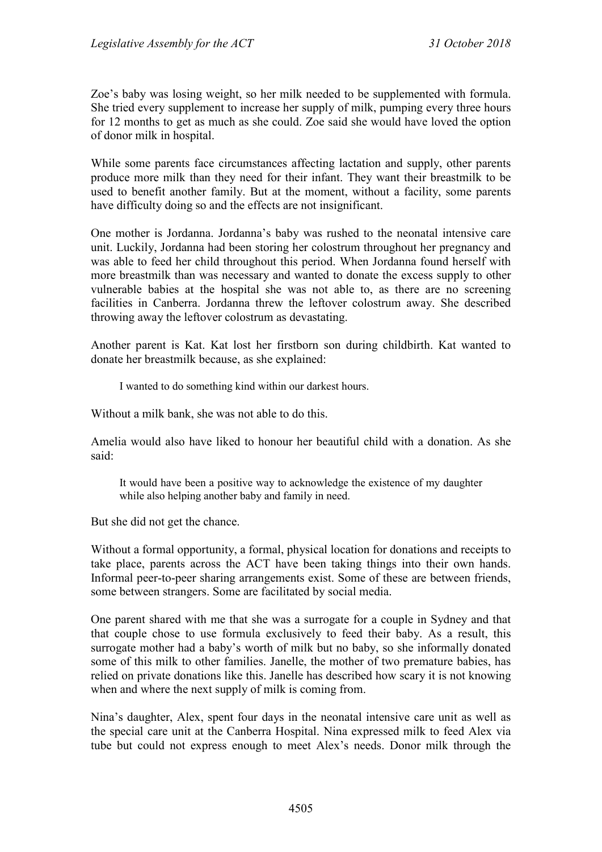Zoe's baby was losing weight, so her milk needed to be supplemented with formula. She tried every supplement to increase her supply of milk, pumping every three hours for 12 months to get as much as she could. Zoe said she would have loved the option of donor milk in hospital.

While some parents face circumstances affecting lactation and supply, other parents produce more milk than they need for their infant. They want their breastmilk to be used to benefit another family. But at the moment, without a facility, some parents have difficulty doing so and the effects are not insignificant.

One mother is Jordanna. Jordanna's baby was rushed to the neonatal intensive care unit. Luckily, Jordanna had been storing her colostrum throughout her pregnancy and was able to feed her child throughout this period. When Jordanna found herself with more breastmilk than was necessary and wanted to donate the excess supply to other vulnerable babies at the hospital she was not able to, as there are no screening facilities in Canberra. Jordanna threw the leftover colostrum away. She described throwing away the leftover colostrum as devastating.

Another parent is Kat. Kat lost her firstborn son during childbirth. Kat wanted to donate her breastmilk because, as she explained:

I wanted to do something kind within our darkest hours.

Without a milk bank, she was not able to do this.

Amelia would also have liked to honour her beautiful child with a donation. As she said:

It would have been a positive way to acknowledge the existence of my daughter while also helping another baby and family in need.

But she did not get the chance.

Without a formal opportunity, a formal, physical location for donations and receipts to take place, parents across the ACT have been taking things into their own hands. Informal peer-to-peer sharing arrangements exist. Some of these are between friends, some between strangers. Some are facilitated by social media.

One parent shared with me that she was a surrogate for a couple in Sydney and that that couple chose to use formula exclusively to feed their baby. As a result, this surrogate mother had a baby's worth of milk but no baby, so she informally donated some of this milk to other families. Janelle, the mother of two premature babies, has relied on private donations like this. Janelle has described how scary it is not knowing when and where the next supply of milk is coming from.

Nina's daughter, Alex, spent four days in the neonatal intensive care unit as well as the special care unit at the Canberra Hospital. Nina expressed milk to feed Alex via tube but could not express enough to meet Alex's needs. Donor milk through the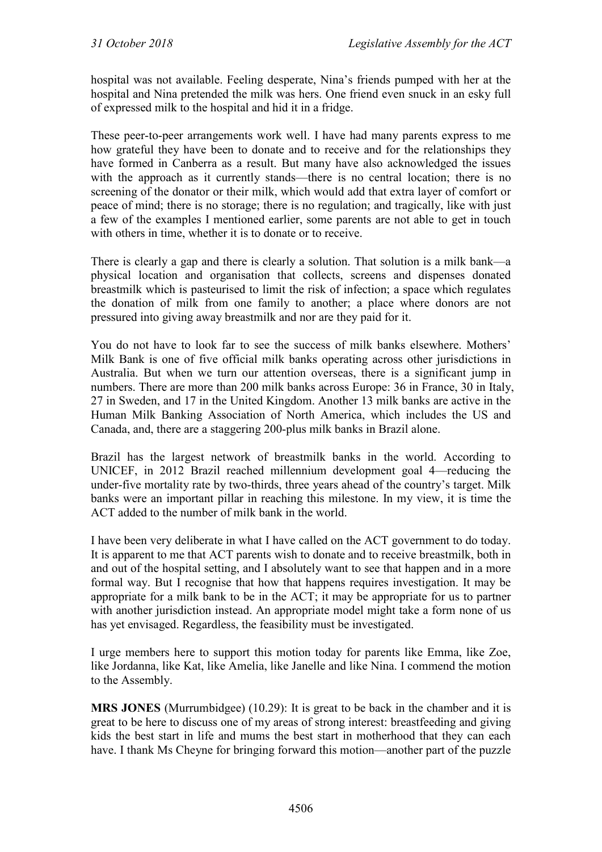hospital was not available. Feeling desperate, Nina's friends pumped with her at the hospital and Nina pretended the milk was hers. One friend even snuck in an esky full of expressed milk to the hospital and hid it in a fridge.

These peer-to-peer arrangements work well. I have had many parents express to me how grateful they have been to donate and to receive and for the relationships they have formed in Canberra as a result. But many have also acknowledged the issues with the approach as it currently stands—there is no central location; there is no screening of the donator or their milk, which would add that extra layer of comfort or peace of mind; there is no storage; there is no regulation; and tragically, like with just a few of the examples I mentioned earlier, some parents are not able to get in touch with others in time, whether it is to donate or to receive.

There is clearly a gap and there is clearly a solution. That solution is a milk bank—a physical location and organisation that collects, screens and dispenses donated breastmilk which is pasteurised to limit the risk of infection; a space which regulates the donation of milk from one family to another; a place where donors are not pressured into giving away breastmilk and nor are they paid for it.

You do not have to look far to see the success of milk banks elsewhere. Mothers' Milk Bank is one of five official milk banks operating across other jurisdictions in Australia. But when we turn our attention overseas, there is a significant jump in numbers. There are more than 200 milk banks across Europe: 36 in France, 30 in Italy, 27 in Sweden, and 17 in the United Kingdom. Another 13 milk banks are active in the Human Milk Banking Association of North America, which includes the US and Canada, and, there are a staggering 200-plus milk banks in Brazil alone.

Brazil has the largest network of breastmilk banks in the world. According to UNICEF, in 2012 Brazil reached millennium development goal 4—reducing the under-five mortality rate by two-thirds, three years ahead of the country's target. Milk banks were an important pillar in reaching this milestone. In my view, it is time the ACT added to the number of milk bank in the world.

I have been very deliberate in what I have called on the ACT government to do today. It is apparent to me that ACT parents wish to donate and to receive breastmilk, both in and out of the hospital setting, and I absolutely want to see that happen and in a more formal way. But I recognise that how that happens requires investigation. It may be appropriate for a milk bank to be in the ACT; it may be appropriate for us to partner with another jurisdiction instead. An appropriate model might take a form none of us has yet envisaged. Regardless, the feasibility must be investigated.

I urge members here to support this motion today for parents like Emma, like Zoe, like Jordanna, like Kat, like Amelia, like Janelle and like Nina. I commend the motion to the Assembly.

**MRS JONES** (Murrumbidgee) (10.29): It is great to be back in the chamber and it is great to be here to discuss one of my areas of strong interest: breastfeeding and giving kids the best start in life and mums the best start in motherhood that they can each have. I thank Ms Cheyne for bringing forward this motion—another part of the puzzle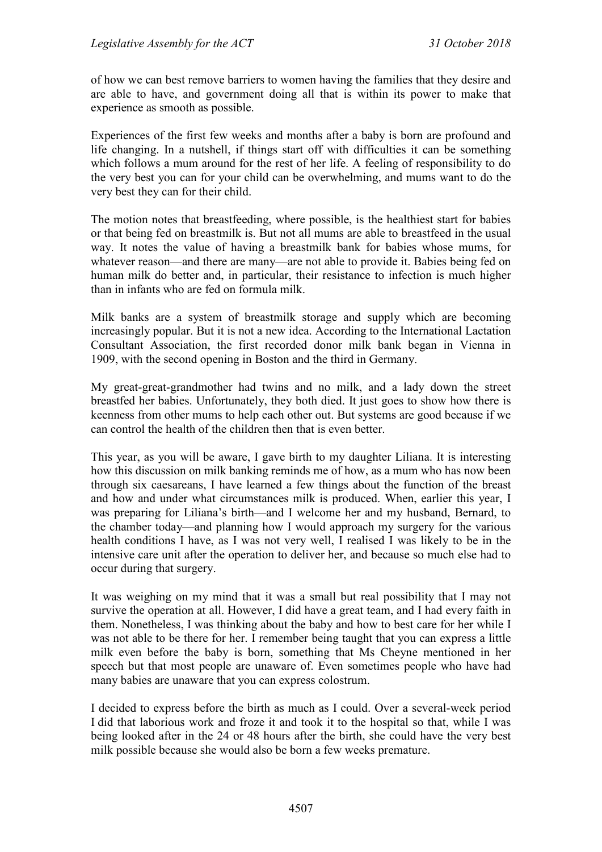of how we can best remove barriers to women having the families that they desire and are able to have, and government doing all that is within its power to make that experience as smooth as possible.

Experiences of the first few weeks and months after a baby is born are profound and life changing. In a nutshell, if things start off with difficulties it can be something which follows a mum around for the rest of her life. A feeling of responsibility to do the very best you can for your child can be overwhelming, and mums want to do the very best they can for their child.

The motion notes that breastfeeding, where possible, is the healthiest start for babies or that being fed on breastmilk is. But not all mums are able to breastfeed in the usual way. It notes the value of having a breastmilk bank for babies whose mums, for whatever reason—and there are many—are not able to provide it. Babies being fed on human milk do better and, in particular, their resistance to infection is much higher than in infants who are fed on formula milk.

Milk banks are a system of breastmilk storage and supply which are becoming increasingly popular. But it is not a new idea. According to the International Lactation Consultant Association, the first recorded donor milk bank began in Vienna in 1909, with the second opening in Boston and the third in Germany.

My great-great-grandmother had twins and no milk, and a lady down the street breastfed her babies. Unfortunately, they both died. It just goes to show how there is keenness from other mums to help each other out. But systems are good because if we can control the health of the children then that is even better.

This year, as you will be aware, I gave birth to my daughter Liliana. It is interesting how this discussion on milk banking reminds me of how, as a mum who has now been through six caesareans, I have learned a few things about the function of the breast and how and under what circumstances milk is produced. When, earlier this year, I was preparing for Liliana's birth—and I welcome her and my husband, Bernard, to the chamber today—and planning how I would approach my surgery for the various health conditions I have, as I was not very well, I realised I was likely to be in the intensive care unit after the operation to deliver her, and because so much else had to occur during that surgery.

It was weighing on my mind that it was a small but real possibility that I may not survive the operation at all. However, I did have a great team, and I had every faith in them. Nonetheless, I was thinking about the baby and how to best care for her while I was not able to be there for her. I remember being taught that you can express a little milk even before the baby is born, something that Ms Cheyne mentioned in her speech but that most people are unaware of. Even sometimes people who have had many babies are unaware that you can express colostrum.

I decided to express before the birth as much as I could. Over a several-week period I did that laborious work and froze it and took it to the hospital so that, while I was being looked after in the 24 or 48 hours after the birth, she could have the very best milk possible because she would also be born a few weeks premature.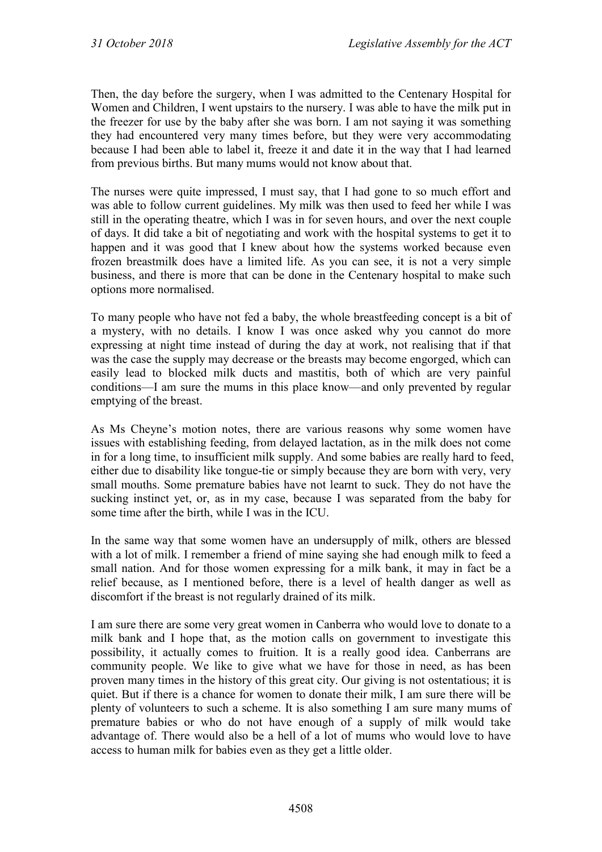Then, the day before the surgery, when I was admitted to the Centenary Hospital for Women and Children, I went upstairs to the nursery. I was able to have the milk put in the freezer for use by the baby after she was born. I am not saying it was something they had encountered very many times before, but they were very accommodating because I had been able to label it, freeze it and date it in the way that I had learned from previous births. But many mums would not know about that.

The nurses were quite impressed, I must say, that I had gone to so much effort and was able to follow current guidelines. My milk was then used to feed her while I was still in the operating theatre, which I was in for seven hours, and over the next couple of days. It did take a bit of negotiating and work with the hospital systems to get it to happen and it was good that I knew about how the systems worked because even frozen breastmilk does have a limited life. As you can see, it is not a very simple business, and there is more that can be done in the Centenary hospital to make such options more normalised.

To many people who have not fed a baby, the whole breastfeeding concept is a bit of a mystery, with no details. I know I was once asked why you cannot do more expressing at night time instead of during the day at work, not realising that if that was the case the supply may decrease or the breasts may become engorged, which can easily lead to blocked milk ducts and mastitis, both of which are very painful conditions—I am sure the mums in this place know—and only prevented by regular emptying of the breast.

As Ms Cheyne's motion notes, there are various reasons why some women have issues with establishing feeding, from delayed lactation, as in the milk does not come in for a long time, to insufficient milk supply. And some babies are really hard to feed, either due to disability like tongue-tie or simply because they are born with very, very small mouths. Some premature babies have not learnt to suck. They do not have the sucking instinct yet, or, as in my case, because I was separated from the baby for some time after the birth, while I was in the ICU.

In the same way that some women have an undersupply of milk, others are blessed with a lot of milk. I remember a friend of mine saying she had enough milk to feed a small nation. And for those women expressing for a milk bank, it may in fact be a relief because, as I mentioned before, there is a level of health danger as well as discomfort if the breast is not regularly drained of its milk.

I am sure there are some very great women in Canberra who would love to donate to a milk bank and I hope that, as the motion calls on government to investigate this possibility, it actually comes to fruition. It is a really good idea. Canberrans are community people. We like to give what we have for those in need, as has been proven many times in the history of this great city. Our giving is not ostentatious; it is quiet. But if there is a chance for women to donate their milk, I am sure there will be plenty of volunteers to such a scheme. It is also something I am sure many mums of premature babies or who do not have enough of a supply of milk would take advantage of. There would also be a hell of a lot of mums who would love to have access to human milk for babies even as they get a little older.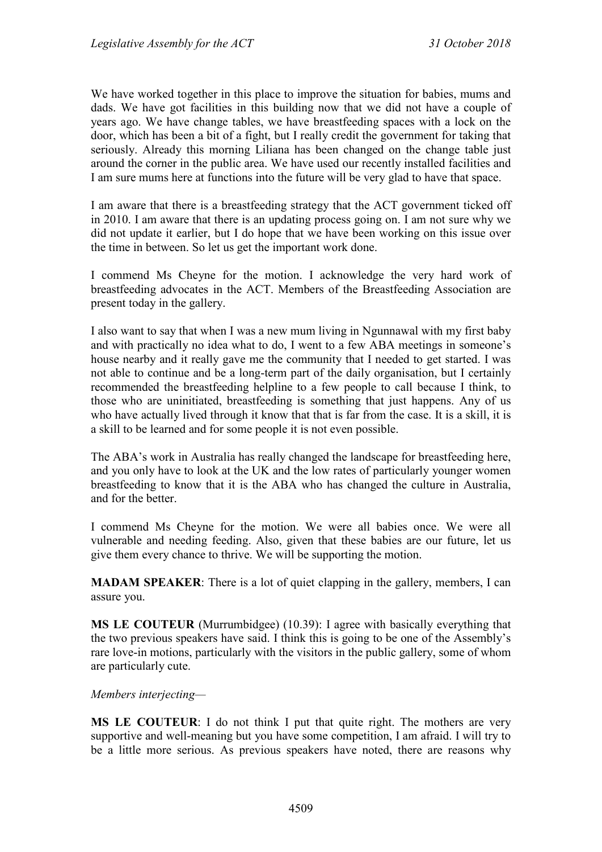We have worked together in this place to improve the situation for babies, mums and dads. We have got facilities in this building now that we did not have a couple of years ago. We have change tables, we have breastfeeding spaces with a lock on the door, which has been a bit of a fight, but I really credit the government for taking that seriously. Already this morning Liliana has been changed on the change table just around the corner in the public area. We have used our recently installed facilities and I am sure mums here at functions into the future will be very glad to have that space.

I am aware that there is a breastfeeding strategy that the ACT government ticked off in 2010. I am aware that there is an updating process going on. I am not sure why we did not update it earlier, but I do hope that we have been working on this issue over the time in between. So let us get the important work done.

I commend Ms Cheyne for the motion. I acknowledge the very hard work of breastfeeding advocates in the ACT. Members of the Breastfeeding Association are present today in the gallery.

I also want to say that when I was a new mum living in Ngunnawal with my first baby and with practically no idea what to do, I went to a few ABA meetings in someone's house nearby and it really gave me the community that I needed to get started. I was not able to continue and be a long-term part of the daily organisation, but I certainly recommended the breastfeeding helpline to a few people to call because I think, to those who are uninitiated, breastfeeding is something that just happens. Any of us who have actually lived through it know that that is far from the case. It is a skill, it is a skill to be learned and for some people it is not even possible.

The ABA's work in Australia has really changed the landscape for breastfeeding here, and you only have to look at the UK and the low rates of particularly younger women breastfeeding to know that it is the ABA who has changed the culture in Australia, and for the better.

I commend Ms Cheyne for the motion. We were all babies once. We were all vulnerable and needing feeding. Also, given that these babies are our future, let us give them every chance to thrive. We will be supporting the motion.

**MADAM SPEAKER**: There is a lot of quiet clapping in the gallery, members, I can assure you.

**MS LE COUTEUR** (Murrumbidgee) (10.39): I agree with basically everything that the two previous speakers have said. I think this is going to be one of the Assembly's rare love-in motions, particularly with the visitors in the public gallery, some of whom are particularly cute.

#### *Members interjecting—*

**MS LE COUTEUR**: I do not think I put that quite right. The mothers are very supportive and well-meaning but you have some competition, I am afraid. I will try to be a little more serious. As previous speakers have noted, there are reasons why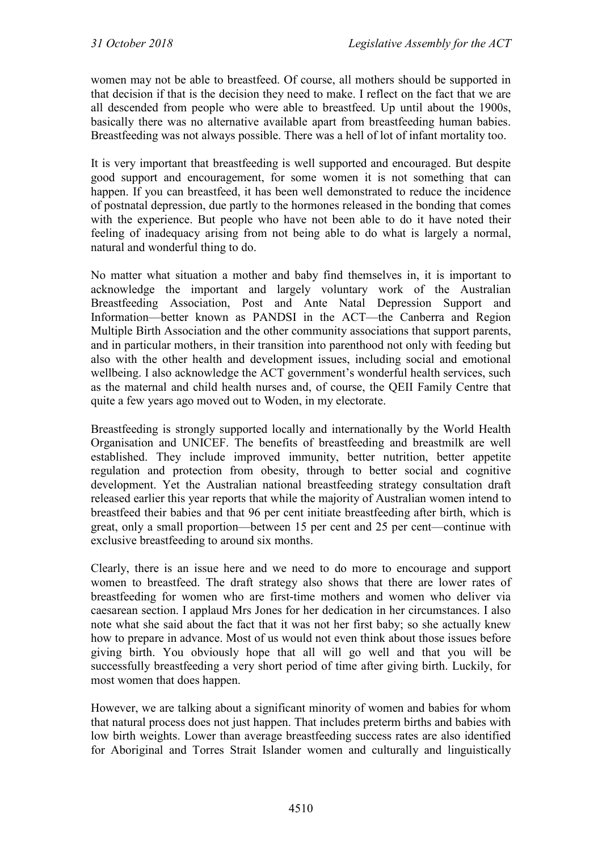women may not be able to breastfeed. Of course, all mothers should be supported in that decision if that is the decision they need to make. I reflect on the fact that we are all descended from people who were able to breastfeed. Up until about the 1900s, basically there was no alternative available apart from breastfeeding human babies. Breastfeeding was not always possible. There was a hell of lot of infant mortality too.

It is very important that breastfeeding is well supported and encouraged. But despite good support and encouragement, for some women it is not something that can happen. If you can breastfeed, it has been well demonstrated to reduce the incidence of postnatal depression, due partly to the hormones released in the bonding that comes with the experience. But people who have not been able to do it have noted their feeling of inadequacy arising from not being able to do what is largely a normal, natural and wonderful thing to do.

No matter what situation a mother and baby find themselves in, it is important to acknowledge the important and largely voluntary work of the Australian Breastfeeding Association, Post and Ante Natal Depression Support and Information—better known as PANDSI in the ACT—the Canberra and Region Multiple Birth Association and the other community associations that support parents, and in particular mothers, in their transition into parenthood not only with feeding but also with the other health and development issues, including social and emotional wellbeing. I also acknowledge the ACT government's wonderful health services, such as the maternal and child health nurses and, of course, the QEII Family Centre that quite a few years ago moved out to Woden, in my electorate.

Breastfeeding is strongly supported locally and internationally by the World Health Organisation and UNICEF. The benefits of breastfeeding and breastmilk are well established. They include improved immunity, better nutrition, better appetite regulation and protection from obesity, through to better social and cognitive development. Yet the Australian national breastfeeding strategy consultation draft released earlier this year reports that while the majority of Australian women intend to breastfeed their babies and that 96 per cent initiate breastfeeding after birth, which is great, only a small proportion—between 15 per cent and 25 per cent—continue with exclusive breastfeeding to around six months.

Clearly, there is an issue here and we need to do more to encourage and support women to breastfeed. The draft strategy also shows that there are lower rates of breastfeeding for women who are first-time mothers and women who deliver via caesarean section. I applaud Mrs Jones for her dedication in her circumstances. I also note what she said about the fact that it was not her first baby; so she actually knew how to prepare in advance. Most of us would not even think about those issues before giving birth. You obviously hope that all will go well and that you will be successfully breastfeeding a very short period of time after giving birth. Luckily, for most women that does happen.

However, we are talking about a significant minority of women and babies for whom that natural process does not just happen. That includes preterm births and babies with low birth weights. Lower than average breastfeeding success rates are also identified for Aboriginal and Torres Strait Islander women and culturally and linguistically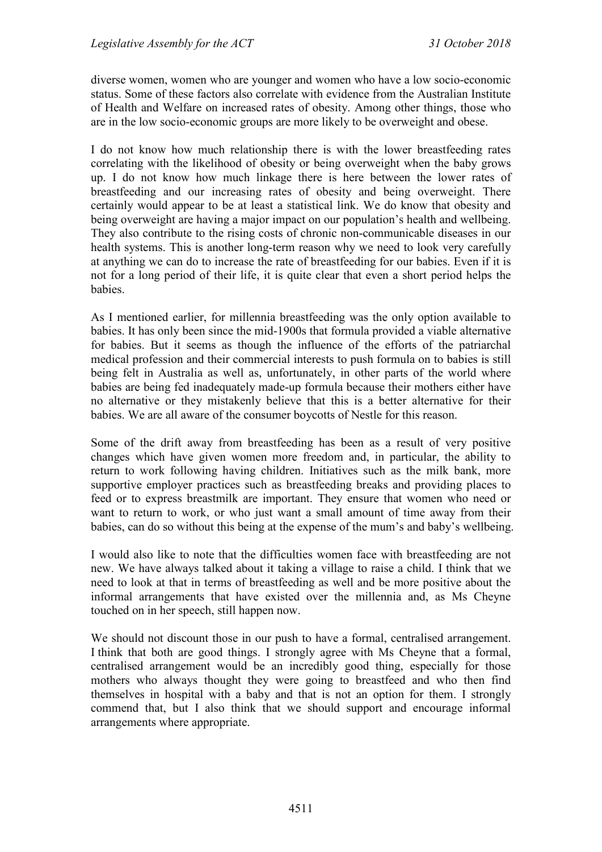diverse women, women who are younger and women who have a low socio-economic status. Some of these factors also correlate with evidence from the Australian Institute of Health and Welfare on increased rates of obesity. Among other things, those who are in the low socio-economic groups are more likely to be overweight and obese.

I do not know how much relationship there is with the lower breastfeeding rates correlating with the likelihood of obesity or being overweight when the baby grows up. I do not know how much linkage there is here between the lower rates of breastfeeding and our increasing rates of obesity and being overweight. There certainly would appear to be at least a statistical link. We do know that obesity and being overweight are having a major impact on our population's health and wellbeing. They also contribute to the rising costs of chronic non-communicable diseases in our health systems. This is another long-term reason why we need to look very carefully at anything we can do to increase the rate of breastfeeding for our babies. Even if it is not for a long period of their life, it is quite clear that even a short period helps the babies.

As I mentioned earlier, for millennia breastfeeding was the only option available to babies. It has only been since the mid-1900s that formula provided a viable alternative for babies. But it seems as though the influence of the efforts of the patriarchal medical profession and their commercial interests to push formula on to babies is still being felt in Australia as well as, unfortunately, in other parts of the world where babies are being fed inadequately made-up formula because their mothers either have no alternative or they mistakenly believe that this is a better alternative for their babies. We are all aware of the consumer boycotts of Nestle for this reason.

Some of the drift away from breastfeeding has been as a result of very positive changes which have given women more freedom and, in particular, the ability to return to work following having children. Initiatives such as the milk bank, more supportive employer practices such as breastfeeding breaks and providing places to feed or to express breastmilk are important. They ensure that women who need or want to return to work, or who just want a small amount of time away from their babies, can do so without this being at the expense of the mum's and baby's wellbeing.

I would also like to note that the difficulties women face with breastfeeding are not new. We have always talked about it taking a village to raise a child. I think that we need to look at that in terms of breastfeeding as well and be more positive about the informal arrangements that have existed over the millennia and, as Ms Cheyne touched on in her speech, still happen now.

We should not discount those in our push to have a formal, centralised arrangement. I think that both are good things. I strongly agree with Ms Cheyne that a formal, centralised arrangement would be an incredibly good thing, especially for those mothers who always thought they were going to breastfeed and who then find themselves in hospital with a baby and that is not an option for them. I strongly commend that, but I also think that we should support and encourage informal arrangements where appropriate.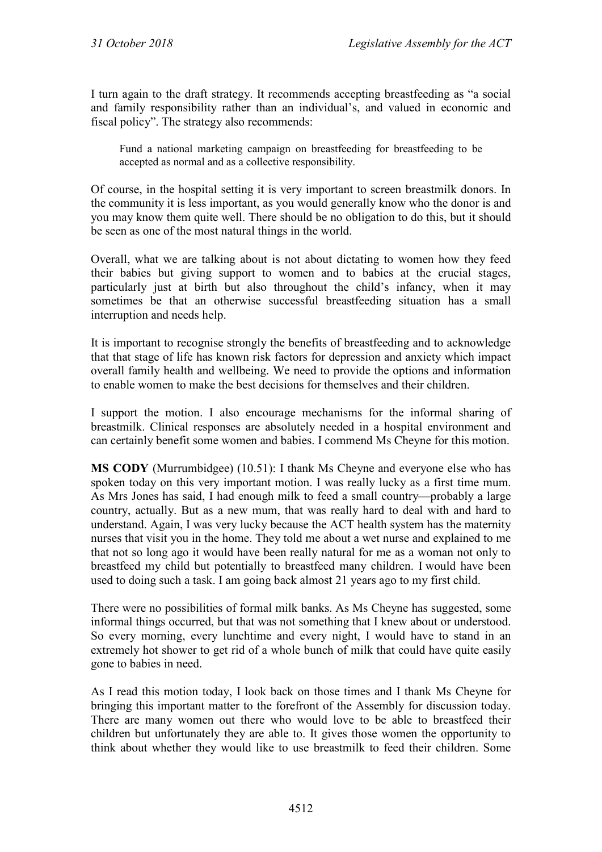I turn again to the draft strategy. It recommends accepting breastfeeding as "a social and family responsibility rather than an individual's, and valued in economic and fiscal policy". The strategy also recommends:

Fund a national marketing campaign on breastfeeding for breastfeeding to be accepted as normal and as a collective responsibility.

Of course, in the hospital setting it is very important to screen breastmilk donors. In the community it is less important, as you would generally know who the donor is and you may know them quite well. There should be no obligation to do this, but it should be seen as one of the most natural things in the world.

Overall, what we are talking about is not about dictating to women how they feed their babies but giving support to women and to babies at the crucial stages, particularly just at birth but also throughout the child's infancy, when it may sometimes be that an otherwise successful breastfeeding situation has a small interruption and needs help.

It is important to recognise strongly the benefits of breastfeeding and to acknowledge that that stage of life has known risk factors for depression and anxiety which impact overall family health and wellbeing. We need to provide the options and information to enable women to make the best decisions for themselves and their children.

I support the motion. I also encourage mechanisms for the informal sharing of breastmilk. Clinical responses are absolutely needed in a hospital environment and can certainly benefit some women and babies. I commend Ms Cheyne for this motion.

**MS CODY** (Murrumbidgee) (10.51): I thank Ms Cheyne and everyone else who has spoken today on this very important motion. I was really lucky as a first time mum. As Mrs Jones has said, I had enough milk to feed a small country—probably a large country, actually. But as a new mum, that was really hard to deal with and hard to understand. Again, I was very lucky because the ACT health system has the maternity nurses that visit you in the home. They told me about a wet nurse and explained to me that not so long ago it would have been really natural for me as a woman not only to breastfeed my child but potentially to breastfeed many children. I would have been used to doing such a task. I am going back almost 21 years ago to my first child.

There were no possibilities of formal milk banks. As Ms Cheyne has suggested, some informal things occurred, but that was not something that I knew about or understood. So every morning, every lunchtime and every night, I would have to stand in an extremely hot shower to get rid of a whole bunch of milk that could have quite easily gone to babies in need.

As I read this motion today, I look back on those times and I thank Ms Cheyne for bringing this important matter to the forefront of the Assembly for discussion today. There are many women out there who would love to be able to breastfeed their children but unfortunately they are able to. It gives those women the opportunity to think about whether they would like to use breastmilk to feed their children. Some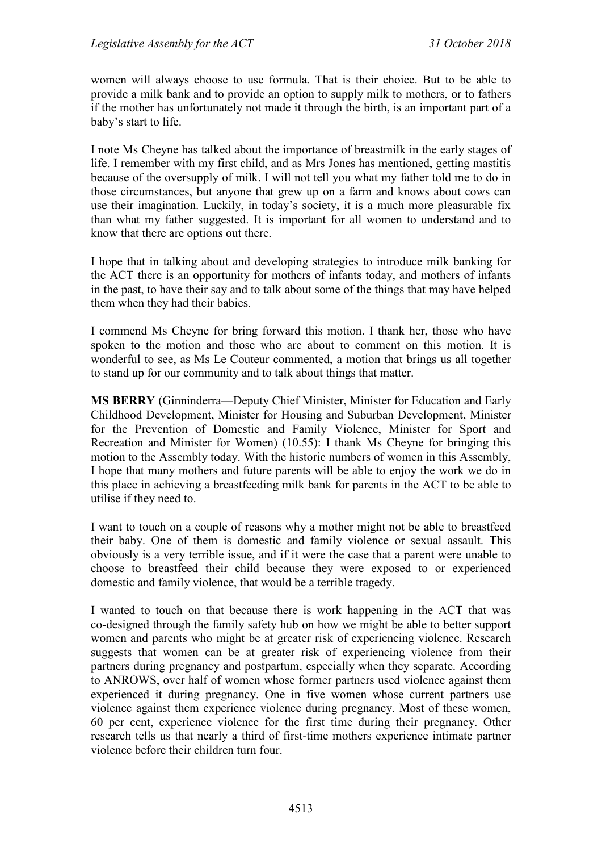women will always choose to use formula. That is their choice. But to be able to provide a milk bank and to provide an option to supply milk to mothers, or to fathers if the mother has unfortunately not made it through the birth, is an important part of a baby's start to life.

I note Ms Cheyne has talked about the importance of breastmilk in the early stages of life. I remember with my first child, and as Mrs Jones has mentioned, getting mastitis because of the oversupply of milk. I will not tell you what my father told me to do in those circumstances, but anyone that grew up on a farm and knows about cows can use their imagination. Luckily, in today's society, it is a much more pleasurable fix than what my father suggested. It is important for all women to understand and to know that there are options out there.

I hope that in talking about and developing strategies to introduce milk banking for the ACT there is an opportunity for mothers of infants today, and mothers of infants in the past, to have their say and to talk about some of the things that may have helped them when they had their babies.

I commend Ms Cheyne for bring forward this motion. I thank her, those who have spoken to the motion and those who are about to comment on this motion. It is wonderful to see, as Ms Le Couteur commented, a motion that brings us all together to stand up for our community and to talk about things that matter.

**MS BERRY** (Ginninderra—Deputy Chief Minister, Minister for Education and Early Childhood Development, Minister for Housing and Suburban Development, Minister for the Prevention of Domestic and Family Violence, Minister for Sport and Recreation and Minister for Women) (10.55): I thank Ms Cheyne for bringing this motion to the Assembly today. With the historic numbers of women in this Assembly, I hope that many mothers and future parents will be able to enjoy the work we do in this place in achieving a breastfeeding milk bank for parents in the ACT to be able to utilise if they need to.

I want to touch on a couple of reasons why a mother might not be able to breastfeed their baby. One of them is domestic and family violence or sexual assault. This obviously is a very terrible issue, and if it were the case that a parent were unable to choose to breastfeed their child because they were exposed to or experienced domestic and family violence, that would be a terrible tragedy.

I wanted to touch on that because there is work happening in the ACT that was co-designed through the family safety hub on how we might be able to better support women and parents who might be at greater risk of experiencing violence. Research suggests that women can be at greater risk of experiencing violence from their partners during pregnancy and postpartum, especially when they separate. According to ANROWS, over half of women whose former partners used violence against them experienced it during pregnancy. One in five women whose current partners use violence against them experience violence during pregnancy. Most of these women, 60 per cent, experience violence for the first time during their pregnancy. Other research tells us that nearly a third of first-time mothers experience intimate partner violence before their children turn four.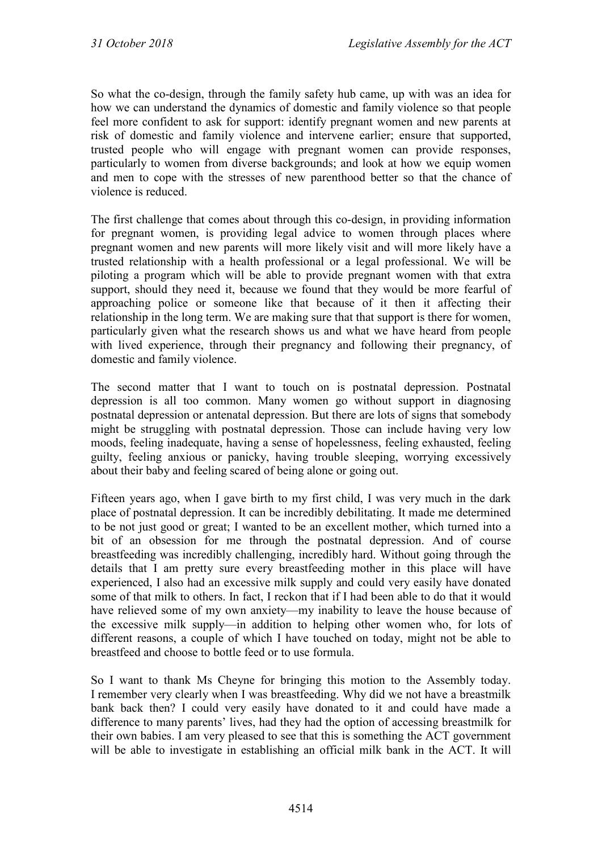So what the co-design, through the family safety hub came, up with was an idea for how we can understand the dynamics of domestic and family violence so that people feel more confident to ask for support: identify pregnant women and new parents at risk of domestic and family violence and intervene earlier; ensure that supported, trusted people who will engage with pregnant women can provide responses, particularly to women from diverse backgrounds; and look at how we equip women and men to cope with the stresses of new parenthood better so that the chance of violence is reduced.

The first challenge that comes about through this co-design, in providing information for pregnant women, is providing legal advice to women through places where pregnant women and new parents will more likely visit and will more likely have a trusted relationship with a health professional or a legal professional. We will be piloting a program which will be able to provide pregnant women with that extra support, should they need it, because we found that they would be more fearful of approaching police or someone like that because of it then it affecting their relationship in the long term. We are making sure that that support is there for women, particularly given what the research shows us and what we have heard from people with lived experience, through their pregnancy and following their pregnancy, of domestic and family violence.

The second matter that I want to touch on is postnatal depression. Postnatal depression is all too common. Many women go without support in diagnosing postnatal depression or antenatal depression. But there are lots of signs that somebody might be struggling with postnatal depression. Those can include having very low moods, feeling inadequate, having a sense of hopelessness, feeling exhausted, feeling guilty, feeling anxious or panicky, having trouble sleeping, worrying excessively about their baby and feeling scared of being alone or going out.

Fifteen years ago, when I gave birth to my first child, I was very much in the dark place of postnatal depression. It can be incredibly debilitating. It made me determined to be not just good or great; I wanted to be an excellent mother, which turned into a bit of an obsession for me through the postnatal depression. And of course breastfeeding was incredibly challenging, incredibly hard. Without going through the details that I am pretty sure every breastfeeding mother in this place will have experienced, I also had an excessive milk supply and could very easily have donated some of that milk to others. In fact, I reckon that if I had been able to do that it would have relieved some of my own anxiety—my inability to leave the house because of the excessive milk supply—in addition to helping other women who, for lots of different reasons, a couple of which I have touched on today, might not be able to breastfeed and choose to bottle feed or to use formula.

So I want to thank Ms Cheyne for bringing this motion to the Assembly today. I remember very clearly when I was breastfeeding. Why did we not have a breastmilk bank back then? I could very easily have donated to it and could have made a difference to many parents' lives, had they had the option of accessing breastmilk for their own babies. I am very pleased to see that this is something the ACT government will be able to investigate in establishing an official milk bank in the ACT. It will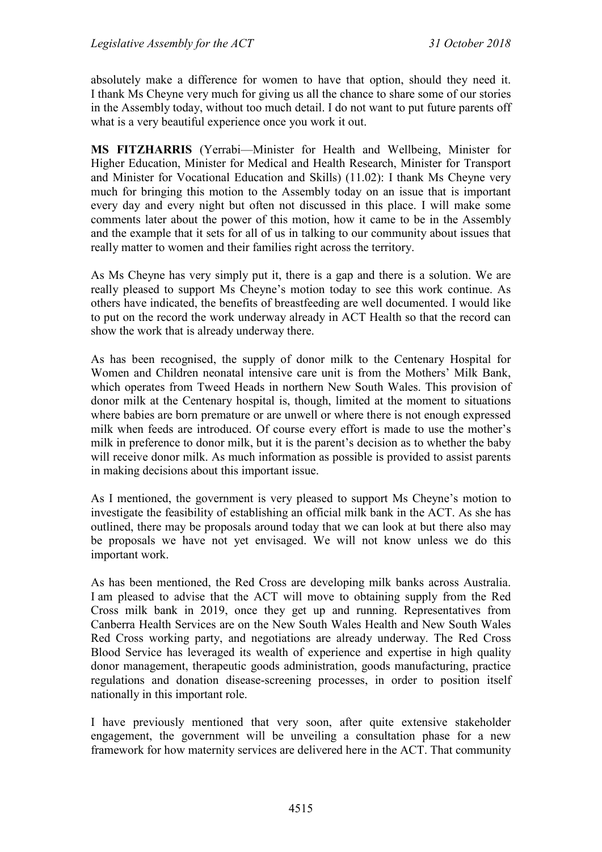absolutely make a difference for women to have that option, should they need it. I thank Ms Cheyne very much for giving us all the chance to share some of our stories in the Assembly today, without too much detail. I do not want to put future parents off what is a very beautiful experience once you work it out.

**MS FITZHARRIS** (Yerrabi—Minister for Health and Wellbeing, Minister for Higher Education, Minister for Medical and Health Research, Minister for Transport and Minister for Vocational Education and Skills) (11.02): I thank Ms Cheyne very much for bringing this motion to the Assembly today on an issue that is important every day and every night but often not discussed in this place. I will make some comments later about the power of this motion, how it came to be in the Assembly and the example that it sets for all of us in talking to our community about issues that really matter to women and their families right across the territory.

As Ms Cheyne has very simply put it, there is a gap and there is a solution. We are really pleased to support Ms Cheyne's motion today to see this work continue. As others have indicated, the benefits of breastfeeding are well documented. I would like to put on the record the work underway already in ACT Health so that the record can show the work that is already underway there.

As has been recognised, the supply of donor milk to the Centenary Hospital for Women and Children neonatal intensive care unit is from the Mothers' Milk Bank, which operates from Tweed Heads in northern New South Wales. This provision of donor milk at the Centenary hospital is, though, limited at the moment to situations where babies are born premature or are unwell or where there is not enough expressed milk when feeds are introduced. Of course every effort is made to use the mother's milk in preference to donor milk, but it is the parent's decision as to whether the baby will receive donor milk. As much information as possible is provided to assist parents in making decisions about this important issue.

As I mentioned, the government is very pleased to support Ms Cheyne's motion to investigate the feasibility of establishing an official milk bank in the ACT. As she has outlined, there may be proposals around today that we can look at but there also may be proposals we have not yet envisaged. We will not know unless we do this important work.

As has been mentioned, the Red Cross are developing milk banks across Australia. I am pleased to advise that the ACT will move to obtaining supply from the Red Cross milk bank in 2019, once they get up and running. Representatives from Canberra Health Services are on the New South Wales Health and New South Wales Red Cross working party, and negotiations are already underway. The Red Cross Blood Service has leveraged its wealth of experience and expertise in high quality donor management, therapeutic goods administration, goods manufacturing, practice regulations and donation disease-screening processes, in order to position itself nationally in this important role.

I have previously mentioned that very soon, after quite extensive stakeholder engagement, the government will be unveiling a consultation phase for a new framework for how maternity services are delivered here in the ACT. That community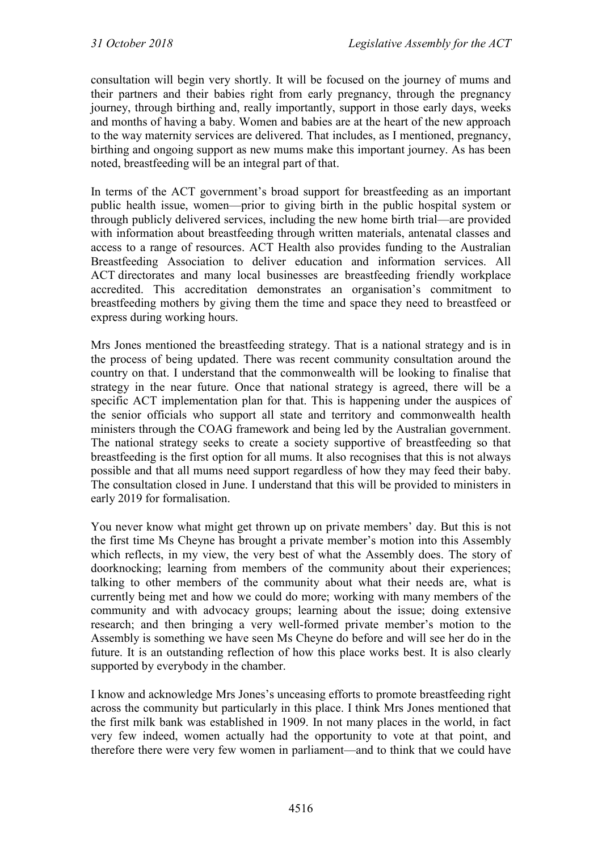consultation will begin very shortly. It will be focused on the journey of mums and their partners and their babies right from early pregnancy, through the pregnancy journey, through birthing and, really importantly, support in those early days, weeks and months of having a baby. Women and babies are at the heart of the new approach to the way maternity services are delivered. That includes, as I mentioned, pregnancy, birthing and ongoing support as new mums make this important journey. As has been noted, breastfeeding will be an integral part of that.

In terms of the ACT government's broad support for breastfeeding as an important public health issue, women—prior to giving birth in the public hospital system or through publicly delivered services, including the new home birth trial—are provided with information about breastfeeding through written materials, antenatal classes and access to a range of resources. ACT Health also provides funding to the Australian Breastfeeding Association to deliver education and information services. All ACT directorates and many local businesses are breastfeeding friendly workplace accredited. This accreditation demonstrates an organisation's commitment to breastfeeding mothers by giving them the time and space they need to breastfeed or express during working hours.

Mrs Jones mentioned the breastfeeding strategy. That is a national strategy and is in the process of being updated. There was recent community consultation around the country on that. I understand that the commonwealth will be looking to finalise that strategy in the near future. Once that national strategy is agreed, there will be a specific ACT implementation plan for that. This is happening under the auspices of the senior officials who support all state and territory and commonwealth health ministers through the COAG framework and being led by the Australian government. The national strategy seeks to create a society supportive of breastfeeding so that breastfeeding is the first option for all mums. It also recognises that this is not always possible and that all mums need support regardless of how they may feed their baby. The consultation closed in June. I understand that this will be provided to ministers in early 2019 for formalisation.

You never know what might get thrown up on private members' day. But this is not the first time Ms Cheyne has brought a private member's motion into this Assembly which reflects, in my view, the very best of what the Assembly does. The story of doorknocking; learning from members of the community about their experiences; talking to other members of the community about what their needs are, what is currently being met and how we could do more; working with many members of the community and with advocacy groups; learning about the issue; doing extensive research; and then bringing a very well-formed private member's motion to the Assembly is something we have seen Ms Cheyne do before and will see her do in the future. It is an outstanding reflection of how this place works best. It is also clearly supported by everybody in the chamber.

I know and acknowledge Mrs Jones's unceasing efforts to promote breastfeeding right across the community but particularly in this place. I think Mrs Jones mentioned that the first milk bank was established in 1909. In not many places in the world, in fact very few indeed, women actually had the opportunity to vote at that point, and therefore there were very few women in parliament—and to think that we could have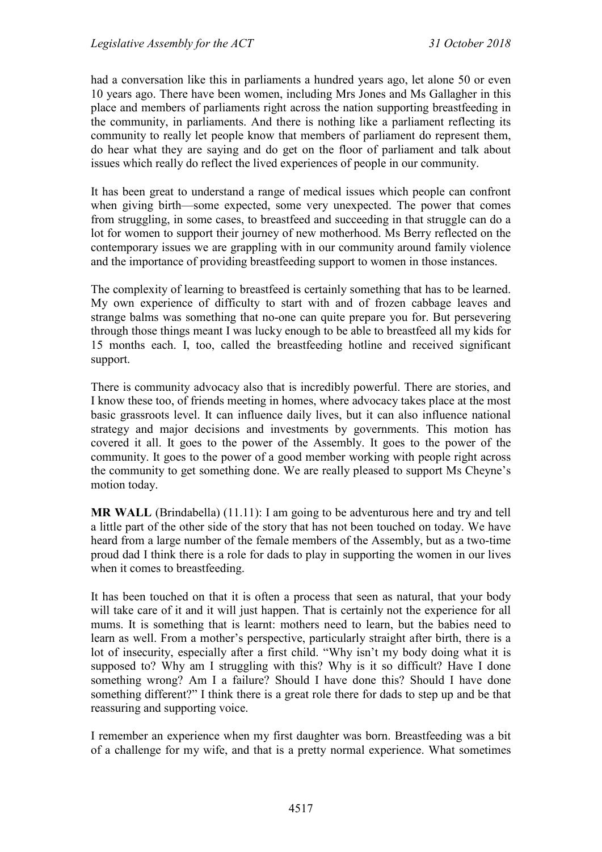had a conversation like this in parliaments a hundred years ago, let alone 50 or even 10 years ago. There have been women, including Mrs Jones and Ms Gallagher in this place and members of parliaments right across the nation supporting breastfeeding in the community, in parliaments. And there is nothing like a parliament reflecting its community to really let people know that members of parliament do represent them, do hear what they are saying and do get on the floor of parliament and talk about issues which really do reflect the lived experiences of people in our community.

It has been great to understand a range of medical issues which people can confront when giving birth—some expected, some very unexpected. The power that comes from struggling, in some cases, to breastfeed and succeeding in that struggle can do a lot for women to support their journey of new motherhood. Ms Berry reflected on the contemporary issues we are grappling with in our community around family violence and the importance of providing breastfeeding support to women in those instances.

The complexity of learning to breastfeed is certainly something that has to be learned. My own experience of difficulty to start with and of frozen cabbage leaves and strange balms was something that no-one can quite prepare you for. But persevering through those things meant I was lucky enough to be able to breastfeed all my kids for 15 months each. I, too, called the breastfeeding hotline and received significant support.

There is community advocacy also that is incredibly powerful. There are stories, and I know these too, of friends meeting in homes, where advocacy takes place at the most basic grassroots level. It can influence daily lives, but it can also influence national strategy and major decisions and investments by governments. This motion has covered it all. It goes to the power of the Assembly. It goes to the power of the community. It goes to the power of a good member working with people right across the community to get something done. We are really pleased to support Ms Cheyne's motion today.

**MR WALL** (Brindabella) (11.11): I am going to be adventurous here and try and tell a little part of the other side of the story that has not been touched on today. We have heard from a large number of the female members of the Assembly, but as a two-time proud dad I think there is a role for dads to play in supporting the women in our lives when it comes to breastfeeding.

It has been touched on that it is often a process that seen as natural, that your body will take care of it and it will just happen. That is certainly not the experience for all mums. It is something that is learnt: mothers need to learn, but the babies need to learn as well. From a mother's perspective, particularly straight after birth, there is a lot of insecurity, especially after a first child. "Why isn't my body doing what it is supposed to? Why am I struggling with this? Why is it so difficult? Have I done something wrong? Am I a failure? Should I have done this? Should I have done something different?" I think there is a great role there for dads to step up and be that reassuring and supporting voice.

I remember an experience when my first daughter was born. Breastfeeding was a bit of a challenge for my wife, and that is a pretty normal experience. What sometimes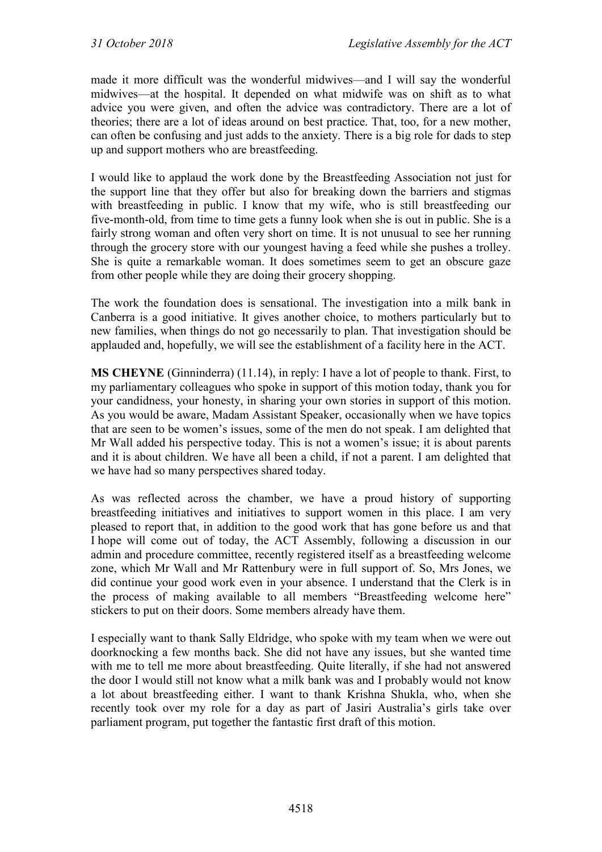made it more difficult was the wonderful midwives—and I will say the wonderful midwives—at the hospital. It depended on what midwife was on shift as to what advice you were given, and often the advice was contradictory. There are a lot of theories; there are a lot of ideas around on best practice. That, too, for a new mother, can often be confusing and just adds to the anxiety. There is a big role for dads to step up and support mothers who are breastfeeding.

I would like to applaud the work done by the Breastfeeding Association not just for the support line that they offer but also for breaking down the barriers and stigmas with breastfeeding in public. I know that my wife, who is still breastfeeding our five-month-old, from time to time gets a funny look when she is out in public. She is a fairly strong woman and often very short on time. It is not unusual to see her running through the grocery store with our youngest having a feed while she pushes a trolley. She is quite a remarkable woman. It does sometimes seem to get an obscure gaze from other people while they are doing their grocery shopping.

The work the foundation does is sensational. The investigation into a milk bank in Canberra is a good initiative. It gives another choice, to mothers particularly but to new families, when things do not go necessarily to plan. That investigation should be applauded and, hopefully, we will see the establishment of a facility here in the ACT.

**MS CHEYNE** (Ginninderra) (11.14), in reply: I have a lot of people to thank. First, to my parliamentary colleagues who spoke in support of this motion today, thank you for your candidness, your honesty, in sharing your own stories in support of this motion. As you would be aware, Madam Assistant Speaker, occasionally when we have topics that are seen to be women's issues, some of the men do not speak. I am delighted that Mr Wall added his perspective today. This is not a women's issue; it is about parents and it is about children. We have all been a child, if not a parent. I am delighted that we have had so many perspectives shared today.

As was reflected across the chamber, we have a proud history of supporting breastfeeding initiatives and initiatives to support women in this place. I am very pleased to report that, in addition to the good work that has gone before us and that I hope will come out of today, the ACT Assembly, following a discussion in our admin and procedure committee, recently registered itself as a breastfeeding welcome zone, which Mr Wall and Mr Rattenbury were in full support of. So, Mrs Jones, we did continue your good work even in your absence. I understand that the Clerk is in the process of making available to all members "Breastfeeding welcome here" stickers to put on their doors. Some members already have them.

I especially want to thank Sally Eldridge, who spoke with my team when we were out doorknocking a few months back. She did not have any issues, but she wanted time with me to tell me more about breastfeeding. Quite literally, if she had not answered the door I would still not know what a milk bank was and I probably would not know a lot about breastfeeding either. I want to thank Krishna Shukla, who, when she recently took over my role for a day as part of Jasiri Australia's girls take over parliament program, put together the fantastic first draft of this motion.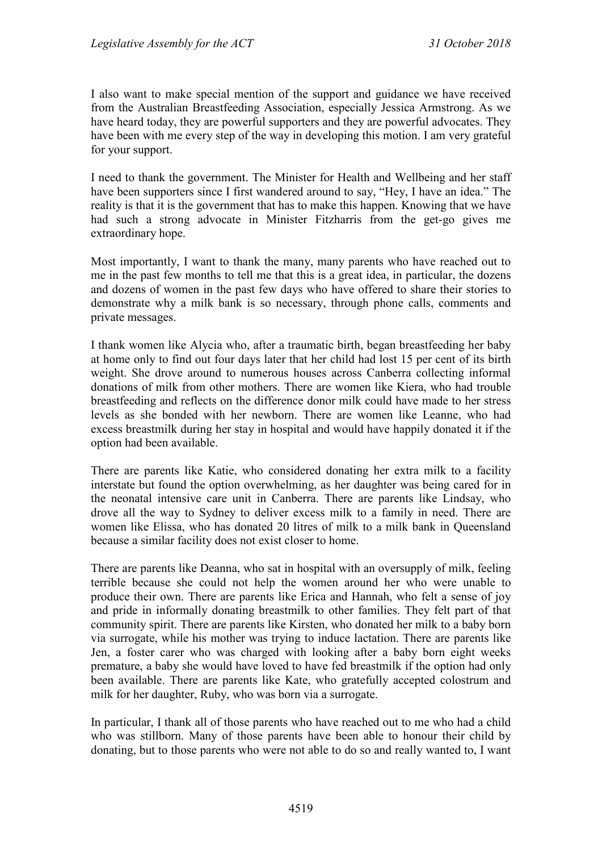I also want to make special mention of the support and guidance we have received from the Australian Breastfeeding Association, especially Jessica Armstrong. As we have heard today, they are powerful supporters and they are powerful advocates. They have been with me every step of the way in developing this motion. I am very grateful for your support.

I need to thank the government. The Minister for Health and Wellbeing and her staff have been supporters since I first wandered around to say, "Hey, I have an idea." The reality is that it is the government that has to make this happen. Knowing that we have had such a strong advocate in Minister Fitzharris from the get-go gives me extraordinary hope.

Most importantly, I want to thank the many, many parents who have reached out to me in the past few months to tell me that this is a great idea, in particular, the dozens and dozens of women in the past few days who have offered to share their stories to demonstrate why a milk bank is so necessary, through phone calls, comments and private messages.

I thank women like Alycia who, after a traumatic birth, began breastfeeding her baby at home only to find out four days later that her child had lost 15 per cent of its birth weight. She drove around to numerous houses across Canberra collecting informal donations of milk from other mothers. There are women like Kiera, who had trouble breastfeeding and reflects on the difference donor milk could have made to her stress levels as she bonded with her newborn. There are women like Leanne, who had excess breastmilk during her stay in hospital and would have happily donated it if the option had been available.

There are parents like Katie, who considered donating her extra milk to a facility interstate but found the option overwhelming, as her daughter was being cared for in the neonatal intensive care unit in Canberra. There are parents like Lindsay, who drove all the way to Sydney to deliver excess milk to a family in need. There are women like Elissa, who has donated 20 litres of milk to a milk bank in Queensland because a similar facility does not exist closer to home.

There are parents like Deanna, who sat in hospital with an oversupply of milk, feeling terrible because she could not help the women around her who were unable to produce their own. There are parents like Erica and Hannah, who felt a sense of joy and pride in informally donating breastmilk to other families. They felt part of that community spirit. There are parents like Kirsten, who donated her milk to a baby born via surrogate, while his mother was trying to induce lactation. There are parents like Jen, a foster carer who was charged with looking after a baby born eight weeks premature, a baby she would have loved to have fed breastmilk if the option had only been available. There are parents like Kate, who gratefully accepted colostrum and milk for her daughter, Ruby, who was born via a surrogate.

In particular, I thank all of those parents who have reached out to me who had a child who was stillborn. Many of those parents have been able to honour their child by donating, but to those parents who were not able to do so and really wanted to, I want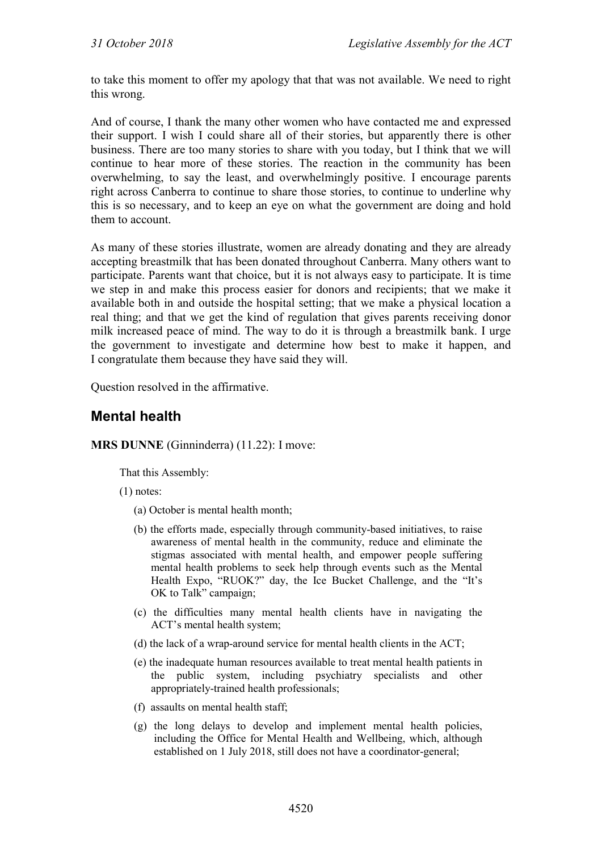to take this moment to offer my apology that that was not available. We need to right this wrong.

And of course, I thank the many other women who have contacted me and expressed their support. I wish I could share all of their stories, but apparently there is other business. There are too many stories to share with you today, but I think that we will continue to hear more of these stories. The reaction in the community has been overwhelming, to say the least, and overwhelmingly positive. I encourage parents right across Canberra to continue to share those stories, to continue to underline why this is so necessary, and to keep an eye on what the government are doing and hold them to account.

As many of these stories illustrate, women are already donating and they are already accepting breastmilk that has been donated throughout Canberra. Many others want to participate. Parents want that choice, but it is not always easy to participate. It is time we step in and make this process easier for donors and recipients; that we make it available both in and outside the hospital setting; that we make a physical location a real thing; and that we get the kind of regulation that gives parents receiving donor milk increased peace of mind. The way to do it is through a breastmilk bank. I urge the government to investigate and determine how best to make it happen, and I congratulate them because they have said they will.

Question resolved in the affirmative.

### <span id="page-25-0"></span>**Mental health**

**MRS DUNNE** (Ginninderra) (11.22): I move:

That this Assembly:

(1) notes:

- (a) October is mental health month;
- (b) the efforts made, especially through community-based initiatives, to raise awareness of mental health in the community, reduce and eliminate the stigmas associated with mental health, and empower people suffering mental health problems to seek help through events such as the Mental Health Expo, "RUOK?" day, the Ice Bucket Challenge, and the "It's OK to Talk" campaign;
- (c) the difficulties many mental health clients have in navigating the ACT's mental health system;
- (d) the lack of a wrap-around service for mental health clients in the ACT;
- (e) the inadequate human resources available to treat mental health patients in the public system, including psychiatry specialists and other appropriately-trained health professionals;
- (f) assaults on mental health staff;
- (g) the long delays to develop and implement mental health policies, including the Office for Mental Health and Wellbeing, which, although established on 1 July 2018, still does not have a coordinator-general;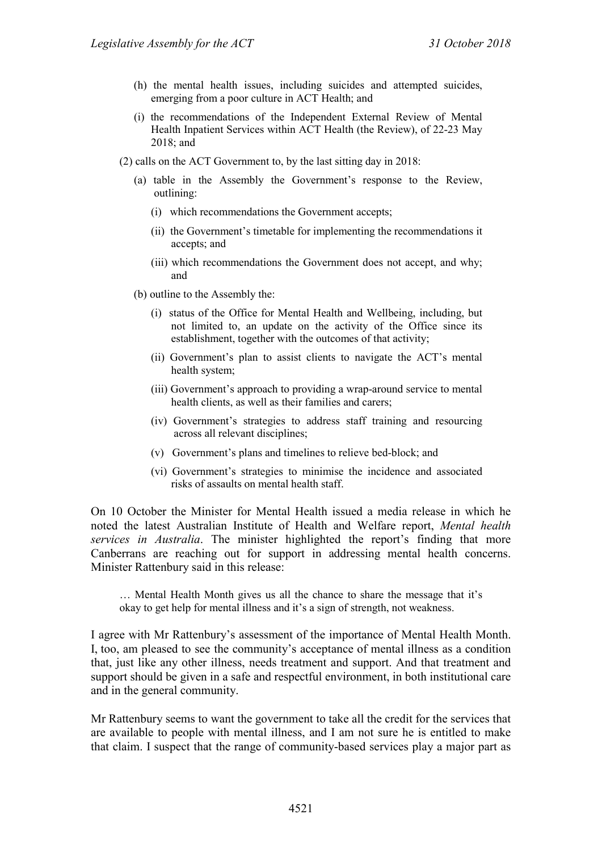- (h) the mental health issues, including suicides and attempted suicides, emerging from a poor culture in ACT Health; and
- (i) the recommendations of the Independent External Review of Mental Health Inpatient Services within ACT Health (the Review), of 22-23 May 2018; and
- (2) calls on the ACT Government to, by the last sitting day in 2018:
	- (a) table in the Assembly the Government's response to the Review, outlining:
		- (i) which recommendations the Government accepts;
		- (ii) the Government's timetable for implementing the recommendations it accepts; and
		- (iii) which recommendations the Government does not accept, and why; and
	- (b) outline to the Assembly the:
		- (i) status of the Office for Mental Health and Wellbeing, including, but not limited to, an update on the activity of the Office since its establishment, together with the outcomes of that activity;
		- (ii) Government's plan to assist clients to navigate the ACT's mental health system;
		- (iii) Government's approach to providing a wrap-around service to mental health clients, as well as their families and carers;
		- (iv) Government's strategies to address staff training and resourcing across all relevant disciplines;
		- (v) Government's plans and timelines to relieve bed-block; and
		- (vi) Government's strategies to minimise the incidence and associated risks of assaults on mental health staff.

On 10 October the Minister for Mental Health issued a media release in which he noted the latest Australian Institute of Health and Welfare report, *Mental health services in Australia*. The minister highlighted the report's finding that more Canberrans are reaching out for support in addressing mental health concerns. Minister Rattenbury said in this release:

… Mental Health Month gives us all the chance to share the message that it's okay to get help for mental illness and it's a sign of strength, not weakness.

I agree with Mr Rattenbury's assessment of the importance of Mental Health Month. I, too, am pleased to see the community's acceptance of mental illness as a condition that, just like any other illness, needs treatment and support. And that treatment and support should be given in a safe and respectful environment, in both institutional care and in the general community.

Mr Rattenbury seems to want the government to take all the credit for the services that are available to people with mental illness, and I am not sure he is entitled to make that claim. I suspect that the range of community-based services play a major part as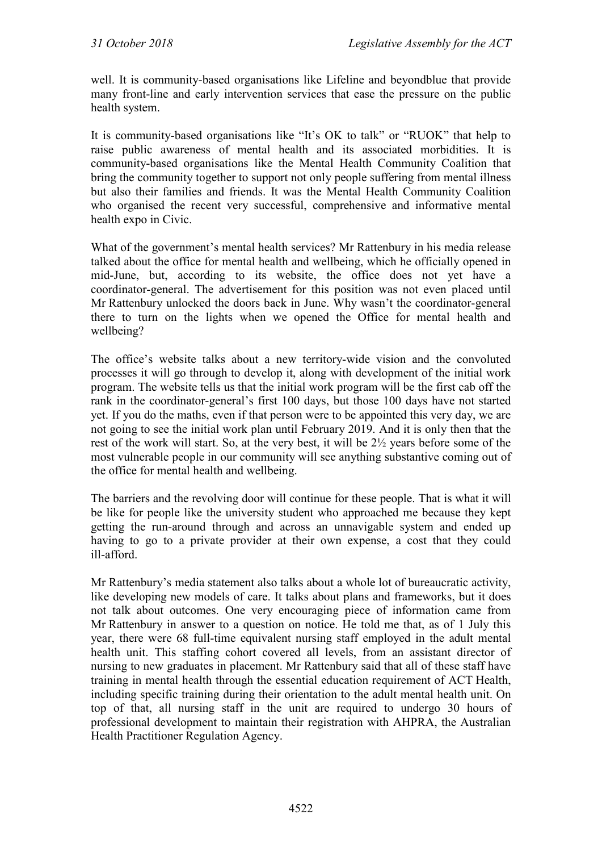well. It is community-based organisations like Lifeline and beyondblue that provide many front-line and early intervention services that ease the pressure on the public health system.

It is community-based organisations like "It's OK to talk" or "RUOK" that help to raise public awareness of mental health and its associated morbidities. It is community-based organisations like the Mental Health Community Coalition that bring the community together to support not only people suffering from mental illness but also their families and friends. It was the Mental Health Community Coalition who organised the recent very successful, comprehensive and informative mental health expo in Civic.

What of the government's mental health services? Mr Rattenbury in his media release talked about the office for mental health and wellbeing, which he officially opened in mid-June, but, according to its website, the office does not yet have a coordinator-general. The advertisement for this position was not even placed until Mr Rattenbury unlocked the doors back in June. Why wasn't the coordinator-general there to turn on the lights when we opened the Office for mental health and wellbeing?

The office's website talks about a new territory-wide vision and the convoluted processes it will go through to develop it, along with development of the initial work program. The website tells us that the initial work program will be the first cab off the rank in the coordinator-general's first 100 days, but those 100 days have not started yet. If you do the maths, even if that person were to be appointed this very day, we are not going to see the initial work plan until February 2019. And it is only then that the rest of the work will start. So, at the very best, it will be 2½ years before some of the most vulnerable people in our community will see anything substantive coming out of the office for mental health and wellbeing.

The barriers and the revolving door will continue for these people. That is what it will be like for people like the university student who approached me because they kept getting the run-around through and across an unnavigable system and ended up having to go to a private provider at their own expense, a cost that they could ill-afford.

Mr Rattenbury's media statement also talks about a whole lot of bureaucratic activity, like developing new models of care. It talks about plans and frameworks, but it does not talk about outcomes. One very encouraging piece of information came from Mr Rattenbury in answer to a question on notice. He told me that, as of 1 July this year, there were 68 full-time equivalent nursing staff employed in the adult mental health unit. This staffing cohort covered all levels, from an assistant director of nursing to new graduates in placement. Mr Rattenbury said that all of these staff have training in mental health through the essential education requirement of ACT Health, including specific training during their orientation to the adult mental health unit. On top of that, all nursing staff in the unit are required to undergo 30 hours of professional development to maintain their registration with AHPRA, the Australian Health Practitioner Regulation Agency.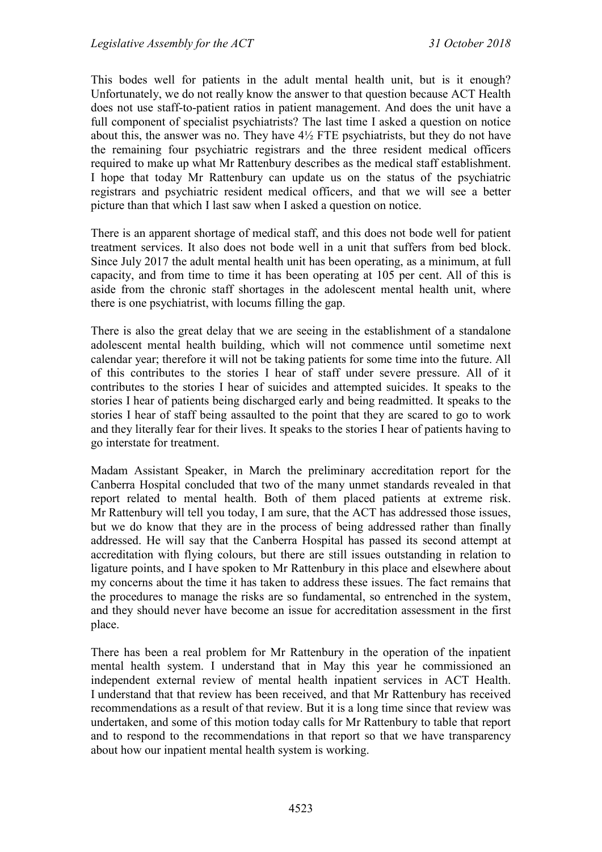This bodes well for patients in the adult mental health unit, but is it enough? Unfortunately, we do not really know the answer to that question because ACT Health does not use staff-to-patient ratios in patient management. And does the unit have a full component of specialist psychiatrists? The last time I asked a question on notice about this, the answer was no. They have 4½ FTE psychiatrists, but they do not have the remaining four psychiatric registrars and the three resident medical officers required to make up what Mr Rattenbury describes as the medical staff establishment. I hope that today Mr Rattenbury can update us on the status of the psychiatric registrars and psychiatric resident medical officers, and that we will see a better picture than that which I last saw when I asked a question on notice.

There is an apparent shortage of medical staff, and this does not bode well for patient treatment services. It also does not bode well in a unit that suffers from bed block. Since July 2017 the adult mental health unit has been operating, as a minimum, at full capacity, and from time to time it has been operating at 105 per cent. All of this is aside from the chronic staff shortages in the adolescent mental health unit, where there is one psychiatrist, with locums filling the gap.

There is also the great delay that we are seeing in the establishment of a standalone adolescent mental health building, which will not commence until sometime next calendar year; therefore it will not be taking patients for some time into the future. All of this contributes to the stories I hear of staff under severe pressure. All of it contributes to the stories I hear of suicides and attempted suicides. It speaks to the stories I hear of patients being discharged early and being readmitted. It speaks to the stories I hear of staff being assaulted to the point that they are scared to go to work and they literally fear for their lives. It speaks to the stories I hear of patients having to go interstate for treatment.

Madam Assistant Speaker, in March the preliminary accreditation report for the Canberra Hospital concluded that two of the many unmet standards revealed in that report related to mental health. Both of them placed patients at extreme risk. Mr Rattenbury will tell you today, I am sure, that the ACT has addressed those issues, but we do know that they are in the process of being addressed rather than finally addressed. He will say that the Canberra Hospital has passed its second attempt at accreditation with flying colours, but there are still issues outstanding in relation to ligature points, and I have spoken to Mr Rattenbury in this place and elsewhere about my concerns about the time it has taken to address these issues. The fact remains that the procedures to manage the risks are so fundamental, so entrenched in the system, and they should never have become an issue for accreditation assessment in the first place.

There has been a real problem for Mr Rattenbury in the operation of the inpatient mental health system. I understand that in May this year he commissioned an independent external review of mental health inpatient services in ACT Health. I understand that that review has been received, and that Mr Rattenbury has received recommendations as a result of that review. But it is a long time since that review was undertaken, and some of this motion today calls for Mr Rattenbury to table that report and to respond to the recommendations in that report so that we have transparency about how our inpatient mental health system is working.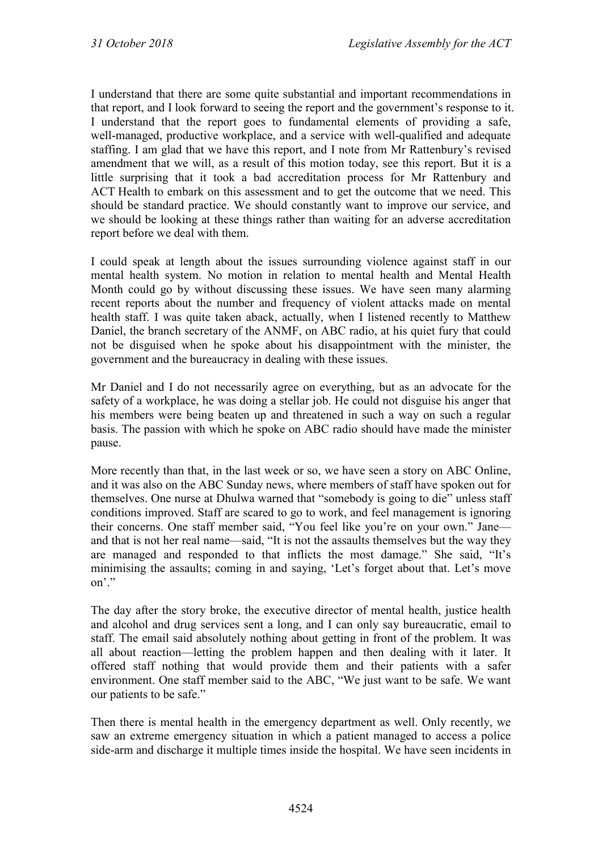I understand that there are some quite substantial and important recommendations in that report, and I look forward to seeing the report and the government's response to it. I understand that the report goes to fundamental elements of providing a safe, well-managed, productive workplace, and a service with well-qualified and adequate staffing. I am glad that we have this report, and I note from Mr Rattenbury's revised amendment that we will, as a result of this motion today, see this report. But it is a little surprising that it took a bad accreditation process for Mr Rattenbury and ACT Health to embark on this assessment and to get the outcome that we need. This should be standard practice. We should constantly want to improve our service, and we should be looking at these things rather than waiting for an adverse accreditation report before we deal with them.

I could speak at length about the issues surrounding violence against staff in our mental health system. No motion in relation to mental health and Mental Health Month could go by without discussing these issues. We have seen many alarming recent reports about the number and frequency of violent attacks made on mental health staff. I was quite taken aback, actually, when I listened recently to Matthew Daniel, the branch secretary of the ANMF, on ABC radio, at his quiet fury that could not be disguised when he spoke about his disappointment with the minister, the government and the bureaucracy in dealing with these issues.

Mr Daniel and I do not necessarily agree on everything, but as an advocate for the safety of a workplace, he was doing a stellar job. He could not disguise his anger that his members were being beaten up and threatened in such a way on such a regular basis. The passion with which he spoke on ABC radio should have made the minister pause.

More recently than that, in the last week or so, we have seen a story on ABC Online, and it was also on the ABC Sunday news, where members of staff have spoken out for themselves. One nurse at Dhulwa warned that "somebody is going to die" unless staff conditions improved. Staff are scared to go to work, and feel management is ignoring their concerns. One staff member said, "You feel like you're on your own." Jane and that is not her real name—said, "It is not the assaults themselves but the way they are managed and responded to that inflicts the most damage." She said, "It's minimising the assaults; coming in and saying, 'Let's forget about that. Let's move on'"

The day after the story broke, the executive director of mental health, justice health and alcohol and drug services sent a long, and I can only say bureaucratic, email to staff. The email said absolutely nothing about getting in front of the problem. It was all about reaction—letting the problem happen and then dealing with it later. It offered staff nothing that would provide them and their patients with a safer environment. One staff member said to the ABC, "We just want to be safe. We want our patients to be safe."

Then there is mental health in the emergency department as well. Only recently, we saw an extreme emergency situation in which a patient managed to access a police side-arm and discharge it multiple times inside the hospital. We have seen incidents in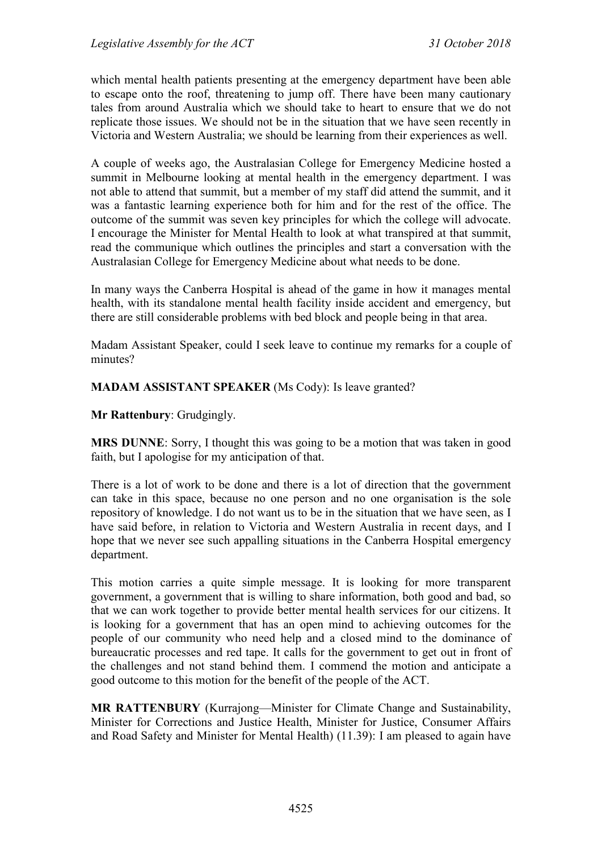which mental health patients presenting at the emergency department have been able to escape onto the roof, threatening to jump off. There have been many cautionary tales from around Australia which we should take to heart to ensure that we do not replicate those issues. We should not be in the situation that we have seen recently in Victoria and Western Australia; we should be learning from their experiences as well.

A couple of weeks ago, the Australasian College for Emergency Medicine hosted a summit in Melbourne looking at mental health in the emergency department. I was not able to attend that summit, but a member of my staff did attend the summit, and it was a fantastic learning experience both for him and for the rest of the office. The outcome of the summit was seven key principles for which the college will advocate. I encourage the Minister for Mental Health to look at what transpired at that summit, read the communique which outlines the principles and start a conversation with the Australasian College for Emergency Medicine about what needs to be done.

In many ways the Canberra Hospital is ahead of the game in how it manages mental health, with its standalone mental health facility inside accident and emergency, but there are still considerable problems with bed block and people being in that area.

Madam Assistant Speaker, could I seek leave to continue my remarks for a couple of minutes?

**MADAM ASSISTANT SPEAKER** (Ms Cody): Is leave granted?

**Mr Rattenbury**: Grudgingly.

**MRS DUNNE**: Sorry, I thought this was going to be a motion that was taken in good faith, but I apologise for my anticipation of that.

There is a lot of work to be done and there is a lot of direction that the government can take in this space, because no one person and no one organisation is the sole repository of knowledge. I do not want us to be in the situation that we have seen, as I have said before, in relation to Victoria and Western Australia in recent days, and I hope that we never see such appalling situations in the Canberra Hospital emergency department.

This motion carries a quite simple message. It is looking for more transparent government, a government that is willing to share information, both good and bad, so that we can work together to provide better mental health services for our citizens. It is looking for a government that has an open mind to achieving outcomes for the people of our community who need help and a closed mind to the dominance of bureaucratic processes and red tape. It calls for the government to get out in front of the challenges and not stand behind them. I commend the motion and anticipate a good outcome to this motion for the benefit of the people of the ACT.

**MR RATTENBURY** (Kurrajong—Minister for Climate Change and Sustainability, Minister for Corrections and Justice Health, Minister for Justice, Consumer Affairs and Road Safety and Minister for Mental Health) (11.39): I am pleased to again have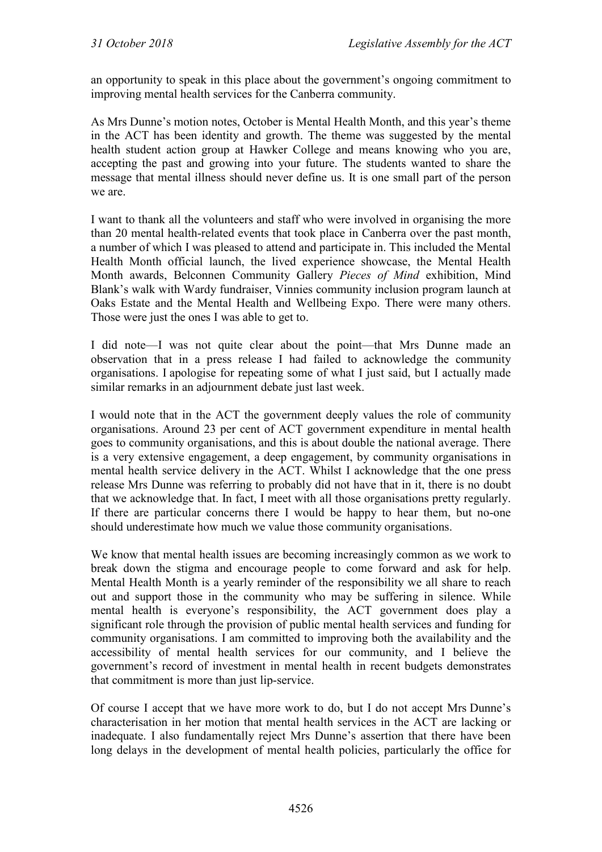an opportunity to speak in this place about the government's ongoing commitment to improving mental health services for the Canberra community.

As Mrs Dunne's motion notes, October is Mental Health Month, and this year's theme in the ACT has been identity and growth. The theme was suggested by the mental health student action group at Hawker College and means knowing who you are, accepting the past and growing into your future. The students wanted to share the message that mental illness should never define us. It is one small part of the person we are.

I want to thank all the volunteers and staff who were involved in organising the more than 20 mental health-related events that took place in Canberra over the past month, a number of which I was pleased to attend and participate in. This included the Mental Health Month official launch, the lived experience showcase, the Mental Health Month awards, Belconnen Community Gallery *Pieces of Mind* exhibition, Mind Blank's walk with Wardy fundraiser, Vinnies community inclusion program launch at Oaks Estate and the Mental Health and Wellbeing Expo. There were many others. Those were just the ones I was able to get to.

I did note—I was not quite clear about the point—that Mrs Dunne made an observation that in a press release I had failed to acknowledge the community organisations. I apologise for repeating some of what I just said, but I actually made similar remarks in an adjournment debate just last week.

I would note that in the ACT the government deeply values the role of community organisations. Around 23 per cent of ACT government expenditure in mental health goes to community organisations, and this is about double the national average. There is a very extensive engagement, a deep engagement, by community organisations in mental health service delivery in the ACT. Whilst I acknowledge that the one press release Mrs Dunne was referring to probably did not have that in it, there is no doubt that we acknowledge that. In fact, I meet with all those organisations pretty regularly. If there are particular concerns there I would be happy to hear them, but no-one should underestimate how much we value those community organisations.

We know that mental health issues are becoming increasingly common as we work to break down the stigma and encourage people to come forward and ask for help. Mental Health Month is a yearly reminder of the responsibility we all share to reach out and support those in the community who may be suffering in silence. While mental health is everyone's responsibility, the ACT government does play a significant role through the provision of public mental health services and funding for community organisations. I am committed to improving both the availability and the accessibility of mental health services for our community, and I believe the government's record of investment in mental health in recent budgets demonstrates that commitment is more than just lip-service.

Of course I accept that we have more work to do, but I do not accept Mrs Dunne's characterisation in her motion that mental health services in the ACT are lacking or inadequate. I also fundamentally reject Mrs Dunne's assertion that there have been long delays in the development of mental health policies, particularly the office for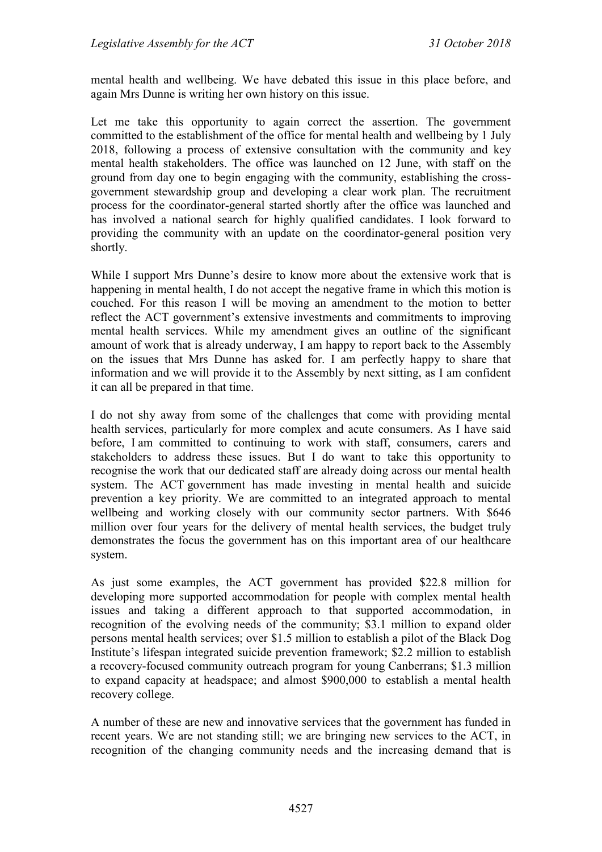mental health and wellbeing. We have debated this issue in this place before, and again Mrs Dunne is writing her own history on this issue.

Let me take this opportunity to again correct the assertion. The government committed to the establishment of the office for mental health and wellbeing by 1 July 2018, following a process of extensive consultation with the community and key mental health stakeholders. The office was launched on 12 June, with staff on the ground from day one to begin engaging with the community, establishing the crossgovernment stewardship group and developing a clear work plan. The recruitment process for the coordinator-general started shortly after the office was launched and has involved a national search for highly qualified candidates. I look forward to providing the community with an update on the coordinator-general position very shortly.

While I support Mrs Dunne's desire to know more about the extensive work that is happening in mental health, I do not accept the negative frame in which this motion is couched. For this reason I will be moving an amendment to the motion to better reflect the ACT government's extensive investments and commitments to improving mental health services. While my amendment gives an outline of the significant amount of work that is already underway, I am happy to report back to the Assembly on the issues that Mrs Dunne has asked for. I am perfectly happy to share that information and we will provide it to the Assembly by next sitting, as I am confident it can all be prepared in that time.

I do not shy away from some of the challenges that come with providing mental health services, particularly for more complex and acute consumers. As I have said before, I am committed to continuing to work with staff, consumers, carers and stakeholders to address these issues. But I do want to take this opportunity to recognise the work that our dedicated staff are already doing across our mental health system. The ACT government has made investing in mental health and suicide prevention a key priority. We are committed to an integrated approach to mental wellbeing and working closely with our community sector partners. With \$646 million over four years for the delivery of mental health services, the budget truly demonstrates the focus the government has on this important area of our healthcare system.

As just some examples, the ACT government has provided \$22.8 million for developing more supported accommodation for people with complex mental health issues and taking a different approach to that supported accommodation, in recognition of the evolving needs of the community; \$3.1 million to expand older persons mental health services; over \$1.5 million to establish a pilot of the Black Dog Institute's lifespan integrated suicide prevention framework; \$2.2 million to establish a recovery-focused community outreach program for young Canberrans; \$1.3 million to expand capacity at headspace; and almost \$900,000 to establish a mental health recovery college.

A number of these are new and innovative services that the government has funded in recent years. We are not standing still; we are bringing new services to the ACT, in recognition of the changing community needs and the increasing demand that is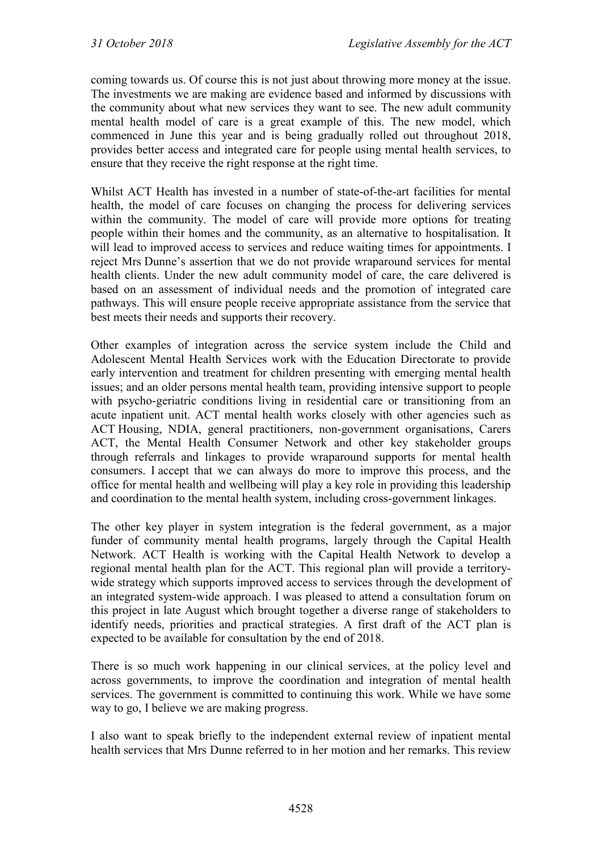coming towards us. Of course this is not just about throwing more money at the issue. The investments we are making are evidence based and informed by discussions with the community about what new services they want to see. The new adult community mental health model of care is a great example of this. The new model, which commenced in June this year and is being gradually rolled out throughout 2018, provides better access and integrated care for people using mental health services, to ensure that they receive the right response at the right time.

Whilst ACT Health has invested in a number of state-of-the-art facilities for mental health, the model of care focuses on changing the process for delivering services within the community. The model of care will provide more options for treating people within their homes and the community, as an alternative to hospitalisation. It will lead to improved access to services and reduce waiting times for appointments. I reject Mrs Dunne's assertion that we do not provide wraparound services for mental health clients. Under the new adult community model of care, the care delivered is based on an assessment of individual needs and the promotion of integrated care pathways. This will ensure people receive appropriate assistance from the service that best meets their needs and supports their recovery.

Other examples of integration across the service system include the Child and Adolescent Mental Health Services work with the Education Directorate to provide early intervention and treatment for children presenting with emerging mental health issues; and an older persons mental health team, providing intensive support to people with psycho-geriatric conditions living in residential care or transitioning from an acute inpatient unit. ACT mental health works closely with other agencies such as ACT Housing, NDIA, general practitioners, non-government organisations, Carers ACT, the Mental Health Consumer Network and other key stakeholder groups through referrals and linkages to provide wraparound supports for mental health consumers. I accept that we can always do more to improve this process, and the office for mental health and wellbeing will play a key role in providing this leadership and coordination to the mental health system, including cross-government linkages.

The other key player in system integration is the federal government, as a major funder of community mental health programs, largely through the Capital Health Network. ACT Health is working with the Capital Health Network to develop a regional mental health plan for the ACT. This regional plan will provide a territorywide strategy which supports improved access to services through the development of an integrated system-wide approach. I was pleased to attend a consultation forum on this project in late August which brought together a diverse range of stakeholders to identify needs, priorities and practical strategies. A first draft of the ACT plan is expected to be available for consultation by the end of 2018.

There is so much work happening in our clinical services, at the policy level and across governments, to improve the coordination and integration of mental health services. The government is committed to continuing this work. While we have some way to go, I believe we are making progress.

I also want to speak briefly to the independent external review of inpatient mental health services that Mrs Dunne referred to in her motion and her remarks. This review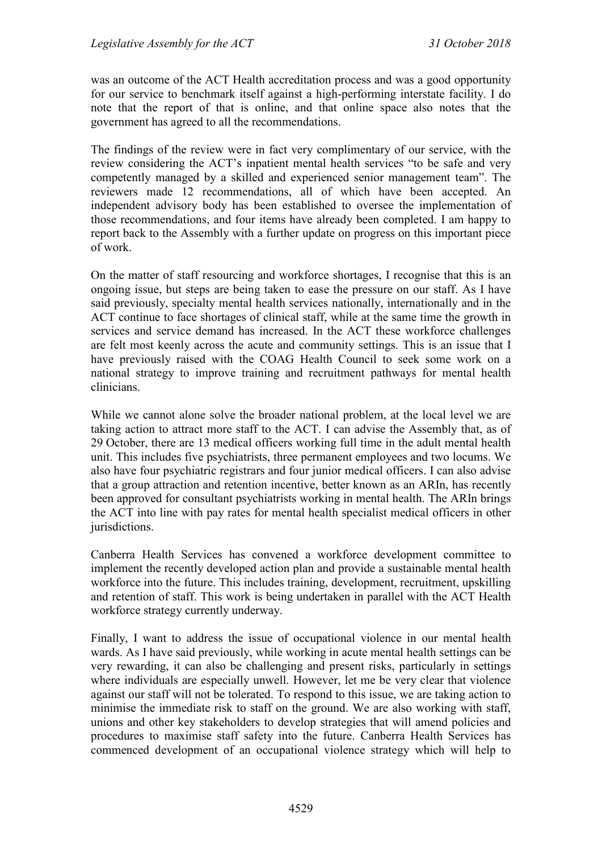was an outcome of the ACT Health accreditation process and was a good opportunity for our service to benchmark itself against a high-performing interstate facility. I do note that the report of that is online, and that online space also notes that the government has agreed to all the recommendations.

The findings of the review were in fact very complimentary of our service, with the review considering the ACT's inpatient mental health services "to be safe and very competently managed by a skilled and experienced senior management team". The reviewers made 12 recommendations, all of which have been accepted. An independent advisory body has been established to oversee the implementation of those recommendations, and four items have already been completed. I am happy to report back to the Assembly with a further update on progress on this important piece of work.

On the matter of staff resourcing and workforce shortages, I recognise that this is an ongoing issue, but steps are being taken to ease the pressure on our staff. As I have said previously, specialty mental health services nationally, internationally and in the ACT continue to face shortages of clinical staff, while at the same time the growth in services and service demand has increased. In the ACT these workforce challenges are felt most keenly across the acute and community settings. This is an issue that I have previously raised with the COAG Health Council to seek some work on a national strategy to improve training and recruitment pathways for mental health clinicians.

While we cannot alone solve the broader national problem, at the local level we are taking action to attract more staff to the ACT. I can advise the Assembly that, as of 29 October, there are 13 medical officers working full time in the adult mental health unit. This includes five psychiatrists, three permanent employees and two locums. We also have four psychiatric registrars and four junior medical officers. I can also advise that a group attraction and retention incentive, better known as an ARIn, has recently been approved for consultant psychiatrists working in mental health. The ARIn brings the ACT into line with pay rates for mental health specialist medical officers in other jurisdictions.

Canberra Health Services has convened a workforce development committee to implement the recently developed action plan and provide a sustainable mental health workforce into the future. This includes training, development, recruitment, upskilling and retention of staff. This work is being undertaken in parallel with the ACT Health workforce strategy currently underway.

Finally, I want to address the issue of occupational violence in our mental health wards. As I have said previously, while working in acute mental health settings can be very rewarding, it can also be challenging and present risks, particularly in settings where individuals are especially unwell. However, let me be very clear that violence against our staff will not be tolerated. To respond to this issue, we are taking action to minimise the immediate risk to staff on the ground. We are also working with staff, unions and other key stakeholders to develop strategies that will amend policies and procedures to maximise staff safety into the future. Canberra Health Services has commenced development of an occupational violence strategy which will help to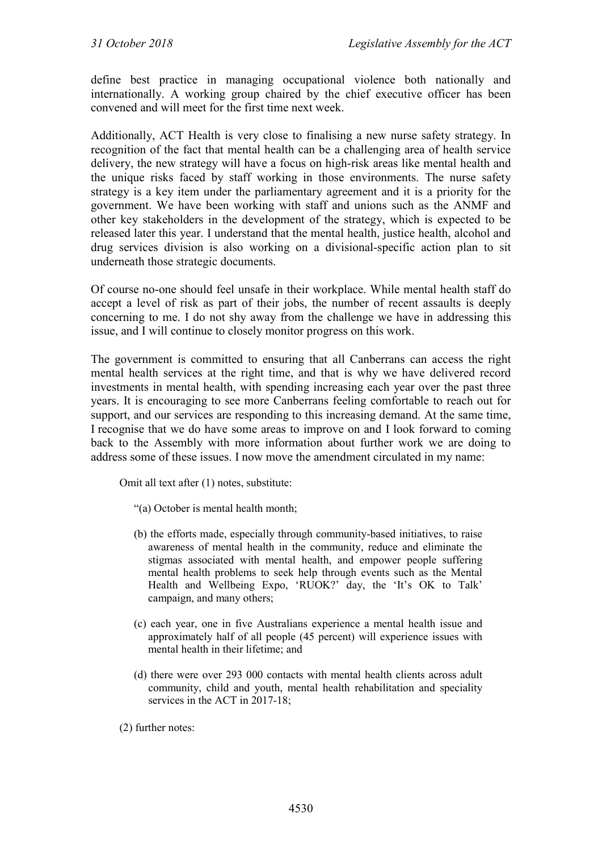define best practice in managing occupational violence both nationally and internationally. A working group chaired by the chief executive officer has been convened and will meet for the first time next week.

Additionally, ACT Health is very close to finalising a new nurse safety strategy. In recognition of the fact that mental health can be a challenging area of health service delivery, the new strategy will have a focus on high-risk areas like mental health and the unique risks faced by staff working in those environments. The nurse safety strategy is a key item under the parliamentary agreement and it is a priority for the government. We have been working with staff and unions such as the ANMF and other key stakeholders in the development of the strategy, which is expected to be released later this year. I understand that the mental health, justice health, alcohol and drug services division is also working on a divisional-specific action plan to sit underneath those strategic documents.

Of course no-one should feel unsafe in their workplace. While mental health staff do accept a level of risk as part of their jobs, the number of recent assaults is deeply concerning to me. I do not shy away from the challenge we have in addressing this issue, and I will continue to closely monitor progress on this work.

The government is committed to ensuring that all Canberrans can access the right mental health services at the right time, and that is why we have delivered record investments in mental health, with spending increasing each year over the past three years. It is encouraging to see more Canberrans feeling comfortable to reach out for support, and our services are responding to this increasing demand. At the same time, I recognise that we do have some areas to improve on and I look forward to coming back to the Assembly with more information about further work we are doing to address some of these issues. I now move the amendment circulated in my name:

Omit all text after (1) notes, substitute:

- "(a) October is mental health month;
- (b) the efforts made, especially through community-based initiatives, to raise awareness of mental health in the community, reduce and eliminate the stigmas associated with mental health, and empower people suffering mental health problems to seek help through events such as the Mental Health and Wellbeing Expo, 'RUOK?' day, the 'It's OK to Talk' campaign, and many others;
- (c) each year, one in five Australians experience a mental health issue and approximately half of all people (45 percent) will experience issues with mental health in their lifetime; and
- (d) there were over 293 000 contacts with mental health clients across adult community, child and youth, mental health rehabilitation and speciality services in the ACT in 2017-18;

(2) further notes: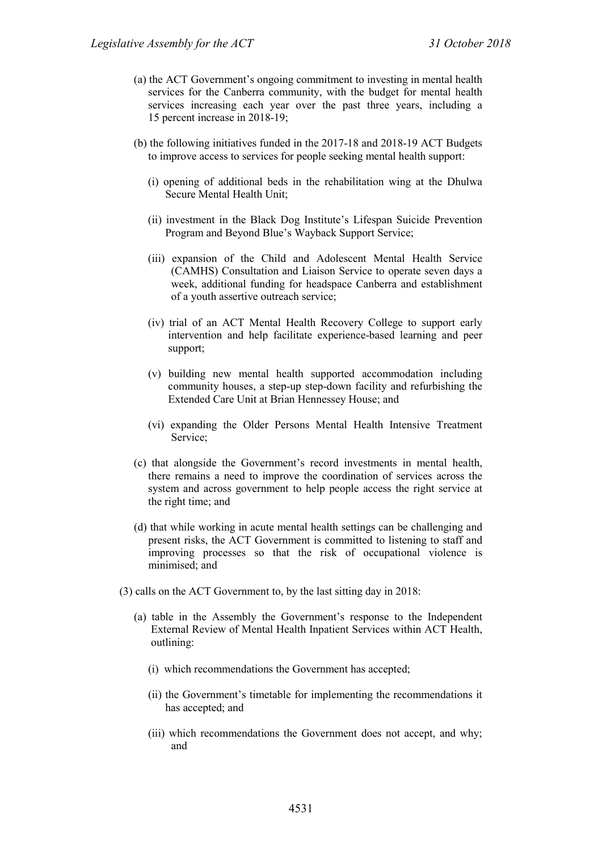- (a) the ACT Government's ongoing commitment to investing in mental health services for the Canberra community, with the budget for mental health services increasing each year over the past three years, including a 15 percent increase in 2018-19;
- (b) the following initiatives funded in the 2017-18 and 2018-19 ACT Budgets to improve access to services for people seeking mental health support:
	- (i) opening of additional beds in the rehabilitation wing at the Dhulwa Secure Mental Health Unit;
	- (ii) investment in the Black Dog Institute's Lifespan Suicide Prevention Program and Beyond Blue's Wayback Support Service;
	- (iii) expansion of the Child and Adolescent Mental Health Service (CAMHS) Consultation and Liaison Service to operate seven days a week, additional funding for headspace Canberra and establishment of a youth assertive outreach service;
	- (iv) trial of an ACT Mental Health Recovery College to support early intervention and help facilitate experience-based learning and peer support;
	- (v) building new mental health supported accommodation including community houses, a step-up step-down facility and refurbishing the Extended Care Unit at Brian Hennessey House; and
	- (vi) expanding the Older Persons Mental Health Intensive Treatment Service;
- (c) that alongside the Government's record investments in mental health, there remains a need to improve the coordination of services across the system and across government to help people access the right service at the right time; and
- (d) that while working in acute mental health settings can be challenging and present risks, the ACT Government is committed to listening to staff and improving processes so that the risk of occupational violence is minimised; and
- (3) calls on the ACT Government to, by the last sitting day in 2018:
	- (a) table in the Assembly the Government's response to the Independent External Review of Mental Health Inpatient Services within ACT Health, outlining:
		- (i) which recommendations the Government has accepted;
		- (ii) the Government's timetable for implementing the recommendations it has accepted; and
		- (iii) which recommendations the Government does not accept, and why; and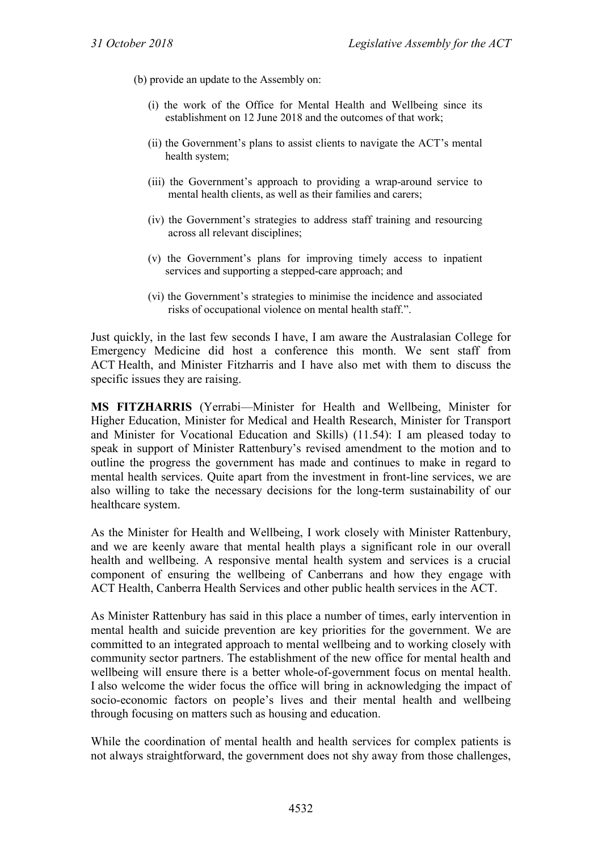(b) provide an update to the Assembly on:

- (i) the work of the Office for Mental Health and Wellbeing since its establishment on 12 June 2018 and the outcomes of that work;
- (ii) the Government's plans to assist clients to navigate the ACT's mental health system;
- (iii) the Government's approach to providing a wrap-around service to mental health clients, as well as their families and carers;
- (iv) the Government's strategies to address staff training and resourcing across all relevant disciplines;
- (v) the Government's plans for improving timely access to inpatient services and supporting a stepped-care approach; and
- (vi) the Government's strategies to minimise the incidence and associated risks of occupational violence on mental health staff.".

Just quickly, in the last few seconds I have, I am aware the Australasian College for Emergency Medicine did host a conference this month. We sent staff from ACT Health, and Minister Fitzharris and I have also met with them to discuss the specific issues they are raising.

**MS FITZHARRIS** (Yerrabi—Minister for Health and Wellbeing, Minister for Higher Education, Minister for Medical and Health Research, Minister for Transport and Minister for Vocational Education and Skills) (11.54): I am pleased today to speak in support of Minister Rattenbury's revised amendment to the motion and to outline the progress the government has made and continues to make in regard to mental health services. Quite apart from the investment in front-line services, we are also willing to take the necessary decisions for the long-term sustainability of our healthcare system.

As the Minister for Health and Wellbeing, I work closely with Minister Rattenbury, and we are keenly aware that mental health plays a significant role in our overall health and wellbeing. A responsive mental health system and services is a crucial component of ensuring the wellbeing of Canberrans and how they engage with ACT Health, Canberra Health Services and other public health services in the ACT.

As Minister Rattenbury has said in this place a number of times, early intervention in mental health and suicide prevention are key priorities for the government. We are committed to an integrated approach to mental wellbeing and to working closely with community sector partners. The establishment of the new office for mental health and wellbeing will ensure there is a better whole-of-government focus on mental health. I also welcome the wider focus the office will bring in acknowledging the impact of socio-economic factors on people's lives and their mental health and wellbeing through focusing on matters such as housing and education.

While the coordination of mental health and health services for complex patients is not always straightforward, the government does not shy away from those challenges,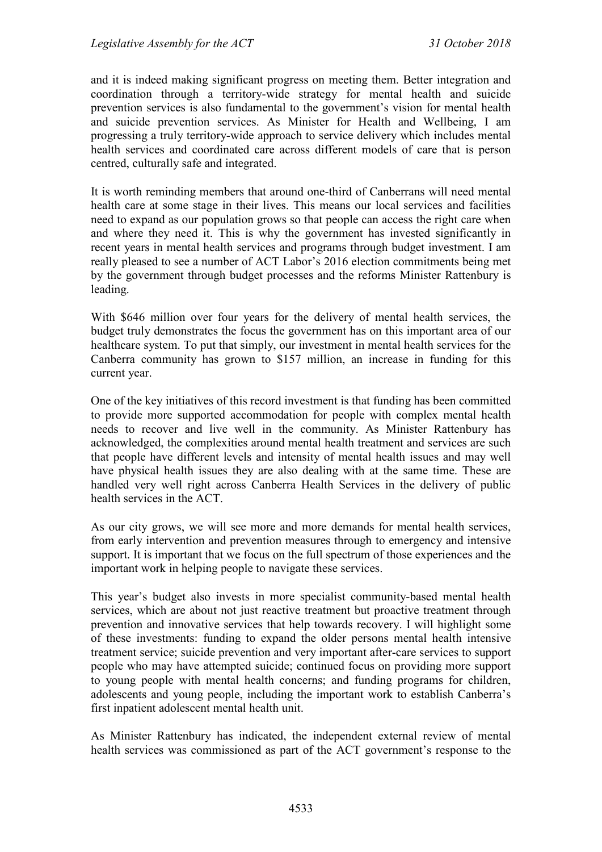and it is indeed making significant progress on meeting them. Better integration and coordination through a territory-wide strategy for mental health and suicide prevention services is also fundamental to the government's vision for mental health and suicide prevention services. As Minister for Health and Wellbeing, I am progressing a truly territory-wide approach to service delivery which includes mental health services and coordinated care across different models of care that is person centred, culturally safe and integrated.

It is worth reminding members that around one-third of Canberrans will need mental health care at some stage in their lives. This means our local services and facilities need to expand as our population grows so that people can access the right care when and where they need it. This is why the government has invested significantly in recent years in mental health services and programs through budget investment. I am really pleased to see a number of ACT Labor's 2016 election commitments being met by the government through budget processes and the reforms Minister Rattenbury is leading.

With \$646 million over four years for the delivery of mental health services, the budget truly demonstrates the focus the government has on this important area of our healthcare system. To put that simply, our investment in mental health services for the Canberra community has grown to \$157 million, an increase in funding for this current year.

One of the key initiatives of this record investment is that funding has been committed to provide more supported accommodation for people with complex mental health needs to recover and live well in the community. As Minister Rattenbury has acknowledged, the complexities around mental health treatment and services are such that people have different levels and intensity of mental health issues and may well have physical health issues they are also dealing with at the same time. These are handled very well right across Canberra Health Services in the delivery of public health services in the ACT.

As our city grows, we will see more and more demands for mental health services, from early intervention and prevention measures through to emergency and intensive support. It is important that we focus on the full spectrum of those experiences and the important work in helping people to navigate these services.

This year's budget also invests in more specialist community-based mental health services, which are about not just reactive treatment but proactive treatment through prevention and innovative services that help towards recovery. I will highlight some of these investments: funding to expand the older persons mental health intensive treatment service; suicide prevention and very important after-care services to support people who may have attempted suicide; continued focus on providing more support to young people with mental health concerns; and funding programs for children, adolescents and young people, including the important work to establish Canberra's first inpatient adolescent mental health unit.

As Minister Rattenbury has indicated, the independent external review of mental health services was commissioned as part of the ACT government's response to the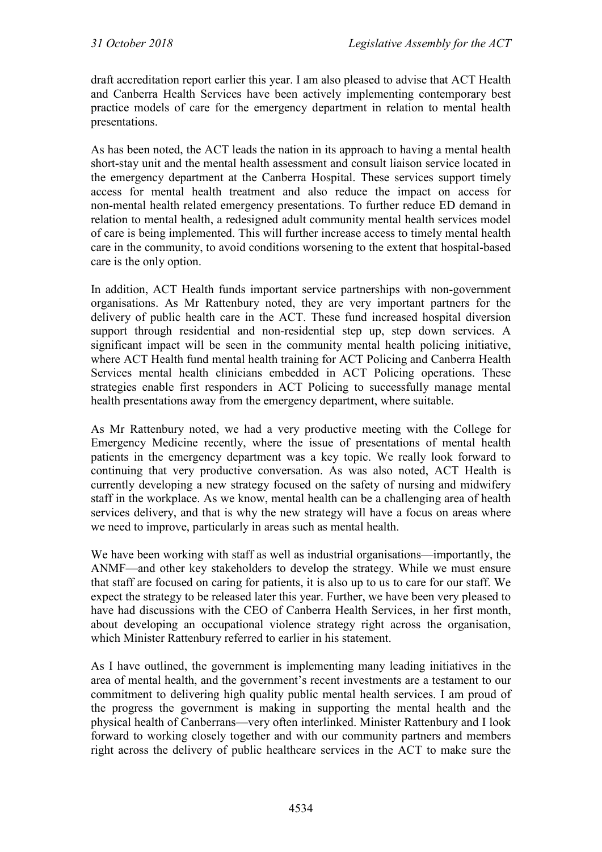draft accreditation report earlier this year. I am also pleased to advise that ACT Health and Canberra Health Services have been actively implementing contemporary best practice models of care for the emergency department in relation to mental health presentations.

As has been noted, the ACT leads the nation in its approach to having a mental health short-stay unit and the mental health assessment and consult liaison service located in the emergency department at the Canberra Hospital. These services support timely access for mental health treatment and also reduce the impact on access for non-mental health related emergency presentations. To further reduce ED demand in relation to mental health, a redesigned adult community mental health services model of care is being implemented. This will further increase access to timely mental health care in the community, to avoid conditions worsening to the extent that hospital-based care is the only option.

In addition, ACT Health funds important service partnerships with non-government organisations. As Mr Rattenbury noted, they are very important partners for the delivery of public health care in the ACT. These fund increased hospital diversion support through residential and non-residential step up, step down services. A significant impact will be seen in the community mental health policing initiative, where ACT Health fund mental health training for ACT Policing and Canberra Health Services mental health clinicians embedded in ACT Policing operations. These strategies enable first responders in ACT Policing to successfully manage mental health presentations away from the emergency department, where suitable.

As Mr Rattenbury noted, we had a very productive meeting with the College for Emergency Medicine recently, where the issue of presentations of mental health patients in the emergency department was a key topic. We really look forward to continuing that very productive conversation. As was also noted, ACT Health is currently developing a new strategy focused on the safety of nursing and midwifery staff in the workplace. As we know, mental health can be a challenging area of health services delivery, and that is why the new strategy will have a focus on areas where we need to improve, particularly in areas such as mental health.

We have been working with staff as well as industrial organisations—importantly, the ANMF—and other key stakeholders to develop the strategy. While we must ensure that staff are focused on caring for patients, it is also up to us to care for our staff. We expect the strategy to be released later this year. Further, we have been very pleased to have had discussions with the CEO of Canberra Health Services, in her first month, about developing an occupational violence strategy right across the organisation, which Minister Rattenbury referred to earlier in his statement.

As I have outlined, the government is implementing many leading initiatives in the area of mental health, and the government's recent investments are a testament to our commitment to delivering high quality public mental health services. I am proud of the progress the government is making in supporting the mental health and the physical health of Canberrans—very often interlinked. Minister Rattenbury and I look forward to working closely together and with our community partners and members right across the delivery of public healthcare services in the ACT to make sure the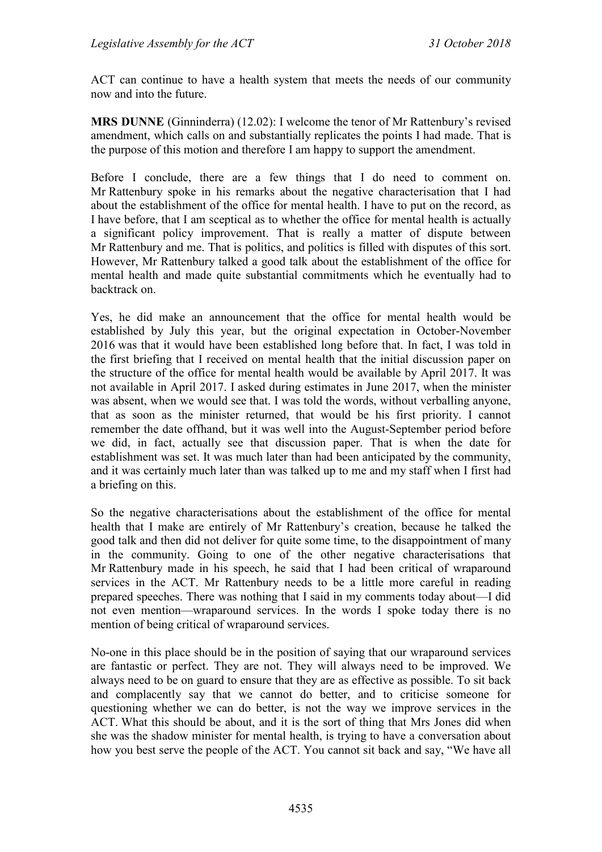ACT can continue to have a health system that meets the needs of our community now and into the future.

**MRS DUNNE** (Ginninderra) (12.02): I welcome the tenor of Mr Rattenbury's revised amendment, which calls on and substantially replicates the points I had made. That is the purpose of this motion and therefore I am happy to support the amendment.

Before I conclude, there are a few things that I do need to comment on. Mr Rattenbury spoke in his remarks about the negative characterisation that I had about the establishment of the office for mental health. I have to put on the record, as I have before, that I am sceptical as to whether the office for mental health is actually a significant policy improvement. That is really a matter of dispute between Mr Rattenbury and me. That is politics, and politics is filled with disputes of this sort. However, Mr Rattenbury talked a good talk about the establishment of the office for mental health and made quite substantial commitments which he eventually had to backtrack on.

Yes, he did make an announcement that the office for mental health would be established by July this year, but the original expectation in October-November 2016 was that it would have been established long before that. In fact, I was told in the first briefing that I received on mental health that the initial discussion paper on the structure of the office for mental health would be available by April 2017. It was not available in April 2017. I asked during estimates in June 2017, when the minister was absent, when we would see that. I was told the words, without verballing anyone, that as soon as the minister returned, that would be his first priority. I cannot remember the date offhand, but it was well into the August-September period before we did, in fact, actually see that discussion paper. That is when the date for establishment was set. It was much later than had been anticipated by the community, and it was certainly much later than was talked up to me and my staff when I first had a briefing on this.

So the negative characterisations about the establishment of the office for mental health that I make are entirely of Mr Rattenbury's creation, because he talked the good talk and then did not deliver for quite some time, to the disappointment of many in the community. Going to one of the other negative characterisations that Mr Rattenbury made in his speech, he said that I had been critical of wraparound services in the ACT. Mr Rattenbury needs to be a little more careful in reading prepared speeches. There was nothing that I said in my comments today about—I did not even mention—wraparound services. In the words I spoke today there is no mention of being critical of wraparound services.

No-one in this place should be in the position of saying that our wraparound services are fantastic or perfect. They are not. They will always need to be improved. We always need to be on guard to ensure that they are as effective as possible. To sit back and complacently say that we cannot do better, and to criticise someone for questioning whether we can do better, is not the way we improve services in the ACT. What this should be about, and it is the sort of thing that Mrs Jones did when she was the shadow minister for mental health, is trying to have a conversation about how you best serve the people of the ACT. You cannot sit back and say, "We have all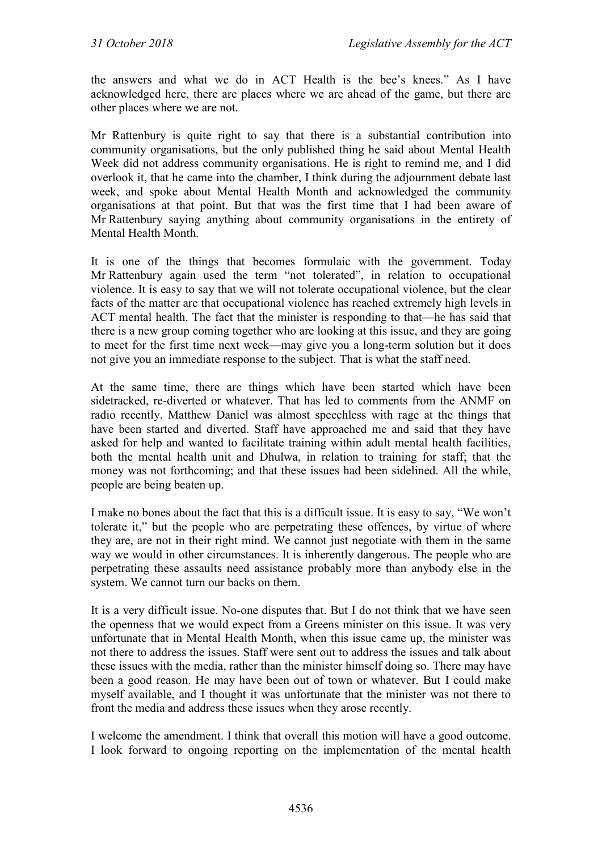the answers and what we do in ACT Health is the bee's knees." As I have acknowledged here, there are places where we are ahead of the game, but there are other places where we are not.

Mr Rattenbury is quite right to say that there is a substantial contribution into community organisations, but the only published thing he said about Mental Health Week did not address community organisations. He is right to remind me, and I did overlook it, that he came into the chamber, I think during the adjournment debate last week, and spoke about Mental Health Month and acknowledged the community organisations at that point. But that was the first time that I had been aware of Mr Rattenbury saying anything about community organisations in the entirety of Mental Health Month.

It is one of the things that becomes formulaic with the government. Today Mr Rattenbury again used the term "not tolerated", in relation to occupational violence. It is easy to say that we will not tolerate occupational violence, but the clear facts of the matter are that occupational violence has reached extremely high levels in ACT mental health. The fact that the minister is responding to that—he has said that there is a new group coming together who are looking at this issue, and they are going to meet for the first time next week—may give you a long-term solution but it does not give you an immediate response to the subject. That is what the staff need.

At the same time, there are things which have been started which have been sidetracked, re-diverted or whatever. That has led to comments from the ANMF on radio recently. Matthew Daniel was almost speechless with rage at the things that have been started and diverted. Staff have approached me and said that they have asked for help and wanted to facilitate training within adult mental health facilities, both the mental health unit and Dhulwa, in relation to training for staff; that the money was not forthcoming; and that these issues had been sidelined. All the while, people are being beaten up.

I make no bones about the fact that this is a difficult issue. It is easy to say, "We won't tolerate it," but the people who are perpetrating these offences, by virtue of where they are, are not in their right mind. We cannot just negotiate with them in the same way we would in other circumstances. It is inherently dangerous. The people who are perpetrating these assaults need assistance probably more than anybody else in the system. We cannot turn our backs on them.

It is a very difficult issue. No-one disputes that. But I do not think that we have seen the openness that we would expect from a Greens minister on this issue. It was very unfortunate that in Mental Health Month, when this issue came up, the minister was not there to address the issues. Staff were sent out to address the issues and talk about these issues with the media, rather than the minister himself doing so. There may have been a good reason. He may have been out of town or whatever. But I could make myself available, and I thought it was unfortunate that the minister was not there to front the media and address these issues when they arose recently.

I welcome the amendment. I think that overall this motion will have a good outcome. I look forward to ongoing reporting on the implementation of the mental health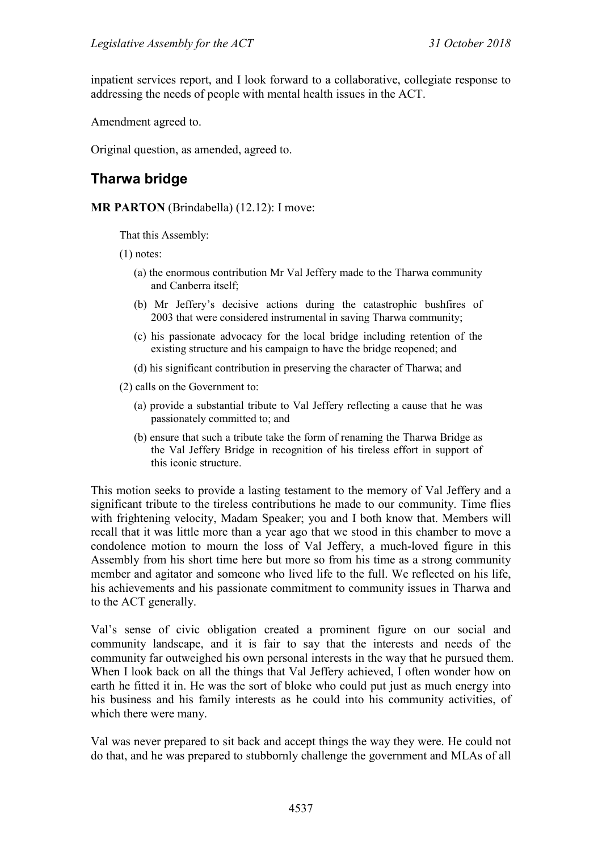inpatient services report, and I look forward to a collaborative, collegiate response to addressing the needs of people with mental health issues in the ACT.

Amendment agreed to.

Original question, as amended, agreed to.

# **Tharwa bridge**

#### **MR PARTON** (Brindabella) (12.12): I move:

That this Assembly:

(1) notes:

- (a) the enormous contribution Mr Val Jeffery made to the Tharwa community and Canberra itself;
- (b) Mr Jeffery's decisive actions during the catastrophic bushfires of 2003 that were considered instrumental in saving Tharwa community;
- (c) his passionate advocacy for the local bridge including retention of the existing structure and his campaign to have the bridge reopened; and
- (d) his significant contribution in preserving the character of Tharwa; and

(2) calls on the Government to:

- (a) provide a substantial tribute to Val Jeffery reflecting a cause that he was passionately committed to; and
- (b) ensure that such a tribute take the form of renaming the Tharwa Bridge as the Val Jeffery Bridge in recognition of his tireless effort in support of this iconic structure.

This motion seeks to provide a lasting testament to the memory of Val Jeffery and a significant tribute to the tireless contributions he made to our community. Time flies with frightening velocity, Madam Speaker; you and I both know that. Members will recall that it was little more than a year ago that we stood in this chamber to move a condolence motion to mourn the loss of Val Jeffery, a much-loved figure in this Assembly from his short time here but more so from his time as a strong community member and agitator and someone who lived life to the full. We reflected on his life, his achievements and his passionate commitment to community issues in Tharwa and to the ACT generally.

Val's sense of civic obligation created a prominent figure on our social and community landscape, and it is fair to say that the interests and needs of the community far outweighed his own personal interests in the way that he pursued them. When I look back on all the things that Val Jeffery achieved, I often wonder how on earth he fitted it in. He was the sort of bloke who could put just as much energy into his business and his family interests as he could into his community activities, of which there were many.

Val was never prepared to sit back and accept things the way they were. He could not do that, and he was prepared to stubbornly challenge the government and MLAs of all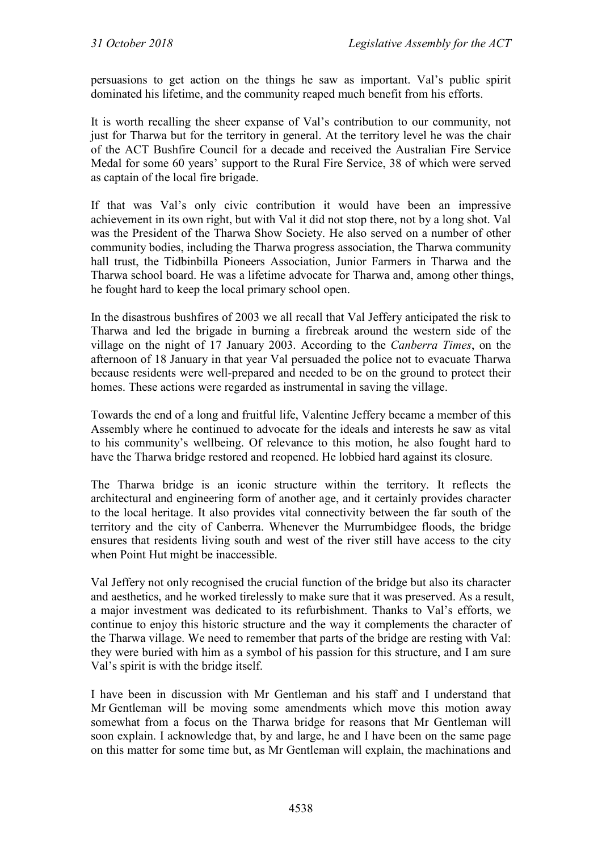persuasions to get action on the things he saw as important. Val's public spirit dominated his lifetime, and the community reaped much benefit from his efforts.

It is worth recalling the sheer expanse of Val's contribution to our community, not just for Tharwa but for the territory in general. At the territory level he was the chair of the ACT Bushfire Council for a decade and received the Australian Fire Service Medal for some 60 years' support to the Rural Fire Service, 38 of which were served as captain of the local fire brigade.

If that was Val's only civic contribution it would have been an impressive achievement in its own right, but with Val it did not stop there, not by a long shot. Val was the President of the Tharwa Show Society. He also served on a number of other community bodies, including the Tharwa progress association, the Tharwa community hall trust, the Tidbinbilla Pioneers Association, Junior Farmers in Tharwa and the Tharwa school board. He was a lifetime advocate for Tharwa and, among other things, he fought hard to keep the local primary school open.

In the disastrous bushfires of 2003 we all recall that Val Jeffery anticipated the risk to Tharwa and led the brigade in burning a firebreak around the western side of the village on the night of 17 January 2003. According to the *Canberra Times*, on the afternoon of 18 January in that year Val persuaded the police not to evacuate Tharwa because residents were well-prepared and needed to be on the ground to protect their homes. These actions were regarded as instrumental in saving the village.

Towards the end of a long and fruitful life, Valentine Jeffery became a member of this Assembly where he continued to advocate for the ideals and interests he saw as vital to his community's wellbeing. Of relevance to this motion, he also fought hard to have the Tharwa bridge restored and reopened. He lobbied hard against its closure.

The Tharwa bridge is an iconic structure within the territory. It reflects the architectural and engineering form of another age, and it certainly provides character to the local heritage. It also provides vital connectivity between the far south of the territory and the city of Canberra. Whenever the Murrumbidgee floods, the bridge ensures that residents living south and west of the river still have access to the city when Point Hut might be inaccessible.

Val Jeffery not only recognised the crucial function of the bridge but also its character and aesthetics, and he worked tirelessly to make sure that it was preserved. As a result, a major investment was dedicated to its refurbishment. Thanks to Val's efforts, we continue to enjoy this historic structure and the way it complements the character of the Tharwa village. We need to remember that parts of the bridge are resting with Val: they were buried with him as a symbol of his passion for this structure, and I am sure Val's spirit is with the bridge itself.

I have been in discussion with Mr Gentleman and his staff and I understand that Mr Gentleman will be moving some amendments which move this motion away somewhat from a focus on the Tharwa bridge for reasons that Mr Gentleman will soon explain. I acknowledge that, by and large, he and I have been on the same page on this matter for some time but, as Mr Gentleman will explain, the machinations and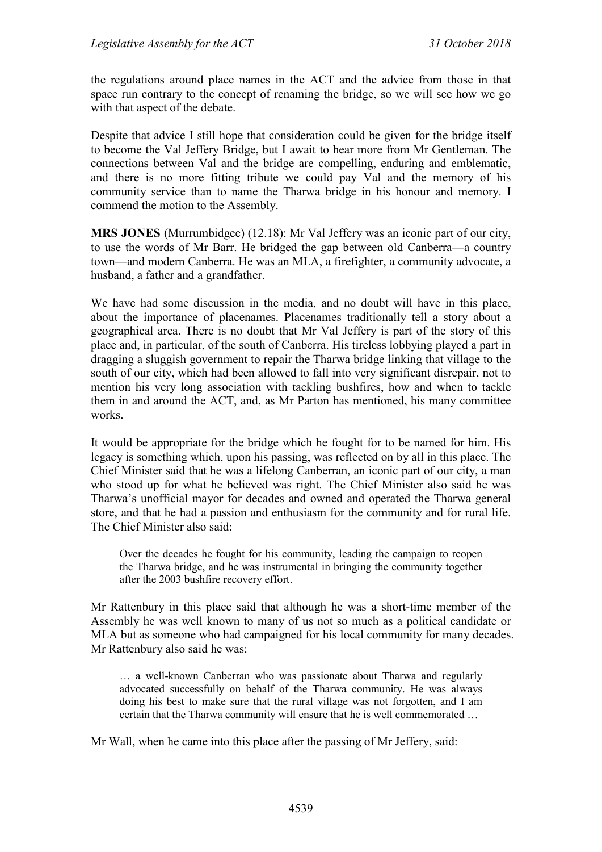the regulations around place names in the ACT and the advice from those in that space run contrary to the concept of renaming the bridge, so we will see how we go with that aspect of the debate.

Despite that advice I still hope that consideration could be given for the bridge itself to become the Val Jeffery Bridge, but I await to hear more from Mr Gentleman. The connections between Val and the bridge are compelling, enduring and emblematic, and there is no more fitting tribute we could pay Val and the memory of his community service than to name the Tharwa bridge in his honour and memory. I commend the motion to the Assembly.

**MRS JONES** (Murrumbidgee) (12.18): Mr Val Jeffery was an iconic part of our city, to use the words of Mr Barr. He bridged the gap between old Canberra—a country town—and modern Canberra. He was an MLA, a firefighter, a community advocate, a husband, a father and a grandfather.

We have had some discussion in the media, and no doubt will have in this place, about the importance of placenames. Placenames traditionally tell a story about a geographical area. There is no doubt that Mr Val Jeffery is part of the story of this place and, in particular, of the south of Canberra. His tireless lobbying played a part in dragging a sluggish government to repair the Tharwa bridge linking that village to the south of our city, which had been allowed to fall into very significant disrepair, not to mention his very long association with tackling bushfires, how and when to tackle them in and around the ACT, and, as Mr Parton has mentioned, his many committee works.

It would be appropriate for the bridge which he fought for to be named for him. His legacy is something which, upon his passing, was reflected on by all in this place. The Chief Minister said that he was a lifelong Canberran, an iconic part of our city, a man who stood up for what he believed was right. The Chief Minister also said he was Tharwa's unofficial mayor for decades and owned and operated the Tharwa general store, and that he had a passion and enthusiasm for the community and for rural life. The Chief Minister also said:

Over the decades he fought for his community, leading the campaign to reopen the Tharwa bridge, and he was instrumental in bringing the community together after the 2003 bushfire recovery effort.

Mr Rattenbury in this place said that although he was a short-time member of the Assembly he was well known to many of us not so much as a political candidate or MLA but as someone who had campaigned for his local community for many decades. Mr Rattenbury also said he was:

… a well-known Canberran who was passionate about Tharwa and regularly advocated successfully on behalf of the Tharwa community. He was always doing his best to make sure that the rural village was not forgotten, and I am certain that the Tharwa community will ensure that he is well commemorated …

Mr Wall, when he came into this place after the passing of Mr Jeffery, said: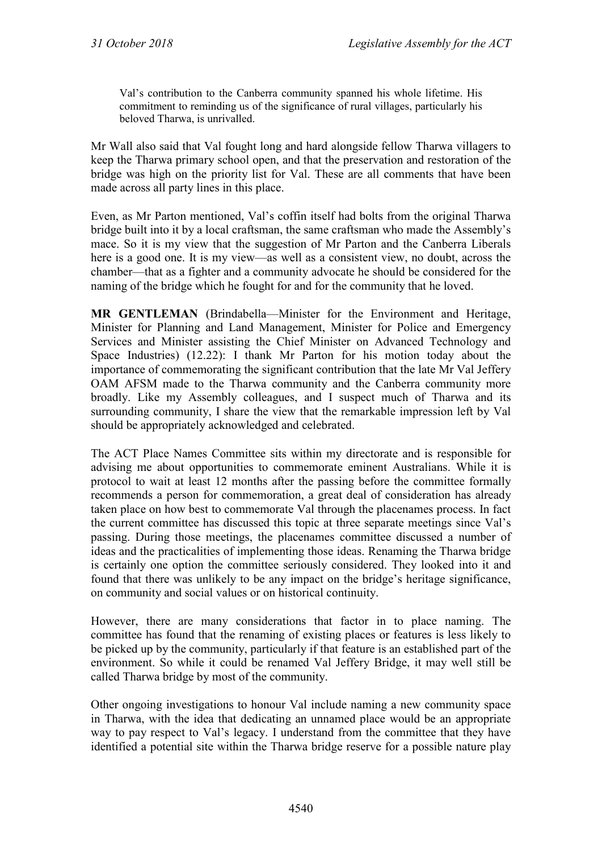Val's contribution to the Canberra community spanned his whole lifetime. His commitment to reminding us of the significance of rural villages, particularly his beloved Tharwa, is unrivalled.

Mr Wall also said that Val fought long and hard alongside fellow Tharwa villagers to keep the Tharwa primary school open, and that the preservation and restoration of the bridge was high on the priority list for Val. These are all comments that have been made across all party lines in this place.

Even, as Mr Parton mentioned, Val's coffin itself had bolts from the original Tharwa bridge built into it by a local craftsman, the same craftsman who made the Assembly's mace. So it is my view that the suggestion of Mr Parton and the Canberra Liberals here is a good one. It is my view—as well as a consistent view, no doubt, across the chamber—that as a fighter and a community advocate he should be considered for the naming of the bridge which he fought for and for the community that he loved.

**MR GENTLEMAN** (Brindabella—Minister for the Environment and Heritage, Minister for Planning and Land Management, Minister for Police and Emergency Services and Minister assisting the Chief Minister on Advanced Technology and Space Industries) (12.22): I thank Mr Parton for his motion today about the importance of commemorating the significant contribution that the late Mr Val Jeffery OAM AFSM made to the Tharwa community and the Canberra community more broadly. Like my Assembly colleagues, and I suspect much of Tharwa and its surrounding community, I share the view that the remarkable impression left by Val should be appropriately acknowledged and celebrated.

The ACT Place Names Committee sits within my directorate and is responsible for advising me about opportunities to commemorate eminent Australians. While it is protocol to wait at least 12 months after the passing before the committee formally recommends a person for commemoration, a great deal of consideration has already taken place on how best to commemorate Val through the placenames process. In fact the current committee has discussed this topic at three separate meetings since Val's passing. During those meetings, the placenames committee discussed a number of ideas and the practicalities of implementing those ideas. Renaming the Tharwa bridge is certainly one option the committee seriously considered. They looked into it and found that there was unlikely to be any impact on the bridge's heritage significance, on community and social values or on historical continuity.

However, there are many considerations that factor in to place naming. The committee has found that the renaming of existing places or features is less likely to be picked up by the community, particularly if that feature is an established part of the environment. So while it could be renamed Val Jeffery Bridge, it may well still be called Tharwa bridge by most of the community.

Other ongoing investigations to honour Val include naming a new community space in Tharwa, with the idea that dedicating an unnamed place would be an appropriate way to pay respect to Val's legacy. I understand from the committee that they have identified a potential site within the Tharwa bridge reserve for a possible nature play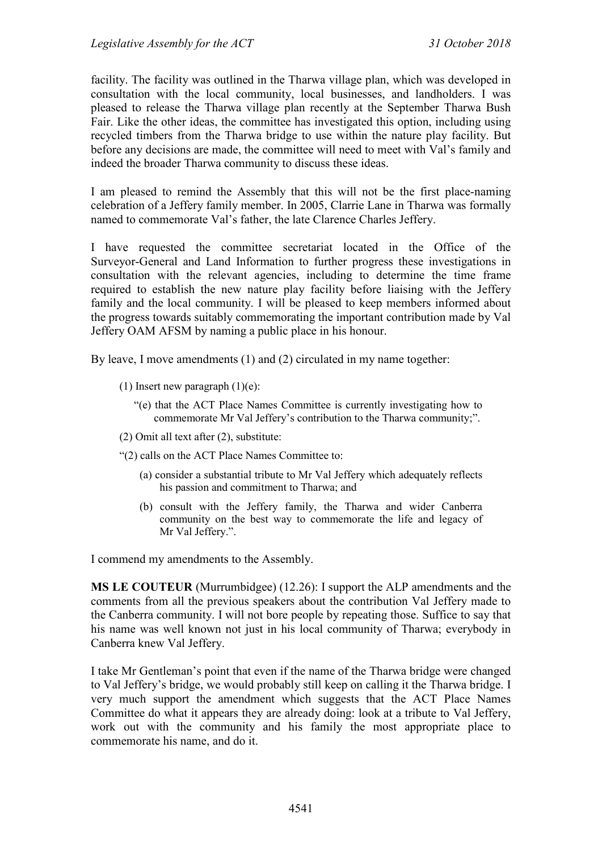facility. The facility was outlined in the Tharwa village plan, which was developed in consultation with the local community, local businesses, and landholders. I was pleased to release the Tharwa village plan recently at the September Tharwa Bush Fair. Like the other ideas, the committee has investigated this option, including using recycled timbers from the Tharwa bridge to use within the nature play facility. But before any decisions are made, the committee will need to meet with Val's family and indeed the broader Tharwa community to discuss these ideas.

I am pleased to remind the Assembly that this will not be the first place-naming celebration of a Jeffery family member. In 2005, Clarrie Lane in Tharwa was formally named to commemorate Val's father, the late Clarence Charles Jeffery.

I have requested the committee secretariat located in the Office of the Surveyor-General and Land Information to further progress these investigations in consultation with the relevant agencies, including to determine the time frame required to establish the new nature play facility before liaising with the Jeffery family and the local community. I will be pleased to keep members informed about the progress towards suitably commemorating the important contribution made by Val Jeffery OAM AFSM by naming a public place in his honour.

By leave, I move amendments (1) and (2) circulated in my name together:

- (1) Insert new paragraph  $(1)(e)$ :
	- "(e) that the ACT Place Names Committee is currently investigating how to commemorate Mr Val Jeffery's contribution to the Tharwa community;".
- (2) Omit all text after (2), substitute:
- "(2) calls on the ACT Place Names Committee to:
	- (a) consider a substantial tribute to Mr Val Jeffery which adequately reflects his passion and commitment to Tharwa; and
	- (b) consult with the Jeffery family, the Tharwa and wider Canberra community on the best way to commemorate the life and legacy of Mr Val Jeffery.".

I commend my amendments to the Assembly.

**MS LE COUTEUR** (Murrumbidgee) (12.26): I support the ALP amendments and the comments from all the previous speakers about the contribution Val Jeffery made to the Canberra community. I will not bore people by repeating those. Suffice to say that his name was well known not just in his local community of Tharwa; everybody in Canberra knew Val Jeffery.

I take Mr Gentleman's point that even if the name of the Tharwa bridge were changed to Val Jeffery's bridge, we would probably still keep on calling it the Tharwa bridge. I very much support the amendment which suggests that the ACT Place Names Committee do what it appears they are already doing: look at a tribute to Val Jeffery, work out with the community and his family the most appropriate place to commemorate his name, and do it.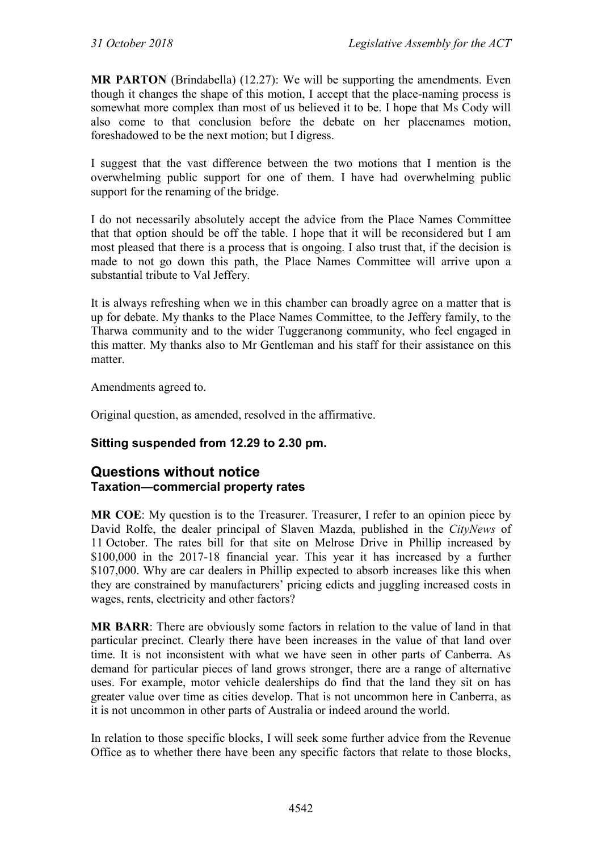**MR PARTON** (Brindabella) (12.27): We will be supporting the amendments. Even though it changes the shape of this motion, I accept that the place-naming process is somewhat more complex than most of us believed it to be. I hope that Ms Cody will also come to that conclusion before the debate on her placenames motion, foreshadowed to be the next motion; but I digress.

I suggest that the vast difference between the two motions that I mention is the overwhelming public support for one of them. I have had overwhelming public support for the renaming of the bridge.

I do not necessarily absolutely accept the advice from the Place Names Committee that that option should be off the table. I hope that it will be reconsidered but I am most pleased that there is a process that is ongoing. I also trust that, if the decision is made to not go down this path, the Place Names Committee will arrive upon a substantial tribute to Val Jeffery.

It is always refreshing when we in this chamber can broadly agree on a matter that is up for debate. My thanks to the Place Names Committee, to the Jeffery family, to the Tharwa community and to the wider Tuggeranong community, who feel engaged in this matter. My thanks also to Mr Gentleman and his staff for their assistance on this matter.

Amendments agreed to.

Original question, as amended, resolved in the affirmative.

## **Sitting suspended from 12.29 to 2.30 pm.**

## **Questions without notice Taxation—commercial property rates**

**MR COE**: My question is to the Treasurer. Treasurer, I refer to an opinion piece by David Rolfe, the dealer principal of Slaven Mazda, published in the *CityNews* of 11 October. The rates bill for that site on Melrose Drive in Phillip increased by \$100,000 in the 2017-18 financial year. This year it has increased by a further \$107,000. Why are car dealers in Phillip expected to absorb increases like this when they are constrained by manufacturers' pricing edicts and juggling increased costs in wages, rents, electricity and other factors?

**MR BARR**: There are obviously some factors in relation to the value of land in that particular precinct. Clearly there have been increases in the value of that land over time. It is not inconsistent with what we have seen in other parts of Canberra. As demand for particular pieces of land grows stronger, there are a range of alternative uses. For example, motor vehicle dealerships do find that the land they sit on has greater value over time as cities develop. That is not uncommon here in Canberra, as it is not uncommon in other parts of Australia or indeed around the world.

In relation to those specific blocks, I will seek some further advice from the Revenue Office as to whether there have been any specific factors that relate to those blocks,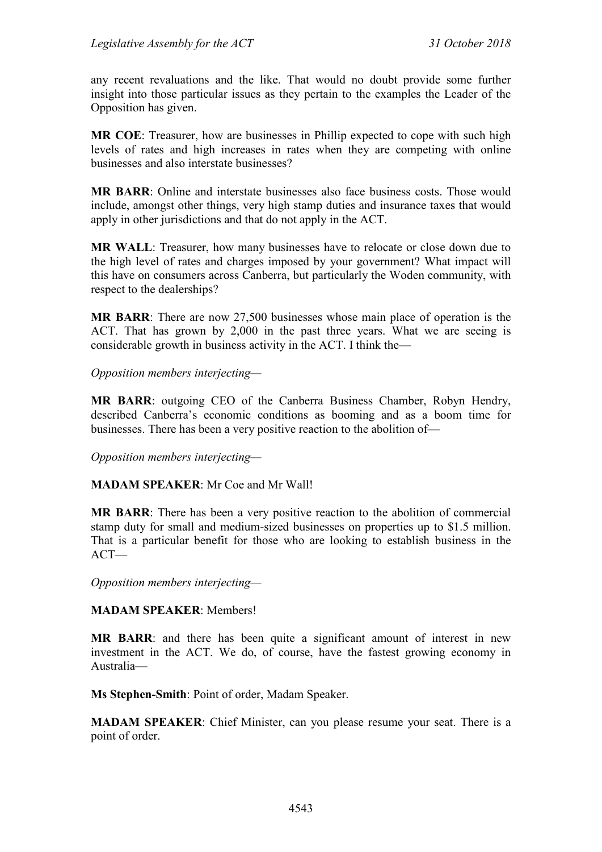any recent revaluations and the like. That would no doubt provide some further insight into those particular issues as they pertain to the examples the Leader of the Opposition has given.

**MR COE**: Treasurer, how are businesses in Phillip expected to cope with such high levels of rates and high increases in rates when they are competing with online businesses and also interstate businesses?

**MR BARR**: Online and interstate businesses also face business costs. Those would include, amongst other things, very high stamp duties and insurance taxes that would apply in other jurisdictions and that do not apply in the ACT.

**MR WALL**: Treasurer, how many businesses have to relocate or close down due to the high level of rates and charges imposed by your government? What impact will this have on consumers across Canberra, but particularly the Woden community, with respect to the dealerships?

**MR BARR**: There are now 27,500 businesses whose main place of operation is the ACT. That has grown by 2,000 in the past three years. What we are seeing is considerable growth in business activity in the ACT. I think the—

*Opposition members interjecting—*

**MR BARR**: outgoing CEO of the Canberra Business Chamber, Robyn Hendry, described Canberra's economic conditions as booming and as a boom time for businesses. There has been a very positive reaction to the abolition of—

*Opposition members interjecting—*

**MADAM SPEAKER**: Mr Coe and Mr Wall!

**MR BARR**: There has been a very positive reaction to the abolition of commercial stamp duty for small and medium-sized businesses on properties up to \$1.5 million. That is a particular benefit for those who are looking to establish business in the ACT—

*Opposition members interjecting—*

**MADAM SPEAKER**: Members!

**MR BARR**: and there has been quite a significant amount of interest in new investment in the ACT. We do, of course, have the fastest growing economy in Australia—

**Ms Stephen-Smith**: Point of order, Madam Speaker.

**MADAM SPEAKER**: Chief Minister, can you please resume your seat. There is a point of order.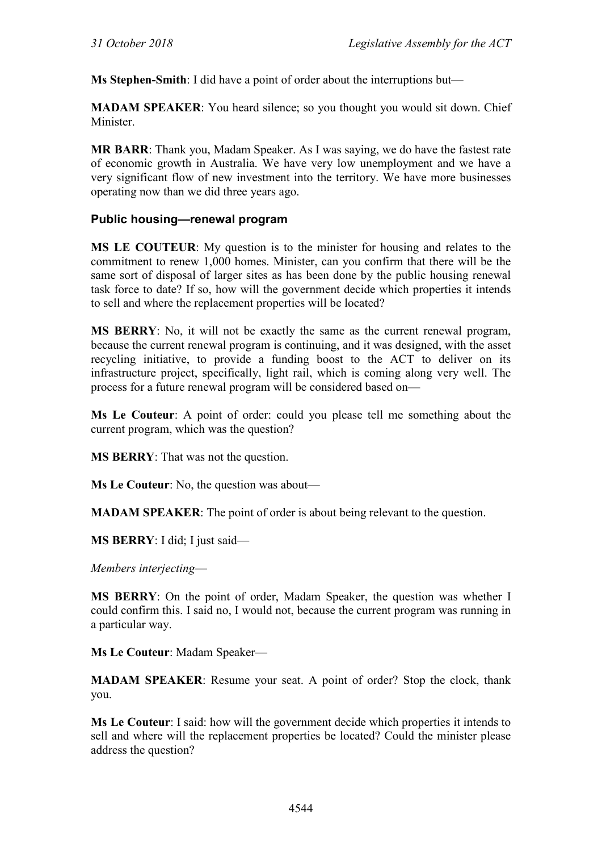**Ms Stephen-Smith**: I did have a point of order about the interruptions but—

**MADAM SPEAKER**: You heard silence; so you thought you would sit down. Chief Minister.

**MR BARR**: Thank you, Madam Speaker. As I was saying, we do have the fastest rate of economic growth in Australia. We have very low unemployment and we have a very significant flow of new investment into the territory. We have more businesses operating now than we did three years ago.

### **Public housing—renewal program**

**MS LE COUTEUR**: My question is to the minister for housing and relates to the commitment to renew 1,000 homes. Minister, can you confirm that there will be the same sort of disposal of larger sites as has been done by the public housing renewal task force to date? If so, how will the government decide which properties it intends to sell and where the replacement properties will be located?

**MS BERRY**: No, it will not be exactly the same as the current renewal program, because the current renewal program is continuing, and it was designed, with the asset recycling initiative, to provide a funding boost to the ACT to deliver on its infrastructure project, specifically, light rail, which is coming along very well. The process for a future renewal program will be considered based on—

**Ms Le Couteur**: A point of order: could you please tell me something about the current program, which was the question?

**MS BERRY**: That was not the question.

**Ms Le Couteur**: No, the question was about—

**MADAM SPEAKER**: The point of order is about being relevant to the question.

**MS BERRY**: I did; I just said—

*Members interjecting*—

**MS BERRY**: On the point of order, Madam Speaker, the question was whether I could confirm this. I said no, I would not, because the current program was running in a particular way.

**Ms Le Couteur**: Madam Speaker—

**MADAM SPEAKER**: Resume your seat. A point of order? Stop the clock, thank you.

**Ms Le Couteur**: I said: how will the government decide which properties it intends to sell and where will the replacement properties be located? Could the minister please address the question?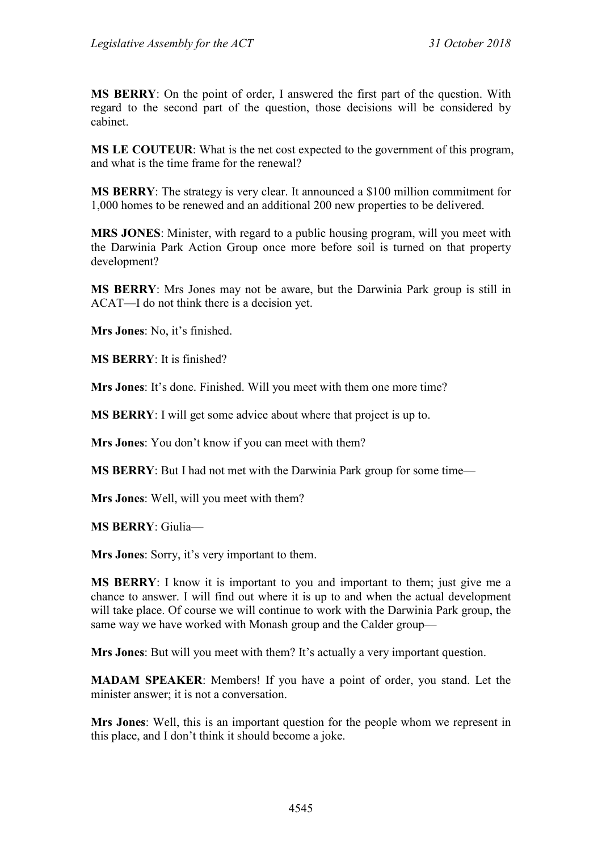**MS BERRY**: On the point of order, I answered the first part of the question. With regard to the second part of the question, those decisions will be considered by cabinet.

**MS LE COUTEUR**: What is the net cost expected to the government of this program, and what is the time frame for the renewal?

**MS BERRY**: The strategy is very clear. It announced a \$100 million commitment for 1,000 homes to be renewed and an additional 200 new properties to be delivered.

**MRS JONES**: Minister, with regard to a public housing program, will you meet with the Darwinia Park Action Group once more before soil is turned on that property development?

**MS BERRY**: Mrs Jones may not be aware, but the Darwinia Park group is still in ACAT—I do not think there is a decision yet.

**Mrs Jones**: No, it's finished.

**MS BERRY**: It is finished?

**Mrs Jones**: It's done. Finished. Will you meet with them one more time?

**MS BERRY**: I will get some advice about where that project is up to.

**Mrs Jones**: You don't know if you can meet with them?

**MS BERRY**: But I had not met with the Darwinia Park group for some time—

**Mrs Jones**: Well, will you meet with them?

**MS BERRY**: Giulia—

**Mrs Jones**: Sorry, it's very important to them.

**MS BERRY**: I know it is important to you and important to them; just give me a chance to answer. I will find out where it is up to and when the actual development will take place. Of course we will continue to work with the Darwinia Park group, the same way we have worked with Monash group and the Calder group—

**Mrs Jones**: But will you meet with them? It's actually a very important question.

**MADAM SPEAKER**: Members! If you have a point of order, you stand. Let the minister answer; it is not a conversation.

**Mrs Jones**: Well, this is an important question for the people whom we represent in this place, and I don't think it should become a joke.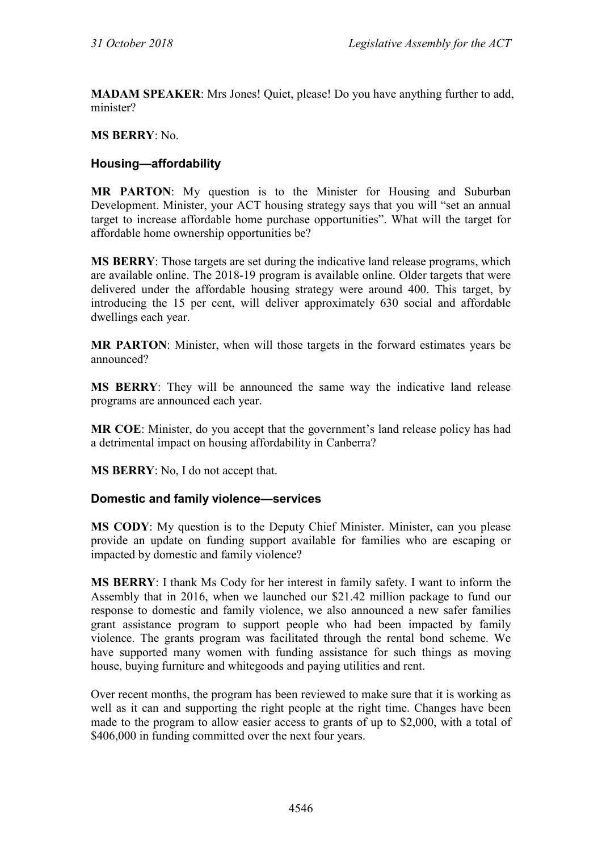**MADAM SPEAKER**: Mrs Jones! Quiet, please! Do you have anything further to add, minister?

### **MS BERRY**: No.

## **Housing—affordability**

**MR PARTON**: My question is to the Minister for Housing and Suburban Development. Minister, your ACT housing strategy says that you will "set an annual target to increase affordable home purchase opportunities". What will the target for affordable home ownership opportunities be?

**MS BERRY**: Those targets are set during the indicative land release programs, which are available online. The 2018-19 program is available online. Older targets that were delivered under the affordable housing strategy were around 400. This target, by introducing the 15 per cent, will deliver approximately 630 social and affordable dwellings each year.

**MR PARTON**: Minister, when will those targets in the forward estimates years be announced?

**MS BERRY**: They will be announced the same way the indicative land release programs are announced each year.

**MR COE**: Minister, do you accept that the government's land release policy has had a detrimental impact on housing affordability in Canberra?

**MS BERRY**: No, I do not accept that.

#### **Domestic and family violence—services**

**MS CODY**: My question is to the Deputy Chief Minister. Minister, can you please provide an update on funding support available for families who are escaping or impacted by domestic and family violence?

**MS BERRY**: I thank Ms Cody for her interest in family safety. I want to inform the Assembly that in 2016, when we launched our \$21.42 million package to fund our response to domestic and family violence, we also announced a new safer families grant assistance program to support people who had been impacted by family violence. The grants program was facilitated through the rental bond scheme. We have supported many women with funding assistance for such things as moving house, buying furniture and whitegoods and paying utilities and rent.

Over recent months, the program has been reviewed to make sure that it is working as well as it can and supporting the right people at the right time. Changes have been made to the program to allow easier access to grants of up to \$2,000, with a total of \$406,000 in funding committed over the next four years.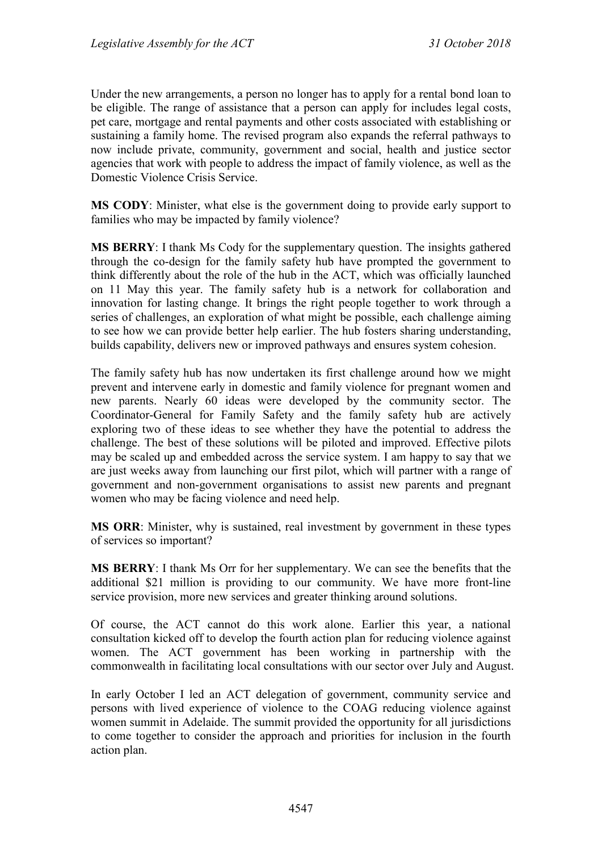Under the new arrangements, a person no longer has to apply for a rental bond loan to be eligible. The range of assistance that a person can apply for includes legal costs, pet care, mortgage and rental payments and other costs associated with establishing or sustaining a family home. The revised program also expands the referral pathways to now include private, community, government and social, health and justice sector agencies that work with people to address the impact of family violence, as well as the Domestic Violence Crisis Service.

**MS CODY**: Minister, what else is the government doing to provide early support to families who may be impacted by family violence?

**MS BERRY**: I thank Ms Cody for the supplementary question. The insights gathered through the co-design for the family safety hub have prompted the government to think differently about the role of the hub in the ACT, which was officially launched on 11 May this year. The family safety hub is a network for collaboration and innovation for lasting change. It brings the right people together to work through a series of challenges, an exploration of what might be possible, each challenge aiming to see how we can provide better help earlier. The hub fosters sharing understanding, builds capability, delivers new or improved pathways and ensures system cohesion.

The family safety hub has now undertaken its first challenge around how we might prevent and intervene early in domestic and family violence for pregnant women and new parents. Nearly 60 ideas were developed by the community sector. The Coordinator-General for Family Safety and the family safety hub are actively exploring two of these ideas to see whether they have the potential to address the challenge. The best of these solutions will be piloted and improved. Effective pilots may be scaled up and embedded across the service system. I am happy to say that we are just weeks away from launching our first pilot, which will partner with a range of government and non-government organisations to assist new parents and pregnant women who may be facing violence and need help.

**MS ORR**: Minister, why is sustained, real investment by government in these types of services so important?

**MS BERRY**: I thank Ms Orr for her supplementary. We can see the benefits that the additional \$21 million is providing to our community. We have more front-line service provision, more new services and greater thinking around solutions.

Of course, the ACT cannot do this work alone. Earlier this year, a national consultation kicked off to develop the fourth action plan for reducing violence against women. The ACT government has been working in partnership with the commonwealth in facilitating local consultations with our sector over July and August.

In early October I led an ACT delegation of government, community service and persons with lived experience of violence to the COAG reducing violence against women summit in Adelaide. The summit provided the opportunity for all jurisdictions to come together to consider the approach and priorities for inclusion in the fourth action plan.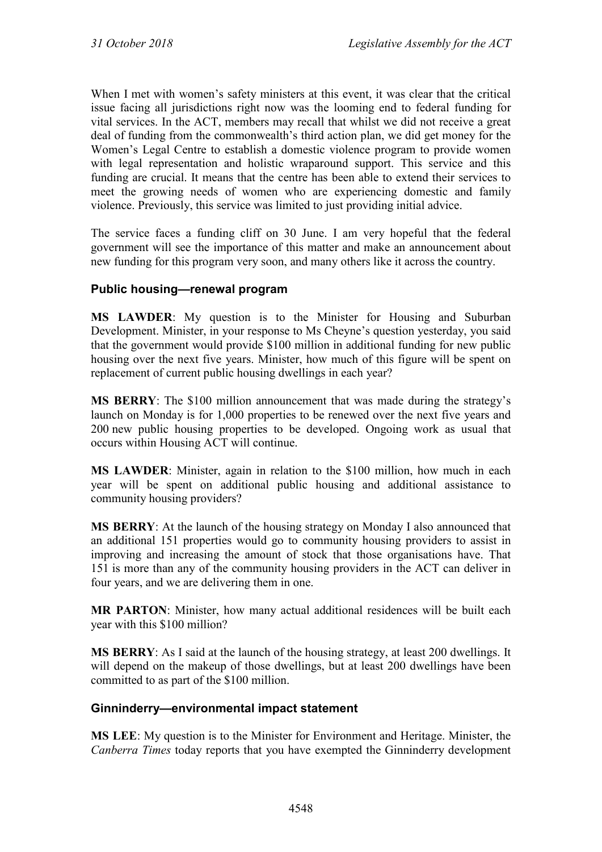When I met with women's safety ministers at this event, it was clear that the critical issue facing all jurisdictions right now was the looming end to federal funding for vital services. In the ACT, members may recall that whilst we did not receive a great deal of funding from the commonwealth's third action plan, we did get money for the Women's Legal Centre to establish a domestic violence program to provide women with legal representation and holistic wraparound support. This service and this funding are crucial. It means that the centre has been able to extend their services to meet the growing needs of women who are experiencing domestic and family violence. Previously, this service was limited to just providing initial advice.

The service faces a funding cliff on 30 June. I am very hopeful that the federal government will see the importance of this matter and make an announcement about new funding for this program very soon, and many others like it across the country.

### **Public housing—renewal program**

**MS LAWDER**: My question is to the Minister for Housing and Suburban Development. Minister, in your response to Ms Cheyne's question yesterday, you said that the government would provide \$100 million in additional funding for new public housing over the next five years. Minister, how much of this figure will be spent on replacement of current public housing dwellings in each year?

**MS BERRY**: The \$100 million announcement that was made during the strategy's launch on Monday is for 1,000 properties to be renewed over the next five years and 200 new public housing properties to be developed. Ongoing work as usual that occurs within Housing ACT will continue.

**MS LAWDER**: Minister, again in relation to the \$100 million, how much in each year will be spent on additional public housing and additional assistance to community housing providers?

**MS BERRY**: At the launch of the housing strategy on Monday I also announced that an additional 151 properties would go to community housing providers to assist in improving and increasing the amount of stock that those organisations have. That 151 is more than any of the community housing providers in the ACT can deliver in four years, and we are delivering them in one.

**MR PARTON**: Minister, how many actual additional residences will be built each year with this \$100 million?

**MS BERRY**: As I said at the launch of the housing strategy, at least 200 dwellings. It will depend on the makeup of those dwellings, but at least 200 dwellings have been committed to as part of the \$100 million.

## **Ginninderry—environmental impact statement**

**MS LEE**: My question is to the Minister for Environment and Heritage. Minister, the *Canberra Times* today reports that you have exempted the Ginninderry development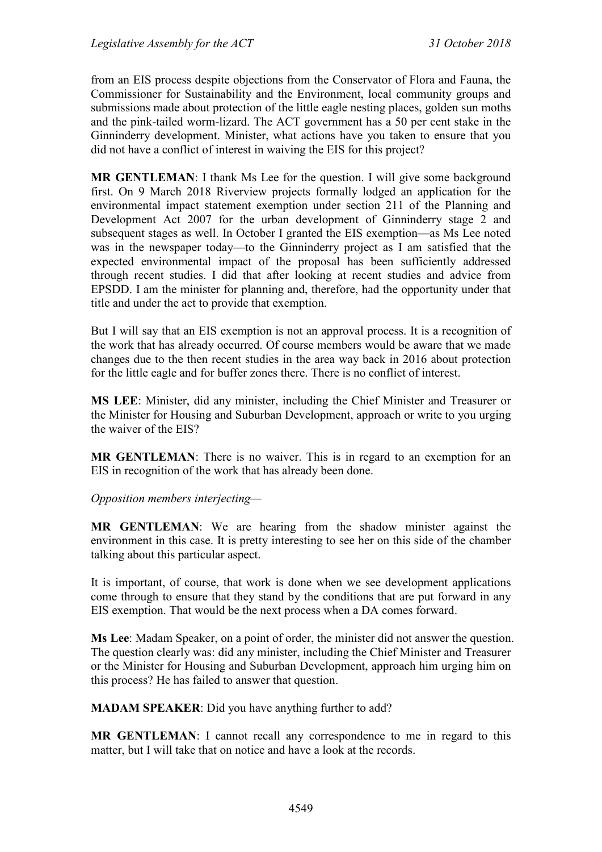from an EIS process despite objections from the Conservator of Flora and Fauna, the Commissioner for Sustainability and the Environment, local community groups and submissions made about protection of the little eagle nesting places, golden sun moths and the pink-tailed worm-lizard. The ACT government has a 50 per cent stake in the Ginninderry development. Minister, what actions have you taken to ensure that you did not have a conflict of interest in waiving the EIS for this project?

**MR GENTLEMAN:** I thank Ms Lee for the question. I will give some background first. On 9 March 2018 Riverview projects formally lodged an application for the environmental impact statement exemption under section 211 of the Planning and Development Act 2007 for the urban development of Ginninderry stage 2 and subsequent stages as well. In October I granted the EIS exemption—as Ms Lee noted was in the newspaper today—to the Ginninderry project as I am satisfied that the expected environmental impact of the proposal has been sufficiently addressed through recent studies. I did that after looking at recent studies and advice from EPSDD. I am the minister for planning and, therefore, had the opportunity under that title and under the act to provide that exemption.

But I will say that an EIS exemption is not an approval process. It is a recognition of the work that has already occurred. Of course members would be aware that we made changes due to the then recent studies in the area way back in 2016 about protection for the little eagle and for buffer zones there. There is no conflict of interest.

**MS LEE**: Minister, did any minister, including the Chief Minister and Treasurer or the Minister for Housing and Suburban Development, approach or write to you urging the waiver of the EIS?

**MR GENTLEMAN**: There is no waiver. This is in regard to an exemption for an EIS in recognition of the work that has already been done.

*Opposition members interjecting—*

**MR GENTLEMAN**: We are hearing from the shadow minister against the environment in this case. It is pretty interesting to see her on this side of the chamber talking about this particular aspect.

It is important, of course, that work is done when we see development applications come through to ensure that they stand by the conditions that are put forward in any EIS exemption. That would be the next process when a DA comes forward.

**Ms Lee**: Madam Speaker, on a point of order, the minister did not answer the question. The question clearly was: did any minister, including the Chief Minister and Treasurer or the Minister for Housing and Suburban Development, approach him urging him on this process? He has failed to answer that question.

**MADAM SPEAKER**: Did you have anything further to add?

**MR GENTLEMAN**: I cannot recall any correspondence to me in regard to this matter, but I will take that on notice and have a look at the records.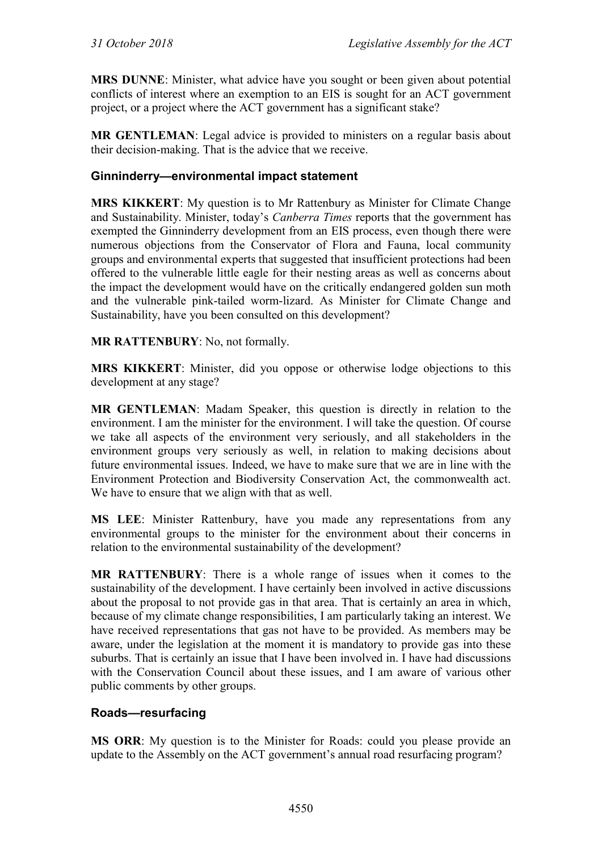**MRS DUNNE**: Minister, what advice have you sought or been given about potential conflicts of interest where an exemption to an EIS is sought for an ACT government project, or a project where the ACT government has a significant stake?

**MR GENTLEMAN**: Legal advice is provided to ministers on a regular basis about their decision-making. That is the advice that we receive.

## **Ginninderry—environmental impact statement**

**MRS KIKKERT**: My question is to Mr Rattenbury as Minister for Climate Change and Sustainability. Minister, today's *Canberra Times* reports that the government has exempted the Ginninderry development from an EIS process, even though there were numerous objections from the Conservator of Flora and Fauna, local community groups and environmental experts that suggested that insufficient protections had been offered to the vulnerable little eagle for their nesting areas as well as concerns about the impact the development would have on the critically endangered golden sun moth and the vulnerable pink-tailed worm-lizard. As Minister for Climate Change and Sustainability, have you been consulted on this development?

**MR RATTENBURY**: No, not formally.

**MRS KIKKERT**: Minister, did you oppose or otherwise lodge objections to this development at any stage?

**MR GENTLEMAN**: Madam Speaker, this question is directly in relation to the environment. I am the minister for the environment. I will take the question. Of course we take all aspects of the environment very seriously, and all stakeholders in the environment groups very seriously as well, in relation to making decisions about future environmental issues. Indeed, we have to make sure that we are in line with the Environment Protection and Biodiversity Conservation Act, the commonwealth act. We have to ensure that we align with that as well.

**MS LEE**: Minister Rattenbury, have you made any representations from any environmental groups to the minister for the environment about their concerns in relation to the environmental sustainability of the development?

**MR RATTENBURY**: There is a whole range of issues when it comes to the sustainability of the development. I have certainly been involved in active discussions about the proposal to not provide gas in that area. That is certainly an area in which, because of my climate change responsibilities, I am particularly taking an interest. We have received representations that gas not have to be provided. As members may be aware, under the legislation at the moment it is mandatory to provide gas into these suburbs. That is certainly an issue that I have been involved in. I have had discussions with the Conservation Council about these issues, and I am aware of various other public comments by other groups.

#### **Roads—resurfacing**

**MS ORR**: My question is to the Minister for Roads: could you please provide an update to the Assembly on the ACT government's annual road resurfacing program?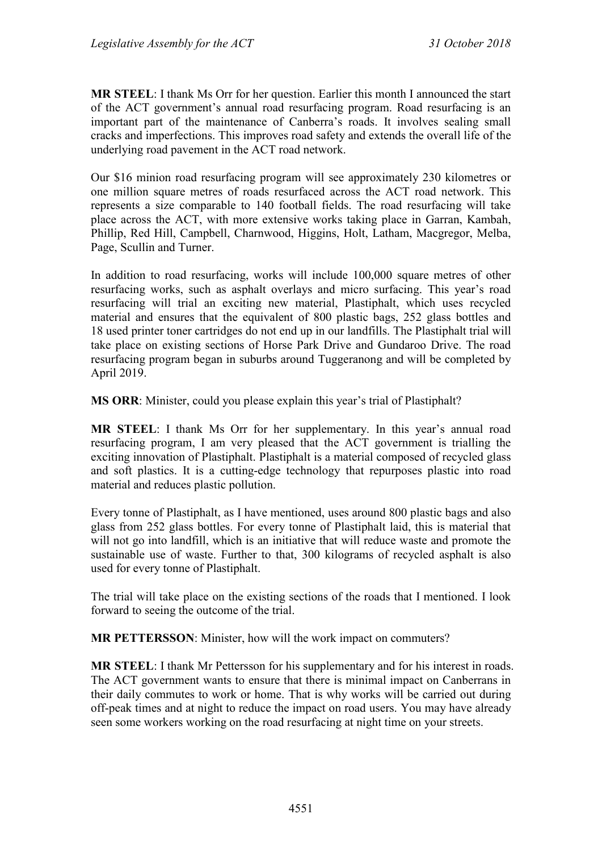**MR STEEL**: I thank Ms Orr for her question. Earlier this month I announced the start of the ACT government's annual road resurfacing program. Road resurfacing is an important part of the maintenance of Canberra's roads. It involves sealing small cracks and imperfections. This improves road safety and extends the overall life of the underlying road pavement in the ACT road network.

Our \$16 minion road resurfacing program will see approximately 230 kilometres or one million square metres of roads resurfaced across the ACT road network. This represents a size comparable to 140 football fields. The road resurfacing will take place across the ACT, with more extensive works taking place in Garran, Kambah, Phillip, Red Hill, Campbell, Charnwood, Higgins, Holt, Latham, Macgregor, Melba, Page, Scullin and Turner.

In addition to road resurfacing, works will include 100,000 square metres of other resurfacing works, such as asphalt overlays and micro surfacing. This year's road resurfacing will trial an exciting new material, Plastiphalt, which uses recycled material and ensures that the equivalent of 800 plastic bags, 252 glass bottles and 18 used printer toner cartridges do not end up in our landfills. The Plastiphalt trial will take place on existing sections of Horse Park Drive and Gundaroo Drive. The road resurfacing program began in suburbs around Tuggeranong and will be completed by April 2019.

**MS ORR**: Minister, could you please explain this year's trial of Plastiphalt?

**MR STEEL**: I thank Ms Orr for her supplementary. In this year's annual road resurfacing program, I am very pleased that the ACT government is trialling the exciting innovation of Plastiphalt. Plastiphalt is a material composed of recycled glass and soft plastics. It is a cutting-edge technology that repurposes plastic into road material and reduces plastic pollution.

Every tonne of Plastiphalt, as I have mentioned, uses around 800 plastic bags and also glass from 252 glass bottles. For every tonne of Plastiphalt laid, this is material that will not go into landfill, which is an initiative that will reduce waste and promote the sustainable use of waste. Further to that, 300 kilograms of recycled asphalt is also used for every tonne of Plastiphalt.

The trial will take place on the existing sections of the roads that I mentioned. I look forward to seeing the outcome of the trial.

**MR PETTERSSON**: Minister, how will the work impact on commuters?

**MR STEEL**: I thank Mr Pettersson for his supplementary and for his interest in roads. The ACT government wants to ensure that there is minimal impact on Canberrans in their daily commutes to work or home. That is why works will be carried out during off-peak times and at night to reduce the impact on road users. You may have already seen some workers working on the road resurfacing at night time on your streets.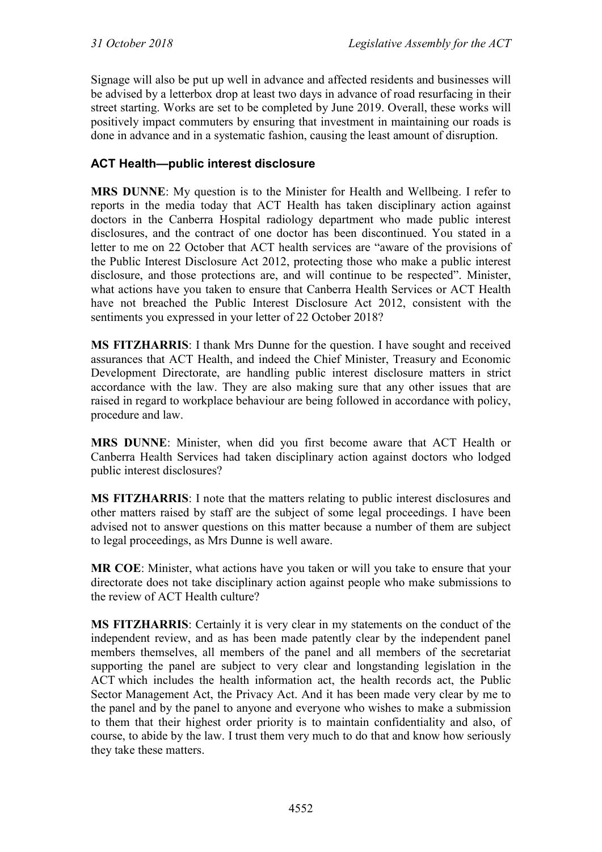Signage will also be put up well in advance and affected residents and businesses will be advised by a letterbox drop at least two days in advance of road resurfacing in their street starting. Works are set to be completed by June 2019. Overall, these works will positively impact commuters by ensuring that investment in maintaining our roads is done in advance and in a systematic fashion, causing the least amount of disruption.

## **ACT Health—public interest disclosure**

**MRS DUNNE**: My question is to the Minister for Health and Wellbeing. I refer to reports in the media today that ACT Health has taken disciplinary action against doctors in the Canberra Hospital radiology department who made public interest disclosures, and the contract of one doctor has been discontinued. You stated in a letter to me on 22 October that ACT health services are "aware of the provisions of the Public Interest Disclosure Act 2012, protecting those who make a public interest disclosure, and those protections are, and will continue to be respected". Minister, what actions have you taken to ensure that Canberra Health Services or ACT Health have not breached the Public Interest Disclosure Act 2012, consistent with the sentiments you expressed in your letter of 22 October 2018?

**MS FITZHARRIS**: I thank Mrs Dunne for the question. I have sought and received assurances that ACT Health, and indeed the Chief Minister, Treasury and Economic Development Directorate, are handling public interest disclosure matters in strict accordance with the law. They are also making sure that any other issues that are raised in regard to workplace behaviour are being followed in accordance with policy, procedure and law.

**MRS DUNNE**: Minister, when did you first become aware that ACT Health or Canberra Health Services had taken disciplinary action against doctors who lodged public interest disclosures?

**MS FITZHARRIS**: I note that the matters relating to public interest disclosures and other matters raised by staff are the subject of some legal proceedings. I have been advised not to answer questions on this matter because a number of them are subject to legal proceedings, as Mrs Dunne is well aware.

**MR COE**: Minister, what actions have you taken or will you take to ensure that your directorate does not take disciplinary action against people who make submissions to the review of ACT Health culture?

**MS FITZHARRIS**: Certainly it is very clear in my statements on the conduct of the independent review, and as has been made patently clear by the independent panel members themselves, all members of the panel and all members of the secretariat supporting the panel are subject to very clear and longstanding legislation in the ACT which includes the health information act, the health records act, the Public Sector Management Act, the Privacy Act. And it has been made very clear by me to the panel and by the panel to anyone and everyone who wishes to make a submission to them that their highest order priority is to maintain confidentiality and also, of course, to abide by the law. I trust them very much to do that and know how seriously they take these matters.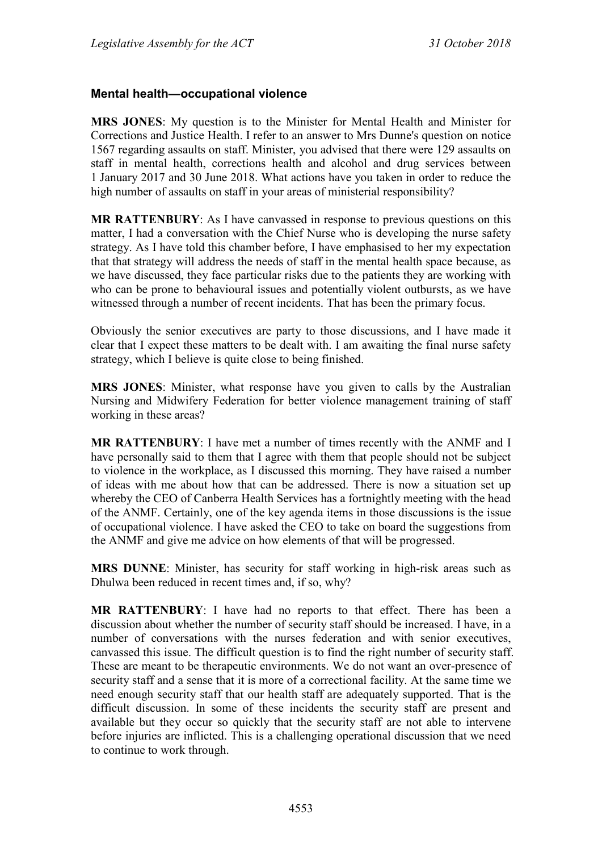#### **Mental health—occupational violence**

**MRS JONES**: My question is to the Minister for Mental Health and Minister for Corrections and Justice Health. I refer to an answer to Mrs Dunne's question on notice 1567 regarding assaults on staff. Minister, you advised that there were 129 assaults on staff in mental health, corrections health and alcohol and drug services between 1 January 2017 and 30 June 2018. What actions have you taken in order to reduce the high number of assaults on staff in your areas of ministerial responsibility?

**MR RATTENBURY**: As I have canvassed in response to previous questions on this matter, I had a conversation with the Chief Nurse who is developing the nurse safety strategy. As I have told this chamber before, I have emphasised to her my expectation that that strategy will address the needs of staff in the mental health space because, as we have discussed, they face particular risks due to the patients they are working with who can be prone to behavioural issues and potentially violent outbursts, as we have witnessed through a number of recent incidents. That has been the primary focus.

Obviously the senior executives are party to those discussions, and I have made it clear that I expect these matters to be dealt with. I am awaiting the final nurse safety strategy, which I believe is quite close to being finished.

**MRS JONES**: Minister, what response have you given to calls by the Australian Nursing and Midwifery Federation for better violence management training of staff working in these areas?

**MR RATTENBURY**: I have met a number of times recently with the ANMF and I have personally said to them that I agree with them that people should not be subject to violence in the workplace, as I discussed this morning. They have raised a number of ideas with me about how that can be addressed. There is now a situation set up whereby the CEO of Canberra Health Services has a fortnightly meeting with the head of the ANMF. Certainly, one of the key agenda items in those discussions is the issue of occupational violence. I have asked the CEO to take on board the suggestions from the ANMF and give me advice on how elements of that will be progressed.

**MRS DUNNE**: Minister, has security for staff working in high-risk areas such as Dhulwa been reduced in recent times and, if so, why?

**MR RATTENBURY**: I have had no reports to that effect. There has been a discussion about whether the number of security staff should be increased. I have, in a number of conversations with the nurses federation and with senior executives, canvassed this issue. The difficult question is to find the right number of security staff. These are meant to be therapeutic environments. We do not want an over-presence of security staff and a sense that it is more of a correctional facility. At the same time we need enough security staff that our health staff are adequately supported. That is the difficult discussion. In some of these incidents the security staff are present and available but they occur so quickly that the security staff are not able to intervene before injuries are inflicted. This is a challenging operational discussion that we need to continue to work through.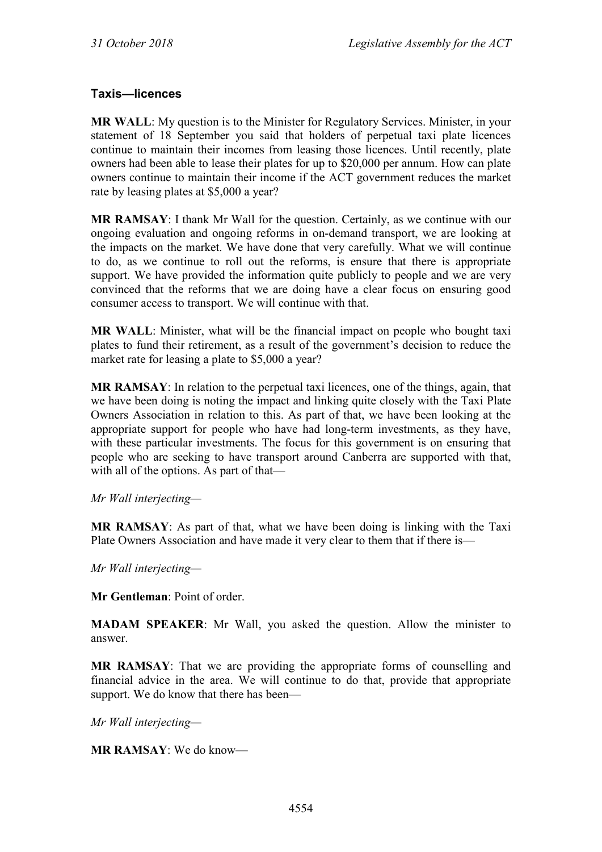## **Taxis—licences**

**MR WALL**: My question is to the Minister for Regulatory Services. Minister, in your statement of 18 September you said that holders of perpetual taxi plate licences continue to maintain their incomes from leasing those licences. Until recently, plate owners had been able to lease their plates for up to \$20,000 per annum. How can plate owners continue to maintain their income if the ACT government reduces the market rate by leasing plates at \$5,000 a year?

**MR RAMSAY**: I thank Mr Wall for the question. Certainly, as we continue with our ongoing evaluation and ongoing reforms in on-demand transport, we are looking at the impacts on the market. We have done that very carefully. What we will continue to do, as we continue to roll out the reforms, is ensure that there is appropriate support. We have provided the information quite publicly to people and we are very convinced that the reforms that we are doing have a clear focus on ensuring good consumer access to transport. We will continue with that.

**MR WALL**: Minister, what will be the financial impact on people who bought taxi plates to fund their retirement, as a result of the government's decision to reduce the market rate for leasing a plate to \$5,000 a year?

**MR RAMSAY**: In relation to the perpetual taxi licences, one of the things, again, that we have been doing is noting the impact and linking quite closely with the Taxi Plate Owners Association in relation to this. As part of that, we have been looking at the appropriate support for people who have had long-term investments, as they have, with these particular investments. The focus for this government is on ensuring that people who are seeking to have transport around Canberra are supported with that, with all of the options. As part of that—

*Mr Wall interjecting—*

**MR RAMSAY**: As part of that, what we have been doing is linking with the Taxi Plate Owners Association and have made it very clear to them that if there is—

*Mr Wall interjecting—*

**Mr Gentleman**: Point of order.

**MADAM SPEAKER**: Mr Wall, you asked the question. Allow the minister to answer.

**MR RAMSAY**: That we are providing the appropriate forms of counselling and financial advice in the area. We will continue to do that, provide that appropriate support. We do know that there has been—

*Mr Wall interjecting—*

**MR RAMSAY**: We do know—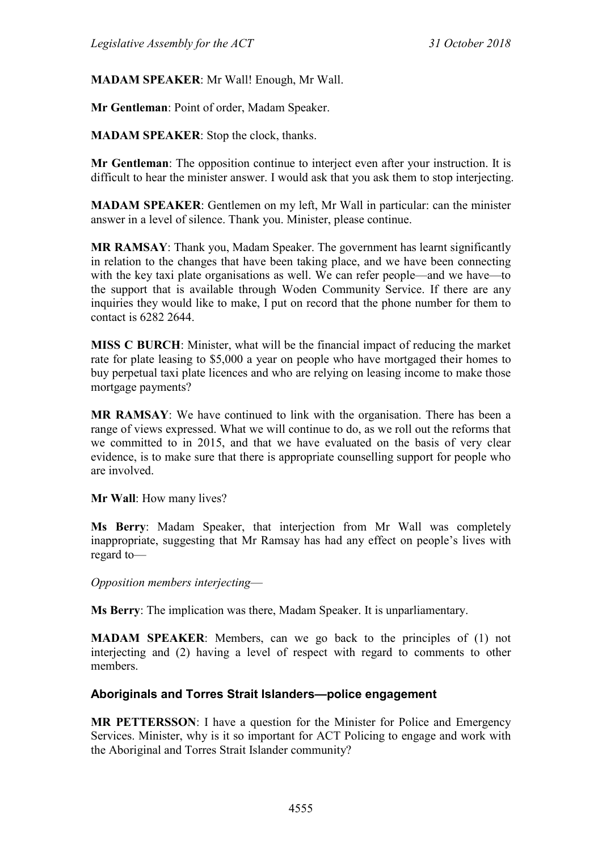**MADAM SPEAKER**: Mr Wall! Enough, Mr Wall.

**Mr Gentleman**: Point of order, Madam Speaker.

**MADAM SPEAKER**: Stop the clock, thanks.

**Mr Gentleman**: The opposition continue to interject even after your instruction. It is difficult to hear the minister answer. I would ask that you ask them to stop interjecting.

**MADAM SPEAKER**: Gentlemen on my left, Mr Wall in particular: can the minister answer in a level of silence. Thank you. Minister, please continue.

**MR RAMSAY**: Thank you, Madam Speaker. The government has learnt significantly in relation to the changes that have been taking place, and we have been connecting with the key taxi plate organisations as well. We can refer people—and we have—to the support that is available through Woden Community Service. If there are any inquiries they would like to make, I put on record that the phone number for them to contact is 6282 2644.

**MISS C BURCH**: Minister, what will be the financial impact of reducing the market rate for plate leasing to \$5,000 a year on people who have mortgaged their homes to buy perpetual taxi plate licences and who are relying on leasing income to make those mortgage payments?

**MR RAMSAY**: We have continued to link with the organisation. There has been a range of views expressed. What we will continue to do, as we roll out the reforms that we committed to in 2015, and that we have evaluated on the basis of very clear evidence, is to make sure that there is appropriate counselling support for people who are involved.

**Mr Wall**: How many lives?

**Ms Berry**: Madam Speaker, that interjection from Mr Wall was completely inappropriate, suggesting that Mr Ramsay has had any effect on people's lives with regard to—

*Opposition members interjecting*—

**Ms Berry**: The implication was there, Madam Speaker. It is unparliamentary.

**MADAM SPEAKER**: Members, can we go back to the principles of (1) not interjecting and (2) having a level of respect with regard to comments to other members.

## **Aboriginals and Torres Strait Islanders—police engagement**

**MR PETTERSSON**: I have a question for the Minister for Police and Emergency Services. Minister, why is it so important for ACT Policing to engage and work with the Aboriginal and Torres Strait Islander community?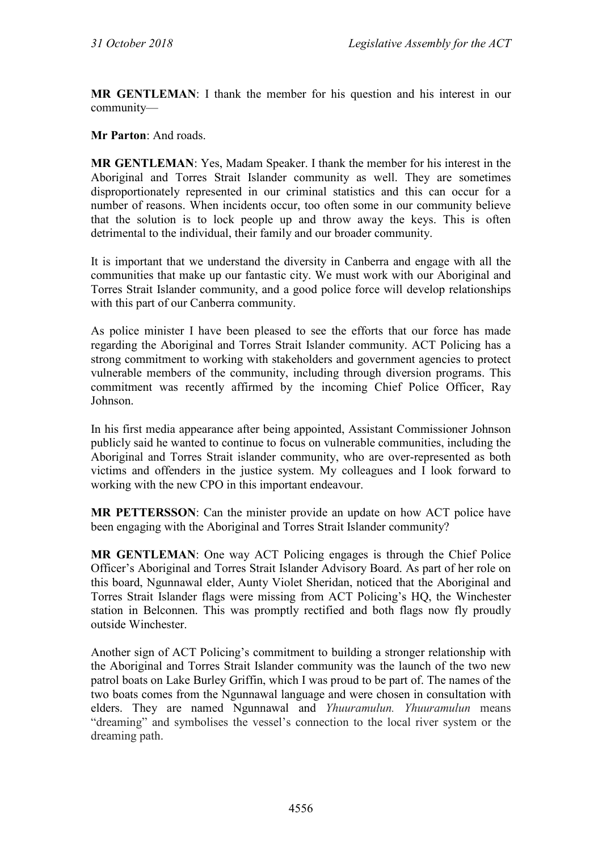**MR GENTLEMAN**: I thank the member for his question and his interest in our community—

**Mr Parton**: And roads.

**MR GENTLEMAN**: Yes, Madam Speaker. I thank the member for his interest in the Aboriginal and Torres Strait Islander community as well. They are sometimes disproportionately represented in our criminal statistics and this can occur for a number of reasons. When incidents occur, too often some in our community believe that the solution is to lock people up and throw away the keys. This is often detrimental to the individual, their family and our broader community.

It is important that we understand the diversity in Canberra and engage with all the communities that make up our fantastic city. We must work with our Aboriginal and Torres Strait Islander community, and a good police force will develop relationships with this part of our Canberra community.

As police minister I have been pleased to see the efforts that our force has made regarding the Aboriginal and Torres Strait Islander community. ACT Policing has a strong commitment to working with stakeholders and government agencies to protect vulnerable members of the community, including through diversion programs. This commitment was recently affirmed by the incoming Chief Police Officer, Ray Johnson.

In his first media appearance after being appointed, Assistant Commissioner Johnson publicly said he wanted to continue to focus on vulnerable communities, including the Aboriginal and Torres Strait islander community, who are over-represented as both victims and offenders in the justice system. My colleagues and I look forward to working with the new CPO in this important endeavour.

**MR PETTERSSON**: Can the minister provide an update on how ACT police have been engaging with the Aboriginal and Torres Strait Islander community?

**MR GENTLEMAN**: One way ACT Policing engages is through the Chief Police Officer's Aboriginal and Torres Strait Islander Advisory Board. As part of her role on this board, Ngunnawal elder, Aunty Violet Sheridan, noticed that the Aboriginal and Torres Strait Islander flags were missing from ACT Policing's HQ, the Winchester station in Belconnen. This was promptly rectified and both flags now fly proudly outside Winchester.

Another sign of ACT Policing's commitment to building a stronger relationship with the Aboriginal and Torres Strait Islander community was the launch of the two new patrol boats on Lake Burley Griffin, which I was proud to be part of. The names of the two boats comes from the Ngunnawal language and were chosen in consultation with elders. They are named Ngunnawal and *Yhuuramulun. Yhuuramulun* means "dreaming" and symbolises the vessel's connection to the local river system or the dreaming path.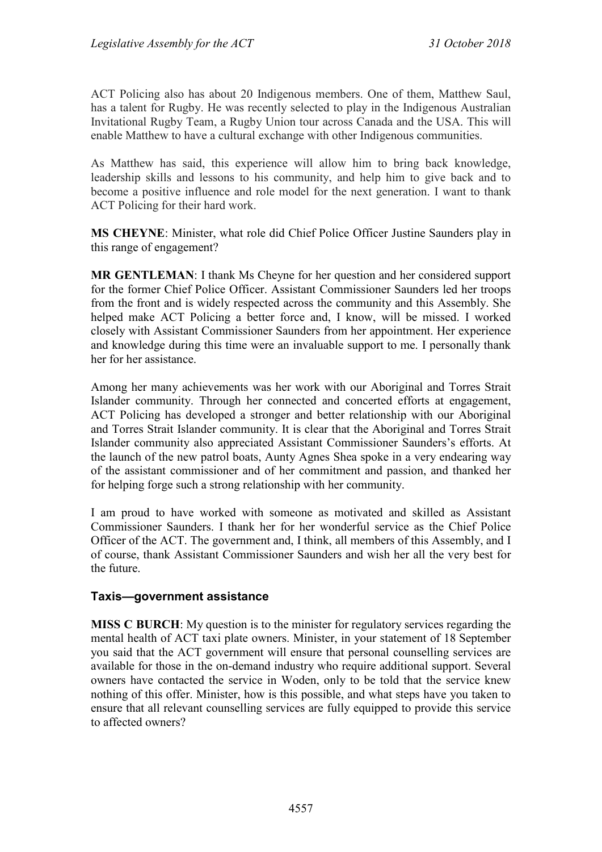ACT Policing also has about 20 Indigenous members. One of them, Matthew Saul, has a talent for Rugby. He was recently selected to play in the Indigenous Australian Invitational Rugby Team, a Rugby Union tour across Canada and the USA. This will enable Matthew to have a cultural exchange with other Indigenous communities.

As Matthew has said, this experience will allow him to bring back knowledge, leadership skills and lessons to his community, and help him to give back and to become a positive influence and role model for the next generation. I want to thank ACT Policing for their hard work.

**MS CHEYNE**: Minister, what role did Chief Police Officer Justine Saunders play in this range of engagement?

**MR GENTLEMAN**: I thank Ms Cheyne for her question and her considered support for the former Chief Police Officer. Assistant Commissioner Saunders led her troops from the front and is widely respected across the community and this Assembly. She helped make ACT Policing a better force and, I know, will be missed. I worked closely with Assistant Commissioner Saunders from her appointment. Her experience and knowledge during this time were an invaluable support to me. I personally thank her for her assistance.

Among her many achievements was her work with our Aboriginal and Torres Strait Islander community. Through her connected and concerted efforts at engagement, ACT Policing has developed a stronger and better relationship with our Aboriginal and Torres Strait Islander community. It is clear that the Aboriginal and Torres Strait Islander community also appreciated Assistant Commissioner Saunders's efforts. At the launch of the new patrol boats, Aunty Agnes Shea spoke in a very endearing way of the assistant commissioner and of her commitment and passion, and thanked her for helping forge such a strong relationship with her community.

I am proud to have worked with someone as motivated and skilled as Assistant Commissioner Saunders. I thank her for her wonderful service as the Chief Police Officer of the ACT. The government and, I think, all members of this Assembly, and I of course, thank Assistant Commissioner Saunders and wish her all the very best for the future.

#### **Taxis—government assistance**

**MISS C BURCH**: My question is to the minister for regulatory services regarding the mental health of ACT taxi plate owners. Minister, in your statement of 18 September you said that the ACT government will ensure that personal counselling services are available for those in the on-demand industry who require additional support. Several owners have contacted the service in Woden, only to be told that the service knew nothing of this offer. Minister, how is this possible, and what steps have you taken to ensure that all relevant counselling services are fully equipped to provide this service to affected owners?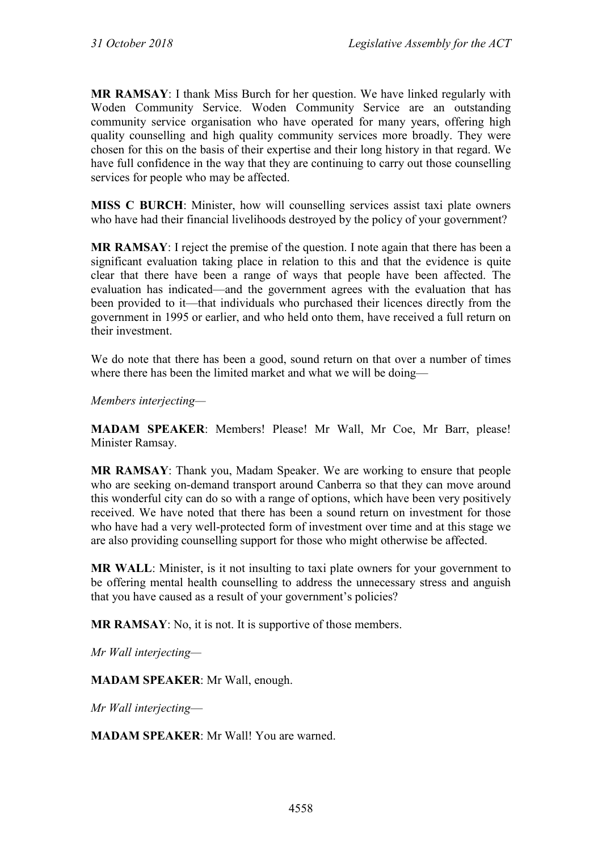**MR RAMSAY**: I thank Miss Burch for her question. We have linked regularly with Woden Community Service. Woden Community Service are an outstanding community service organisation who have operated for many years, offering high quality counselling and high quality community services more broadly. They were chosen for this on the basis of their expertise and their long history in that regard. We have full confidence in the way that they are continuing to carry out those counselling services for people who may be affected.

**MISS C BURCH:** Minister, how will counselling services assist taxi plate owners who have had their financial livelihoods destroyed by the policy of your government?

**MR RAMSAY**: I reject the premise of the question. I note again that there has been a significant evaluation taking place in relation to this and that the evidence is quite clear that there have been a range of ways that people have been affected. The evaluation has indicated—and the government agrees with the evaluation that has been provided to it—that individuals who purchased their licences directly from the government in 1995 or earlier, and who held onto them, have received a full return on their investment.

We do note that there has been a good, sound return on that over a number of times where there has been the limited market and what we will be doing—

*Members interjecting—*

**MADAM SPEAKER**: Members! Please! Mr Wall, Mr Coe, Mr Barr, please! Minister Ramsay.

**MR RAMSAY**: Thank you, Madam Speaker. We are working to ensure that people who are seeking on-demand transport around Canberra so that they can move around this wonderful city can do so with a range of options, which have been very positively received. We have noted that there has been a sound return on investment for those who have had a very well-protected form of investment over time and at this stage we are also providing counselling support for those who might otherwise be affected.

**MR WALL**: Minister, is it not insulting to taxi plate owners for your government to be offering mental health counselling to address the unnecessary stress and anguish that you have caused as a result of your government's policies?

**MR RAMSAY**: No, it is not. It is supportive of those members.

*Mr Wall interjecting—*

**MADAM SPEAKER**: Mr Wall, enough.

*Mr Wall interjecting*—

**MADAM SPEAKER**: Mr Wall! You are warned.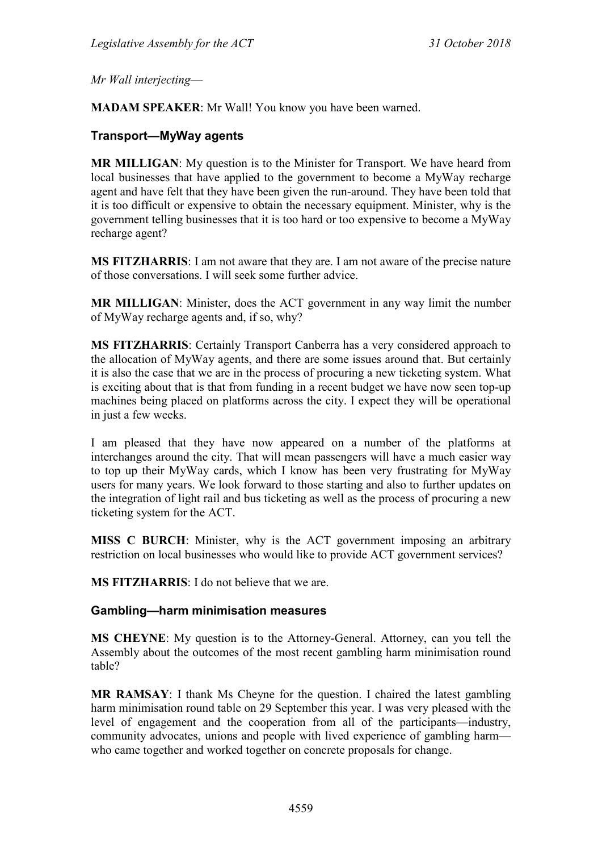*Mr Wall interjecting*—

**MADAM SPEAKER**: Mr Wall! You know you have been warned.

#### **Transport—MyWay agents**

**MR MILLIGAN**: My question is to the Minister for Transport. We have heard from local businesses that have applied to the government to become a MyWay recharge agent and have felt that they have been given the run-around. They have been told that it is too difficult or expensive to obtain the necessary equipment. Minister, why is the government telling businesses that it is too hard or too expensive to become a MyWay recharge agent?

**MS FITZHARRIS**: I am not aware that they are. I am not aware of the precise nature of those conversations. I will seek some further advice.

**MR MILLIGAN**: Minister, does the ACT government in any way limit the number of MyWay recharge agents and, if so, why?

**MS FITZHARRIS**: Certainly Transport Canberra has a very considered approach to the allocation of MyWay agents, and there are some issues around that. But certainly it is also the case that we are in the process of procuring a new ticketing system. What is exciting about that is that from funding in a recent budget we have now seen top-up machines being placed on platforms across the city. I expect they will be operational in just a few weeks.

I am pleased that they have now appeared on a number of the platforms at interchanges around the city. That will mean passengers will have a much easier way to top up their MyWay cards, which I know has been very frustrating for MyWay users for many years. We look forward to those starting and also to further updates on the integration of light rail and bus ticketing as well as the process of procuring a new ticketing system for the ACT.

**MISS C BURCH**: Minister, why is the ACT government imposing an arbitrary restriction on local businesses who would like to provide ACT government services?

**MS FITZHARRIS**: I do not believe that we are.

#### **Gambling—harm minimisation measures**

**MS CHEYNE**: My question is to the Attorney-General. Attorney, can you tell the Assembly about the outcomes of the most recent gambling harm minimisation round table?

**MR RAMSAY**: I thank Ms Cheyne for the question. I chaired the latest gambling harm minimisation round table on 29 September this year. I was very pleased with the level of engagement and the cooperation from all of the participants—industry, community advocates, unions and people with lived experience of gambling harm who came together and worked together on concrete proposals for change.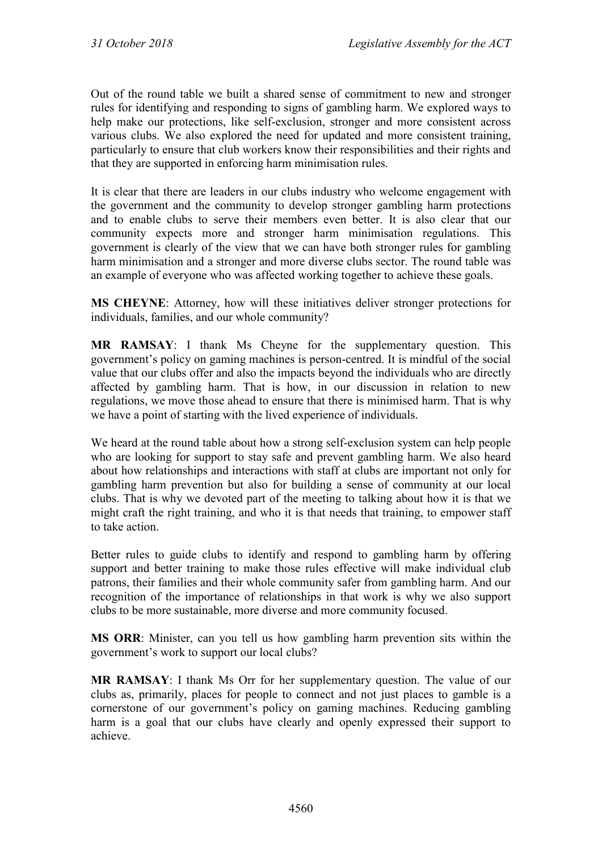Out of the round table we built a shared sense of commitment to new and stronger rules for identifying and responding to signs of gambling harm. We explored ways to help make our protections, like self-exclusion, stronger and more consistent across various clubs. We also explored the need for updated and more consistent training, particularly to ensure that club workers know their responsibilities and their rights and that they are supported in enforcing harm minimisation rules.

It is clear that there are leaders in our clubs industry who welcome engagement with the government and the community to develop stronger gambling harm protections and to enable clubs to serve their members even better. It is also clear that our community expects more and stronger harm minimisation regulations. This government is clearly of the view that we can have both stronger rules for gambling harm minimisation and a stronger and more diverse clubs sector. The round table was an example of everyone who was affected working together to achieve these goals.

**MS CHEYNE**: Attorney, how will these initiatives deliver stronger protections for individuals, families, and our whole community?

**MR RAMSAY**: I thank Ms Cheyne for the supplementary question. This government's policy on gaming machines is person-centred. It is mindful of the social value that our clubs offer and also the impacts beyond the individuals who are directly affected by gambling harm. That is how, in our discussion in relation to new regulations, we move those ahead to ensure that there is minimised harm. That is why we have a point of starting with the lived experience of individuals.

We heard at the round table about how a strong self-exclusion system can help people who are looking for support to stay safe and prevent gambling harm. We also heard about how relationships and interactions with staff at clubs are important not only for gambling harm prevention but also for building a sense of community at our local clubs. That is why we devoted part of the meeting to talking about how it is that we might craft the right training, and who it is that needs that training, to empower staff to take action.

Better rules to guide clubs to identify and respond to gambling harm by offering support and better training to make those rules effective will make individual club patrons, their families and their whole community safer from gambling harm. And our recognition of the importance of relationships in that work is why we also support clubs to be more sustainable, more diverse and more community focused.

**MS ORR**: Minister, can you tell us how gambling harm prevention sits within the government's work to support our local clubs?

**MR RAMSAY**: I thank Ms Orr for her supplementary question. The value of our clubs as, primarily, places for people to connect and not just places to gamble is a cornerstone of our government's policy on gaming machines. Reducing gambling harm is a goal that our clubs have clearly and openly expressed their support to achieve.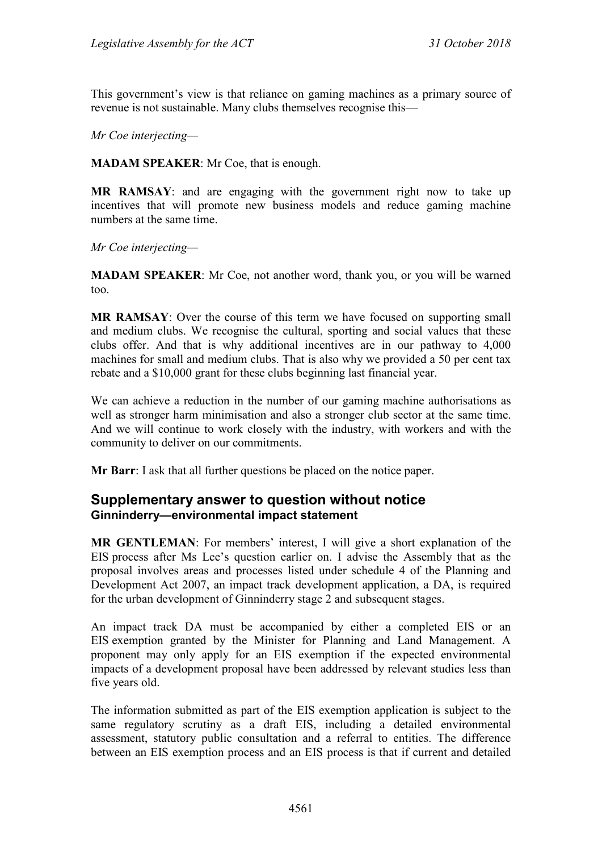This government's view is that reliance on gaming machines as a primary source of revenue is not sustainable. Many clubs themselves recognise this—

*Mr Coe interjecting—*

**MADAM SPEAKER**: Mr Coe, that is enough.

**MR RAMSAY**: and are engaging with the government right now to take up incentives that will promote new business models and reduce gaming machine numbers at the same time.

*Mr Coe interjecting—*

**MADAM SPEAKER**: Mr Coe, not another word, thank you, or you will be warned too.

**MR RAMSAY**: Over the course of this term we have focused on supporting small and medium clubs. We recognise the cultural, sporting and social values that these clubs offer. And that is why additional incentives are in our pathway to 4,000 machines for small and medium clubs. That is also why we provided a 50 per cent tax rebate and a \$10,000 grant for these clubs beginning last financial year.

We can achieve a reduction in the number of our gaming machine authorisations as well as stronger harm minimisation and also a stronger club sector at the same time. And we will continue to work closely with the industry, with workers and with the community to deliver on our commitments.

**Mr Barr**: I ask that all further questions be placed on the notice paper.

## **Supplementary answer to question without notice Ginninderry—environmental impact statement**

**MR GENTLEMAN**: For members' interest, I will give a short explanation of the EIS process after Ms Lee's question earlier on. I advise the Assembly that as the proposal involves areas and processes listed under schedule 4 of the Planning and Development Act 2007, an impact track development application, a DA, is required for the urban development of Ginninderry stage 2 and subsequent stages.

An impact track DA must be accompanied by either a completed EIS or an EIS exemption granted by the Minister for Planning and Land Management. A proponent may only apply for an EIS exemption if the expected environmental impacts of a development proposal have been addressed by relevant studies less than five years old.

The information submitted as part of the EIS exemption application is subject to the same regulatory scrutiny as a draft EIS, including a detailed environmental assessment, statutory public consultation and a referral to entities. The difference between an EIS exemption process and an EIS process is that if current and detailed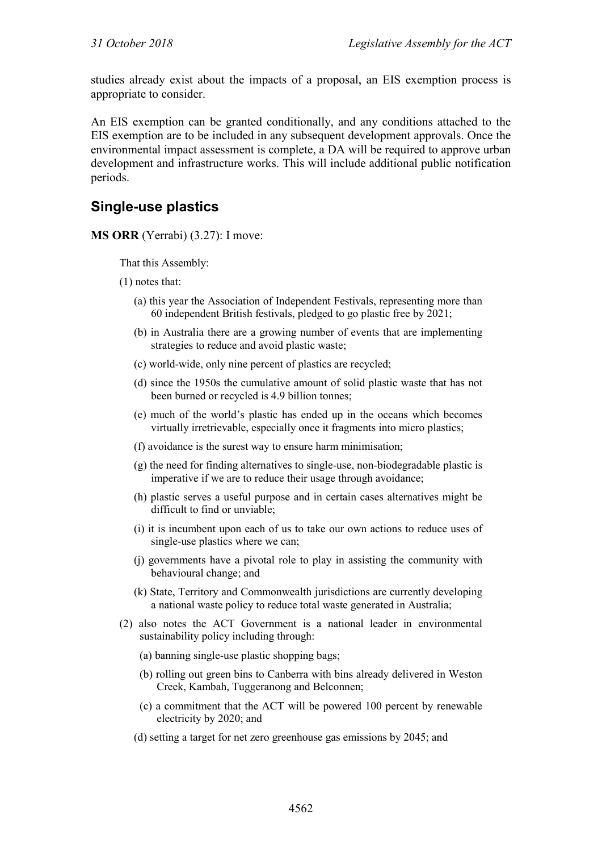studies already exist about the impacts of a proposal, an EIS exemption process is appropriate to consider.

An EIS exemption can be granted conditionally, and any conditions attached to the EIS exemption are to be included in any subsequent development approvals. Once the environmental impact assessment is complete, a DA will be required to approve urban development and infrastructure works. This will include additional public notification periods.

# **Single-use plastics**

**MS ORR** (Yerrabi) (3.27): I move:

That this Assembly:

(1) notes that:

- (a) this year the Association of Independent Festivals, representing more than 60 independent British festivals, pledged to go plastic free by 2021;
- (b) in Australia there are a growing number of events that are implementing strategies to reduce and avoid plastic waste;
- (c) world-wide, only nine percent of plastics are recycled;
- (d) since the 1950s the cumulative amount of solid plastic waste that has not been burned or recycled is 4.9 billion tonnes;
- (e) much of the world's plastic has ended up in the oceans which becomes virtually irretrievable, especially once it fragments into micro plastics;
- (f) avoidance is the surest way to ensure harm minimisation;
- (g) the need for finding alternatives to single-use, non-biodegradable plastic is imperative if we are to reduce their usage through avoidance;
- (h) plastic serves a useful purpose and in certain cases alternatives might be difficult to find or unviable;
- (i) it is incumbent upon each of us to take our own actions to reduce uses of single-use plastics where we can;
- (j) governments have a pivotal role to play in assisting the community with behavioural change; and
- (k) State, Territory and Commonwealth jurisdictions are currently developing a national waste policy to reduce total waste generated in Australia;
- (2) also notes the ACT Government is a national leader in environmental sustainability policy including through:
	- (a) banning single-use plastic shopping bags;
	- (b) rolling out green bins to Canberra with bins already delivered in Weston Creek, Kambah, Tuggeranong and Belconnen;
	- (c) a commitment that the ACT will be powered 100 percent by renewable electricity by 2020; and
	- (d) setting a target for net zero greenhouse gas emissions by 2045; and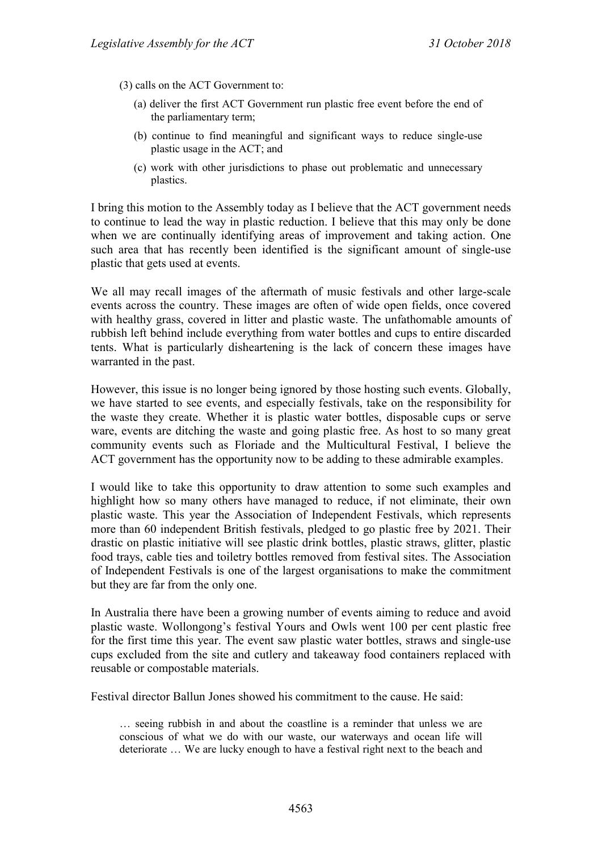(3) calls on the ACT Government to:

- (a) deliver the first ACT Government run plastic free event before the end of the parliamentary term;
- (b) continue to find meaningful and significant ways to reduce single-use plastic usage in the ACT; and
- (c) work with other jurisdictions to phase out problematic and unnecessary plastics.

I bring this motion to the Assembly today as I believe that the ACT government needs to continue to lead the way in plastic reduction. I believe that this may only be done when we are continually identifying areas of improvement and taking action. One such area that has recently been identified is the significant amount of single-use plastic that gets used at events.

We all may recall images of the aftermath of music festivals and other large-scale events across the country. These images are often of wide open fields, once covered with healthy grass, covered in litter and plastic waste. The unfathomable amounts of rubbish left behind include everything from water bottles and cups to entire discarded tents. What is particularly disheartening is the lack of concern these images have warranted in the past.

However, this issue is no longer being ignored by those hosting such events. Globally, we have started to see events, and especially festivals, take on the responsibility for the waste they create. Whether it is plastic water bottles, disposable cups or serve ware, events are ditching the waste and going plastic free. As host to so many great community events such as Floriade and the Multicultural Festival, I believe the ACT government has the opportunity now to be adding to these admirable examples.

I would like to take this opportunity to draw attention to some such examples and highlight how so many others have managed to reduce, if not eliminate, their own plastic waste. This year the Association of Independent Festivals, which represents more than 60 independent British festivals, pledged to go plastic free by 2021. Their drastic on plastic initiative will see plastic drink bottles, plastic straws, glitter, plastic food trays, cable ties and toiletry bottles removed from festival sites. The Association of Independent Festivals is one of the largest organisations to make the commitment but they are far from the only one.

In Australia there have been a growing number of events aiming to reduce and avoid plastic waste. Wollongong's festival Yours and Owls went 100 per cent plastic free for the first time this year. The event saw plastic water bottles, straws and single-use cups excluded from the site and cutlery and takeaway food containers replaced with reusable or compostable materials.

Festival director Ballun Jones showed his commitment to the cause. He said:

… seeing rubbish in and about the coastline is a reminder that unless we are conscious of what we do with our waste, our waterways and ocean life will deteriorate … We are lucky enough to have a festival right next to the beach and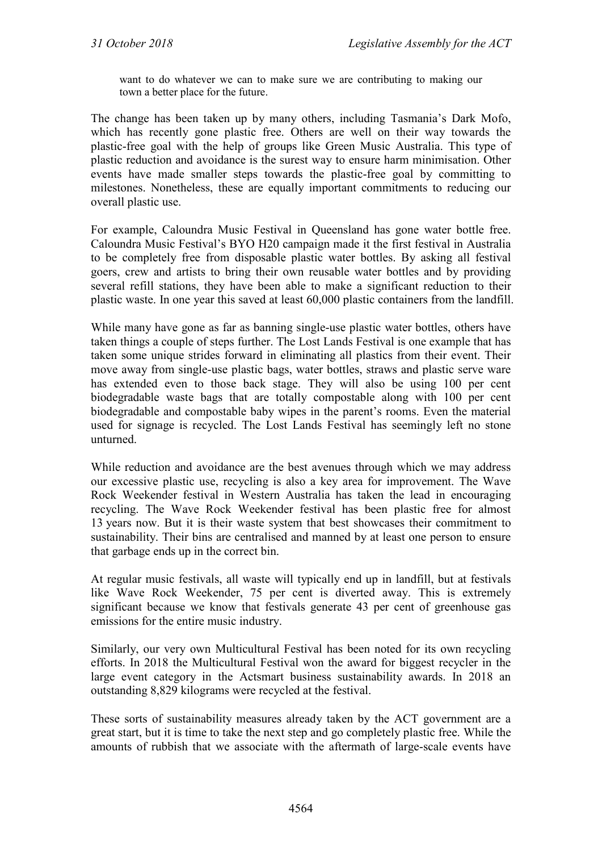want to do whatever we can to make sure we are contributing to making our town a better place for the future.

The change has been taken up by many others, including Tasmania's Dark Mofo, which has recently gone plastic free. Others are well on their way towards the plastic-free goal with the help of groups like Green Music Australia. This type of plastic reduction and avoidance is the surest way to ensure harm minimisation. Other events have made smaller steps towards the plastic-free goal by committing to milestones. Nonetheless, these are equally important commitments to reducing our overall plastic use.

For example, Caloundra Music Festival in Queensland has gone water bottle free. Caloundra Music Festival's BYO H20 campaign made it the first festival in Australia to be completely free from disposable plastic water bottles. By asking all festival goers, crew and artists to bring their own reusable water bottles and by providing several refill stations, they have been able to make a significant reduction to their plastic waste. In one year this saved at least 60,000 plastic containers from the landfill.

While many have gone as far as banning single-use plastic water bottles, others have taken things a couple of steps further. The Lost Lands Festival is one example that has taken some unique strides forward in eliminating all plastics from their event. Their move away from single-use plastic bags, water bottles, straws and plastic serve ware has extended even to those back stage. They will also be using 100 per cent biodegradable waste bags that are totally compostable along with 100 per cent biodegradable and compostable baby wipes in the parent's rooms. Even the material used for signage is recycled. The Lost Lands Festival has seemingly left no stone unturned.

While reduction and avoidance are the best avenues through which we may address our excessive plastic use, recycling is also a key area for improvement. The Wave Rock Weekender festival in Western Australia has taken the lead in encouraging recycling. The Wave Rock Weekender festival has been plastic free for almost 13 years now. But it is their waste system that best showcases their commitment to sustainability. Their bins are centralised and manned by at least one person to ensure that garbage ends up in the correct bin.

At regular music festivals, all waste will typically end up in landfill, but at festivals like Wave Rock Weekender, 75 per cent is diverted away. This is extremely significant because we know that festivals generate 43 per cent of greenhouse gas emissions for the entire music industry.

Similarly, our very own Multicultural Festival has been noted for its own recycling efforts. In 2018 the Multicultural Festival won the award for biggest recycler in the large event category in the Actsmart business sustainability awards. In 2018 an outstanding 8,829 kilograms were recycled at the festival.

These sorts of sustainability measures already taken by the ACT government are a great start, but it is time to take the next step and go completely plastic free. While the amounts of rubbish that we associate with the aftermath of large-scale events have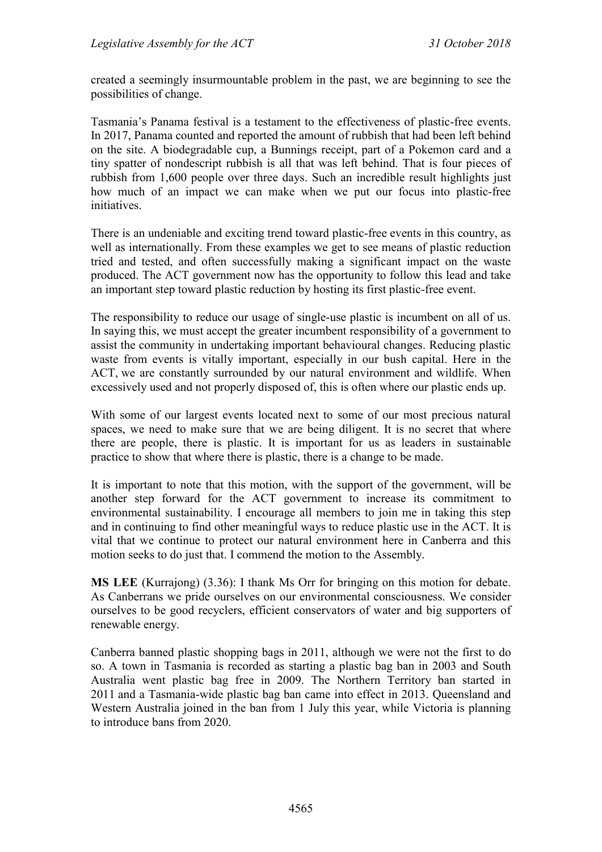created a seemingly insurmountable problem in the past, we are beginning to see the possibilities of change.

Tasmania's Panama festival is a testament to the effectiveness of plastic-free events. In 2017, Panama counted and reported the amount of rubbish that had been left behind on the site. A biodegradable cup, a Bunnings receipt, part of a Pokemon card and a tiny spatter of nondescript rubbish is all that was left behind. That is four pieces of rubbish from 1,600 people over three days. Such an incredible result highlights just how much of an impact we can make when we put our focus into plastic-free initiatives.

There is an undeniable and exciting trend toward plastic-free events in this country, as well as internationally. From these examples we get to see means of plastic reduction tried and tested, and often successfully making a significant impact on the waste produced. The ACT government now has the opportunity to follow this lead and take an important step toward plastic reduction by hosting its first plastic-free event.

The responsibility to reduce our usage of single-use plastic is incumbent on all of us. In saying this, we must accept the greater incumbent responsibility of a government to assist the community in undertaking important behavioural changes. Reducing plastic waste from events is vitally important, especially in our bush capital. Here in the ACT, we are constantly surrounded by our natural environment and wildlife. When excessively used and not properly disposed of, this is often where our plastic ends up.

With some of our largest events located next to some of our most precious natural spaces, we need to make sure that we are being diligent. It is no secret that where there are people, there is plastic. It is important for us as leaders in sustainable practice to show that where there is plastic, there is a change to be made.

It is important to note that this motion, with the support of the government, will be another step forward for the ACT government to increase its commitment to environmental sustainability. I encourage all members to join me in taking this step and in continuing to find other meaningful ways to reduce plastic use in the ACT. It is vital that we continue to protect our natural environment here in Canberra and this motion seeks to do just that. I commend the motion to the Assembly.

**MS LEE** (Kurrajong) (3.36): I thank Ms Orr for bringing on this motion for debate. As Canberrans we pride ourselves on our environmental consciousness. We consider ourselves to be good recyclers, efficient conservators of water and big supporters of renewable energy.

Canberra banned plastic shopping bags in 2011, although we were not the first to do so. A town in Tasmania is recorded as starting a plastic bag ban in 2003 and South Australia went plastic bag free in 2009. The Northern Territory ban started in 2011 and a Tasmania-wide plastic bag ban came into effect in 2013. Queensland and Western Australia joined in the ban from 1 July this year, while Victoria is planning to introduce bans from 2020.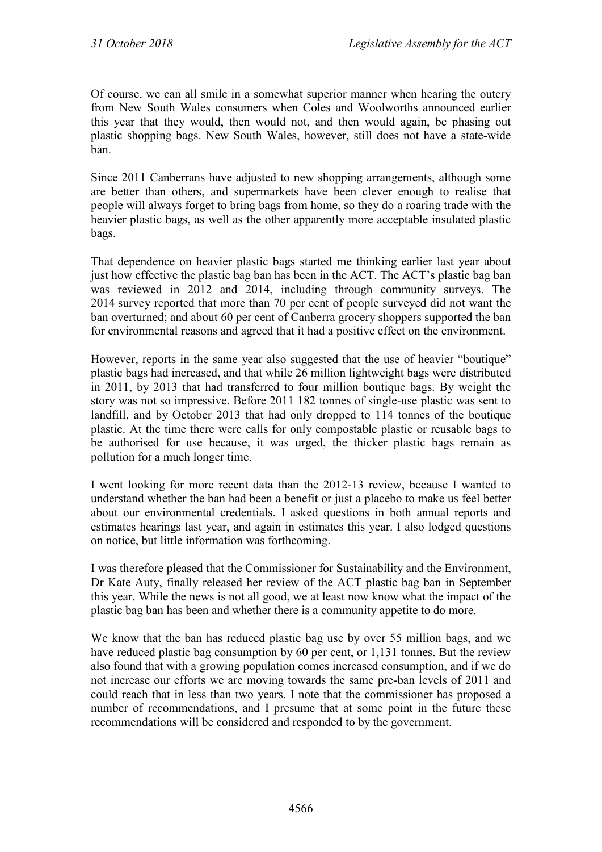Of course, we can all smile in a somewhat superior manner when hearing the outcry from New South Wales consumers when Coles and Woolworths announced earlier this year that they would, then would not, and then would again, be phasing out plastic shopping bags. New South Wales, however, still does not have a state-wide ban.

Since 2011 Canberrans have adjusted to new shopping arrangements, although some are better than others, and supermarkets have been clever enough to realise that people will always forget to bring bags from home, so they do a roaring trade with the heavier plastic bags, as well as the other apparently more acceptable insulated plastic bags.

That dependence on heavier plastic bags started me thinking earlier last year about just how effective the plastic bag ban has been in the ACT. The ACT's plastic bag ban was reviewed in 2012 and 2014, including through community surveys. The 2014 survey reported that more than 70 per cent of people surveyed did not want the ban overturned; and about 60 per cent of Canberra grocery shoppers supported the ban for environmental reasons and agreed that it had a positive effect on the environment.

However, reports in the same year also suggested that the use of heavier "boutique" plastic bags had increased, and that while 26 million lightweight bags were distributed in 2011, by 2013 that had transferred to four million boutique bags. By weight the story was not so impressive. Before 2011 182 tonnes of single-use plastic was sent to landfill, and by October 2013 that had only dropped to 114 tonnes of the boutique plastic. At the time there were calls for only compostable plastic or reusable bags to be authorised for use because, it was urged, the thicker plastic bags remain as pollution for a much longer time.

I went looking for more recent data than the 2012-13 review, because I wanted to understand whether the ban had been a benefit or just a placebo to make us feel better about our environmental credentials. I asked questions in both annual reports and estimates hearings last year, and again in estimates this year. I also lodged questions on notice, but little information was forthcoming.

I was therefore pleased that the Commissioner for Sustainability and the Environment, Dr Kate Auty, finally released her review of the ACT plastic bag ban in September this year. While the news is not all good, we at least now know what the impact of the plastic bag ban has been and whether there is a community appetite to do more.

We know that the ban has reduced plastic bag use by over 55 million bags, and we have reduced plastic bag consumption by 60 per cent, or 1,131 tonnes. But the review also found that with a growing population comes increased consumption, and if we do not increase our efforts we are moving towards the same pre-ban levels of 2011 and could reach that in less than two years. I note that the commissioner has proposed a number of recommendations, and I presume that at some point in the future these recommendations will be considered and responded to by the government.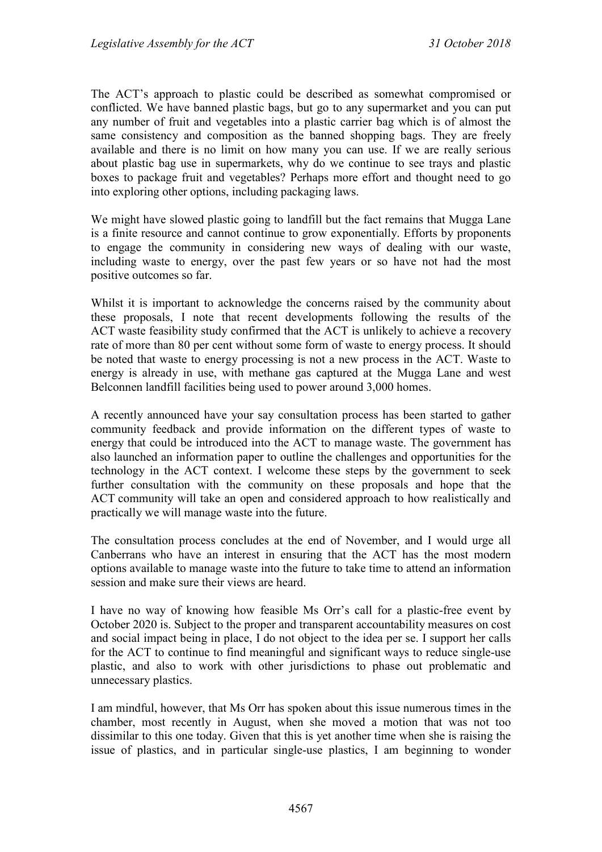The ACT's approach to plastic could be described as somewhat compromised or conflicted. We have banned plastic bags, but go to any supermarket and you can put any number of fruit and vegetables into a plastic carrier bag which is of almost the same consistency and composition as the banned shopping bags. They are freely available and there is no limit on how many you can use. If we are really serious about plastic bag use in supermarkets, why do we continue to see trays and plastic boxes to package fruit and vegetables? Perhaps more effort and thought need to go into exploring other options, including packaging laws.

We might have slowed plastic going to landfill but the fact remains that Mugga Lane is a finite resource and cannot continue to grow exponentially. Efforts by proponents to engage the community in considering new ways of dealing with our waste, including waste to energy, over the past few years or so have not had the most positive outcomes so far.

Whilst it is important to acknowledge the concerns raised by the community about these proposals, I note that recent developments following the results of the ACT waste feasibility study confirmed that the ACT is unlikely to achieve a recovery rate of more than 80 per cent without some form of waste to energy process. It should be noted that waste to energy processing is not a new process in the ACT. Waste to energy is already in use, with methane gas captured at the Mugga Lane and west Belconnen landfill facilities being used to power around 3,000 homes.

A recently announced have your say consultation process has been started to gather community feedback and provide information on the different types of waste to energy that could be introduced into the ACT to manage waste. The government has also launched an information paper to outline the challenges and opportunities for the technology in the ACT context. I welcome these steps by the government to seek further consultation with the community on these proposals and hope that the ACT community will take an open and considered approach to how realistically and practically we will manage waste into the future.

The consultation process concludes at the end of November, and I would urge all Canberrans who have an interest in ensuring that the ACT has the most modern options available to manage waste into the future to take time to attend an information session and make sure their views are heard.

I have no way of knowing how feasible Ms Orr's call for a plastic-free event by October 2020 is. Subject to the proper and transparent accountability measures on cost and social impact being in place, I do not object to the idea per se. I support her calls for the ACT to continue to find meaningful and significant ways to reduce single-use plastic, and also to work with other jurisdictions to phase out problematic and unnecessary plastics.

I am mindful, however, that Ms Orr has spoken about this issue numerous times in the chamber, most recently in August, when she moved a motion that was not too dissimilar to this one today. Given that this is yet another time when she is raising the issue of plastics, and in particular single-use plastics, I am beginning to wonder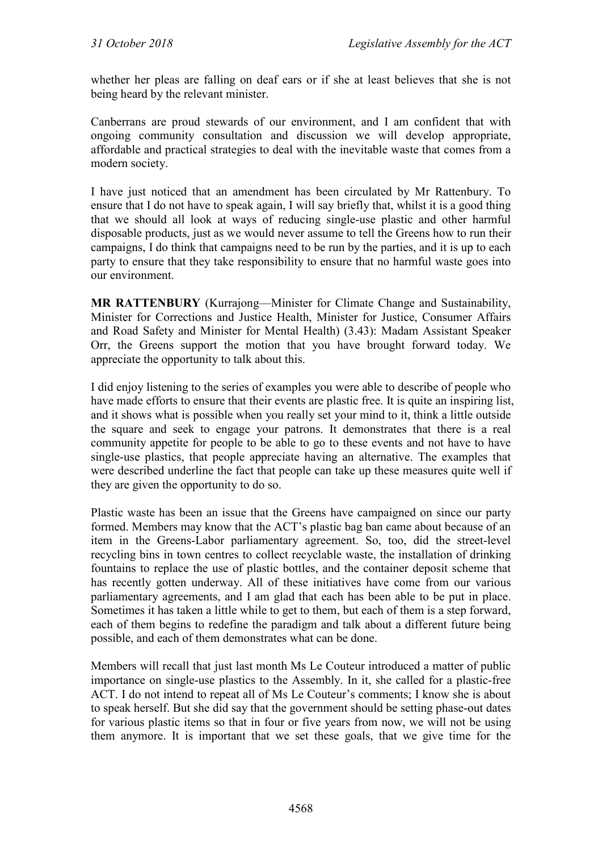whether her pleas are falling on deaf ears or if she at least believes that she is not being heard by the relevant minister.

Canberrans are proud stewards of our environment, and I am confident that with ongoing community consultation and discussion we will develop appropriate, affordable and practical strategies to deal with the inevitable waste that comes from a modern society.

I have just noticed that an amendment has been circulated by Mr Rattenbury. To ensure that I do not have to speak again, I will say briefly that, whilst it is a good thing that we should all look at ways of reducing single-use plastic and other harmful disposable products, just as we would never assume to tell the Greens how to run their campaigns, I do think that campaigns need to be run by the parties, and it is up to each party to ensure that they take responsibility to ensure that no harmful waste goes into our environment.

**MR RATTENBURY** (Kurrajong—Minister for Climate Change and Sustainability, Minister for Corrections and Justice Health, Minister for Justice, Consumer Affairs and Road Safety and Minister for Mental Health) (3.43): Madam Assistant Speaker Orr, the Greens support the motion that you have brought forward today. We appreciate the opportunity to talk about this.

I did enjoy listening to the series of examples you were able to describe of people who have made efforts to ensure that their events are plastic free. It is quite an inspiring list, and it shows what is possible when you really set your mind to it, think a little outside the square and seek to engage your patrons. It demonstrates that there is a real community appetite for people to be able to go to these events and not have to have single-use plastics, that people appreciate having an alternative. The examples that were described underline the fact that people can take up these measures quite well if they are given the opportunity to do so.

Plastic waste has been an issue that the Greens have campaigned on since our party formed. Members may know that the ACT's plastic bag ban came about because of an item in the Greens-Labor parliamentary agreement. So, too, did the street-level recycling bins in town centres to collect recyclable waste, the installation of drinking fountains to replace the use of plastic bottles, and the container deposit scheme that has recently gotten underway. All of these initiatives have come from our various parliamentary agreements, and I am glad that each has been able to be put in place. Sometimes it has taken a little while to get to them, but each of them is a step forward, each of them begins to redefine the paradigm and talk about a different future being possible, and each of them demonstrates what can be done.

Members will recall that just last month Ms Le Couteur introduced a matter of public importance on single-use plastics to the Assembly. In it, she called for a plastic-free ACT. I do not intend to repeat all of Ms Le Couteur's comments; I know she is about to speak herself. But she did say that the government should be setting phase-out dates for various plastic items so that in four or five years from now, we will not be using them anymore. It is important that we set these goals, that we give time for the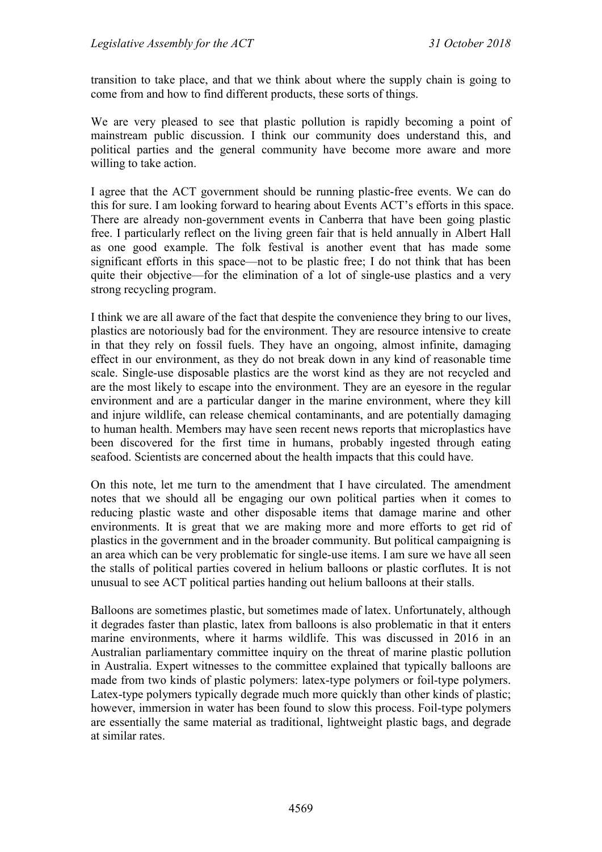transition to take place, and that we think about where the supply chain is going to come from and how to find different products, these sorts of things.

We are very pleased to see that plastic pollution is rapidly becoming a point of mainstream public discussion. I think our community does understand this, and political parties and the general community have become more aware and more willing to take action.

I agree that the ACT government should be running plastic-free events. We can do this for sure. I am looking forward to hearing about Events ACT's efforts in this space. There are already non-government events in Canberra that have been going plastic free. I particularly reflect on the living green fair that is held annually in Albert Hall as one good example. The folk festival is another event that has made some significant efforts in this space—not to be plastic free; I do not think that has been quite their objective—for the elimination of a lot of single-use plastics and a very strong recycling program.

I think we are all aware of the fact that despite the convenience they bring to our lives, plastics are notoriously bad for the environment. They are resource intensive to create in that they rely on fossil fuels. They have an ongoing, almost infinite, damaging effect in our environment, as they do not break down in any kind of reasonable time scale. Single-use disposable plastics are the worst kind as they are not recycled and are the most likely to escape into the environment. They are an eyesore in the regular environment and are a particular danger in the marine environment, where they kill and injure wildlife, can release chemical contaminants, and are potentially damaging to human health. Members may have seen recent news reports that microplastics have been discovered for the first time in humans, probably ingested through eating seafood. Scientists are concerned about the health impacts that this could have.

On this note, let me turn to the amendment that I have circulated. The amendment notes that we should all be engaging our own political parties when it comes to reducing plastic waste and other disposable items that damage marine and other environments. It is great that we are making more and more efforts to get rid of plastics in the government and in the broader community. But political campaigning is an area which can be very problematic for single-use items. I am sure we have all seen the stalls of political parties covered in helium balloons or plastic corflutes. It is not unusual to see ACT political parties handing out helium balloons at their stalls.

Balloons are sometimes plastic, but sometimes made of latex. Unfortunately, although it degrades faster than plastic, latex from balloons is also problematic in that it enters marine environments, where it harms wildlife. This was discussed in 2016 in an Australian parliamentary committee inquiry on the threat of marine plastic pollution in Australia. Expert witnesses to the committee explained that typically balloons are made from two kinds of plastic polymers: latex-type polymers or foil-type polymers. Latex-type polymers typically degrade much more quickly than other kinds of plastic; however, immersion in water has been found to slow this process. Foil-type polymers are essentially the same material as traditional, lightweight plastic bags, and degrade at similar rates.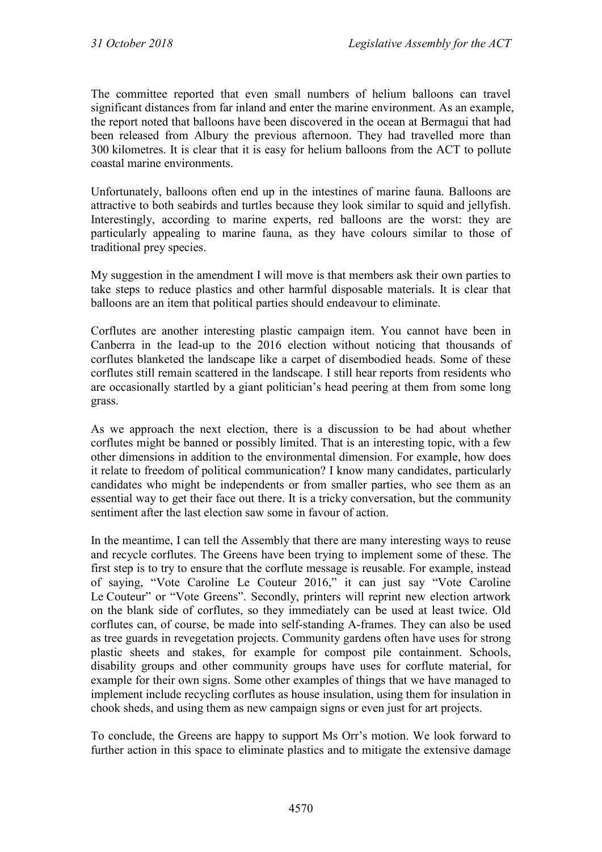The committee reported that even small numbers of helium balloons can travel significant distances from far inland and enter the marine environment. As an example, the report noted that balloons have been discovered in the ocean at Bermagui that had been released from Albury the previous afternoon. They had travelled more than 300 kilometres. It is clear that it is easy for helium balloons from the ACT to pollute coastal marine environments.

Unfortunately, balloons often end up in the intestines of marine fauna. Balloons are attractive to both seabirds and turtles because they look similar to squid and jellyfish. Interestingly, according to marine experts, red balloons are the worst: they are particularly appealing to marine fauna, as they have colours similar to those of traditional prey species.

My suggestion in the amendment I will move is that members ask their own parties to take steps to reduce plastics and other harmful disposable materials. It is clear that balloons are an item that political parties should endeavour to eliminate.

Corflutes are another interesting plastic campaign item. You cannot have been in Canberra in the lead-up to the 2016 election without noticing that thousands of corflutes blanketed the landscape like a carpet of disembodied heads. Some of these corflutes still remain scattered in the landscape. I still hear reports from residents who are occasionally startled by a giant politician's head peering at them from some long grass.

As we approach the next election, there is a discussion to be had about whether corflutes might be banned or possibly limited. That is an interesting topic, with a few other dimensions in addition to the environmental dimension. For example, how does it relate to freedom of political communication? I know many candidates, particularly candidates who might be independents or from smaller parties, who see them as an essential way to get their face out there. It is a tricky conversation, but the community sentiment after the last election saw some in favour of action.

In the meantime, I can tell the Assembly that there are many interesting ways to reuse and recycle corflutes. The Greens have been trying to implement some of these. The first step is to try to ensure that the corflute message is reusable. For example, instead of saying, "Vote Caroline Le Couteur 2016," it can just say "Vote Caroline Le Couteur" or "Vote Greens". Secondly, printers will reprint new election artwork on the blank side of corflutes, so they immediately can be used at least twice. Old corflutes can, of course, be made into self-standing A-frames. They can also be used as tree guards in revegetation projects. Community gardens often have uses for strong plastic sheets and stakes, for example for compost pile containment. Schools, disability groups and other community groups have uses for corflute material, for example for their own signs. Some other examples of things that we have managed to implement include recycling corflutes as house insulation, using them for insulation in chook sheds, and using them as new campaign signs or even just for art projects.

To conclude, the Greens are happy to support Ms Orr's motion. We look forward to further action in this space to eliminate plastics and to mitigate the extensive damage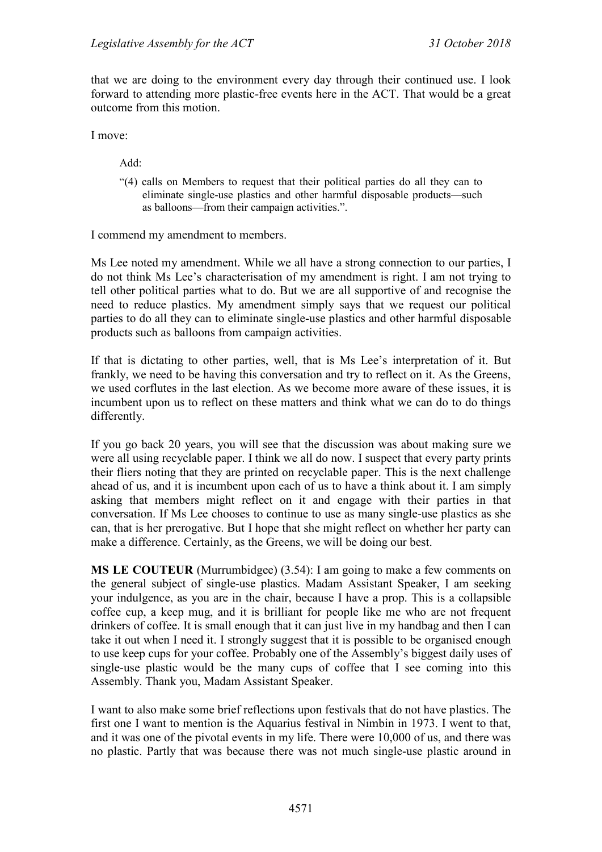that we are doing to the environment every day through their continued use. I look forward to attending more plastic-free events here in the ACT. That would be a great outcome from this motion.

I move:

Add:

"(4) calls on Members to request that their political parties do all they can to eliminate single-use plastics and other harmful disposable products—such as balloons—from their campaign activities.".

I commend my amendment to members.

Ms Lee noted my amendment. While we all have a strong connection to our parties, I do not think Ms Lee's characterisation of my amendment is right. I am not trying to tell other political parties what to do. But we are all supportive of and recognise the need to reduce plastics. My amendment simply says that we request our political parties to do all they can to eliminate single-use plastics and other harmful disposable products such as balloons from campaign activities.

If that is dictating to other parties, well, that is Ms Lee's interpretation of it. But frankly, we need to be having this conversation and try to reflect on it. As the Greens, we used corflutes in the last election. As we become more aware of these issues, it is incumbent upon us to reflect on these matters and think what we can do to do things differently.

If you go back 20 years, you will see that the discussion was about making sure we were all using recyclable paper. I think we all do now. I suspect that every party prints their fliers noting that they are printed on recyclable paper. This is the next challenge ahead of us, and it is incumbent upon each of us to have a think about it. I am simply asking that members might reflect on it and engage with their parties in that conversation. If Ms Lee chooses to continue to use as many single-use plastics as she can, that is her prerogative. But I hope that she might reflect on whether her party can make a difference. Certainly, as the Greens, we will be doing our best.

**MS LE COUTEUR** (Murrumbidgee) (3.54): I am going to make a few comments on the general subject of single-use plastics. Madam Assistant Speaker, I am seeking your indulgence, as you are in the chair, because I have a prop. This is a collapsible coffee cup, a keep mug, and it is brilliant for people like me who are not frequent drinkers of coffee. It is small enough that it can just live in my handbag and then I can take it out when I need it. I strongly suggest that it is possible to be organised enough to use keep cups for your coffee. Probably one of the Assembly's biggest daily uses of single-use plastic would be the many cups of coffee that I see coming into this Assembly. Thank you, Madam Assistant Speaker.

I want to also make some brief reflections upon festivals that do not have plastics. The first one I want to mention is the Aquarius festival in Nimbin in 1973. I went to that, and it was one of the pivotal events in my life. There were 10,000 of us, and there was no plastic. Partly that was because there was not much single-use plastic around in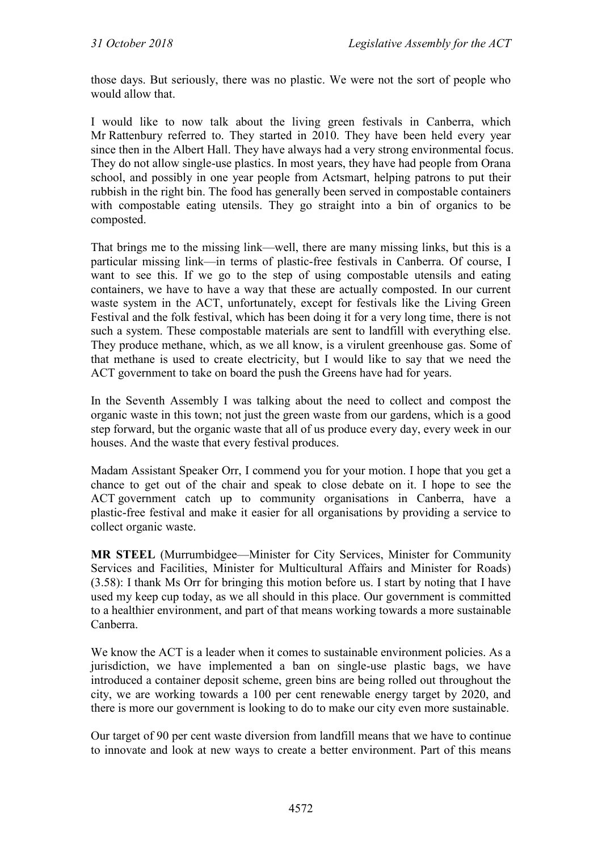those days. But seriously, there was no plastic. We were not the sort of people who would allow that.

I would like to now talk about the living green festivals in Canberra, which Mr Rattenbury referred to. They started in 2010. They have been held every year since then in the Albert Hall. They have always had a very strong environmental focus. They do not allow single-use plastics. In most years, they have had people from Orana school, and possibly in one year people from Actsmart, helping patrons to put their rubbish in the right bin. The food has generally been served in compostable containers with compostable eating utensils. They go straight into a bin of organics to be composted.

That brings me to the missing link—well, there are many missing links, but this is a particular missing link—in terms of plastic-free festivals in Canberra. Of course, I want to see this. If we go to the step of using compostable utensils and eating containers, we have to have a way that these are actually composted. In our current waste system in the ACT, unfortunately, except for festivals like the Living Green Festival and the folk festival, which has been doing it for a very long time, there is not such a system. These compostable materials are sent to landfill with everything else. They produce methane, which, as we all know, is a virulent greenhouse gas. Some of that methane is used to create electricity, but I would like to say that we need the ACT government to take on board the push the Greens have had for years.

In the Seventh Assembly I was talking about the need to collect and compost the organic waste in this town; not just the green waste from our gardens, which is a good step forward, but the organic waste that all of us produce every day, every week in our houses. And the waste that every festival produces.

Madam Assistant Speaker Orr, I commend you for your motion. I hope that you get a chance to get out of the chair and speak to close debate on it. I hope to see the ACT government catch up to community organisations in Canberra, have a plastic-free festival and make it easier for all organisations by providing a service to collect organic waste.

**MR STEEL** (Murrumbidgee—Minister for City Services, Minister for Community Services and Facilities, Minister for Multicultural Affairs and Minister for Roads) (3.58): I thank Ms Orr for bringing this motion before us. I start by noting that I have used my keep cup today, as we all should in this place. Our government is committed to a healthier environment, and part of that means working towards a more sustainable Canberra.

We know the ACT is a leader when it comes to sustainable environment policies. As a jurisdiction, we have implemented a ban on single-use plastic bags, we have introduced a container deposit scheme, green bins are being rolled out throughout the city, we are working towards a 100 per cent renewable energy target by 2020, and there is more our government is looking to do to make our city even more sustainable.

Our target of 90 per cent waste diversion from landfill means that we have to continue to innovate and look at new ways to create a better environment. Part of this means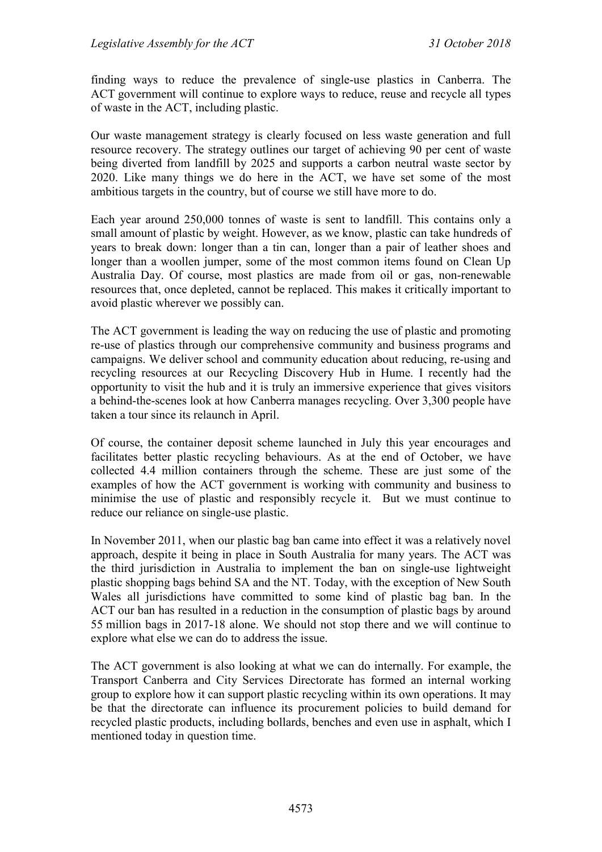finding ways to reduce the prevalence of single-use plastics in Canberra. The ACT government will continue to explore ways to reduce, reuse and recycle all types of waste in the ACT, including plastic.

Our waste management strategy is clearly focused on less waste generation and full resource recovery. The strategy outlines our target of achieving 90 per cent of waste being diverted from landfill by 2025 and supports a carbon neutral waste sector by 2020. Like many things we do here in the ACT, we have set some of the most ambitious targets in the country, but of course we still have more to do.

Each year around 250,000 tonnes of waste is sent to landfill. This contains only a small amount of plastic by weight. However, as we know, plastic can take hundreds of years to break down: longer than a tin can, longer than a pair of leather shoes and longer than a woollen jumper, some of the most common items found on Clean Up Australia Day. Of course, most plastics are made from oil or gas, non-renewable resources that, once depleted, cannot be replaced. This makes it critically important to avoid plastic wherever we possibly can.

The ACT government is leading the way on reducing the use of plastic and promoting re-use of plastics through our comprehensive community and business programs and campaigns. We deliver school and community education about reducing, re-using and recycling resources at our Recycling Discovery Hub in Hume. I recently had the opportunity to visit the hub and it is truly an immersive experience that gives visitors a behind-the-scenes look at how Canberra manages recycling. Over 3,300 people have taken a tour since its relaunch in April.

Of course, the container deposit scheme launched in July this year encourages and facilitates better plastic recycling behaviours. As at the end of October, we have collected 4.4 million containers through the scheme. These are just some of the examples of how the ACT government is working with community and business to minimise the use of plastic and responsibly recycle it. But we must continue to reduce our reliance on single-use plastic.

In November 2011, when our plastic bag ban came into effect it was a relatively novel approach, despite it being in place in South Australia for many years. The ACT was the third jurisdiction in Australia to implement the ban on single-use lightweight plastic shopping bags behind SA and the NT. Today, with the exception of New South Wales all jurisdictions have committed to some kind of plastic bag ban. In the ACT our ban has resulted in a reduction in the consumption of plastic bags by around 55 million bags in 2017-18 alone. We should not stop there and we will continue to explore what else we can do to address the issue.

The ACT government is also looking at what we can do internally. For example, the Transport Canberra and City Services Directorate has formed an internal working group to explore how it can support plastic recycling within its own operations. It may be that the directorate can influence its procurement policies to build demand for recycled plastic products, including bollards, benches and even use in asphalt, which I mentioned today in question time.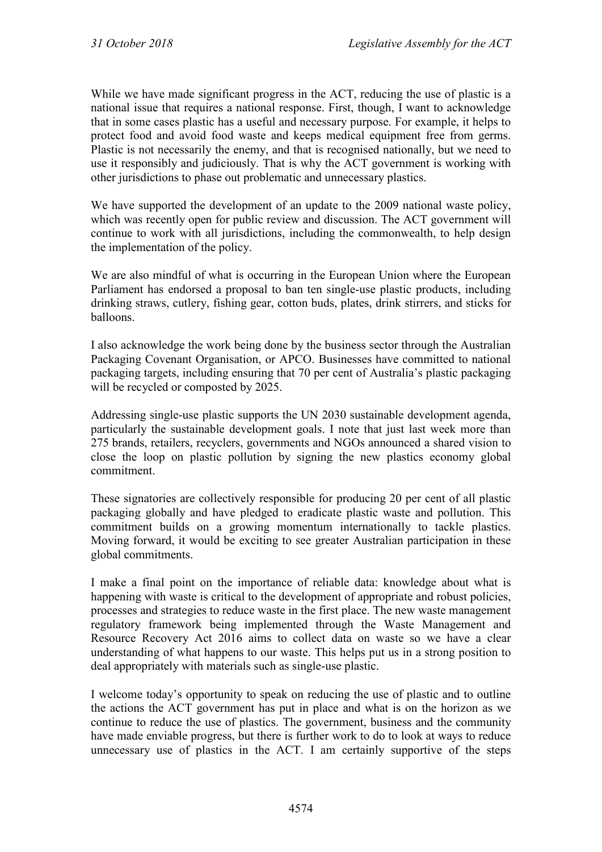While we have made significant progress in the ACT, reducing the use of plastic is a national issue that requires a national response. First, though, I want to acknowledge that in some cases plastic has a useful and necessary purpose. For example, it helps to protect food and avoid food waste and keeps medical equipment free from germs. Plastic is not necessarily the enemy, and that is recognised nationally, but we need to use it responsibly and judiciously. That is why the ACT government is working with other jurisdictions to phase out problematic and unnecessary plastics.

We have supported the development of an update to the 2009 national waste policy, which was recently open for public review and discussion. The ACT government will continue to work with all jurisdictions, including the commonwealth, to help design the implementation of the policy.

We are also mindful of what is occurring in the European Union where the European Parliament has endorsed a proposal to ban ten single-use plastic products, including drinking straws, cutlery, fishing gear, cotton buds, plates, drink stirrers, and sticks for balloons.

I also acknowledge the work being done by the business sector through the Australian Packaging Covenant Organisation, or APCO. Businesses have committed to national packaging targets, including ensuring that 70 per cent of Australia's plastic packaging will be recycled or composted by 2025.

Addressing single-use plastic supports the UN 2030 sustainable development agenda, particularly the sustainable development goals. I note that just last week more than 275 brands, retailers, recyclers, governments and NGOs announced a shared vision to close the loop on plastic pollution by signing the new plastics economy global commitment.

These signatories are collectively responsible for producing 20 per cent of all plastic packaging globally and have pledged to eradicate plastic waste and pollution. This commitment builds on a growing momentum internationally to tackle plastics. Moving forward, it would be exciting to see greater Australian participation in these global commitments.

I make a final point on the importance of reliable data: knowledge about what is happening with waste is critical to the development of appropriate and robust policies, processes and strategies to reduce waste in the first place. The new waste management regulatory framework being implemented through the Waste Management and Resource Recovery Act 2016 aims to collect data on waste so we have a clear understanding of what happens to our waste. This helps put us in a strong position to deal appropriately with materials such as single-use plastic.

I welcome today's opportunity to speak on reducing the use of plastic and to outline the actions the ACT government has put in place and what is on the horizon as we continue to reduce the use of plastics. The government, business and the community have made enviable progress, but there is further work to do to look at ways to reduce unnecessary use of plastics in the ACT. I am certainly supportive of the steps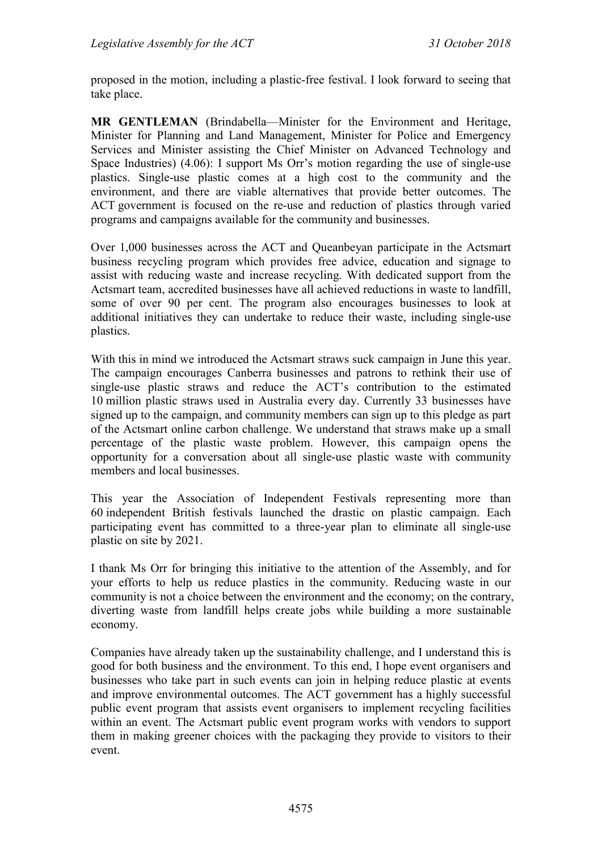proposed in the motion, including a plastic-free festival. I look forward to seeing that take place.

**MR GENTLEMAN** (Brindabella—Minister for the Environment and Heritage, Minister for Planning and Land Management, Minister for Police and Emergency Services and Minister assisting the Chief Minister on Advanced Technology and Space Industries) (4.06): I support Ms Orr's motion regarding the use of single-use plastics. Single-use plastic comes at a high cost to the community and the environment, and there are viable alternatives that provide better outcomes. The ACT government is focused on the re-use and reduction of plastics through varied programs and campaigns available for the community and businesses.

Over 1,000 businesses across the ACT and Queanbeyan participate in the Actsmart business recycling program which provides free advice, education and signage to assist with reducing waste and increase recycling. With dedicated support from the Actsmart team, accredited businesses have all achieved reductions in waste to landfill, some of over 90 per cent. The program also encourages businesses to look at additional initiatives they can undertake to reduce their waste, including single-use plastics.

With this in mind we introduced the Actsmart straws suck campaign in June this year. The campaign encourages Canberra businesses and patrons to rethink their use of single-use plastic straws and reduce the ACT's contribution to the estimated 10 million plastic straws used in Australia every day. Currently 33 businesses have signed up to the campaign, and community members can sign up to this pledge as part of the Actsmart online carbon challenge. We understand that straws make up a small percentage of the plastic waste problem. However, this campaign opens the opportunity for a conversation about all single-use plastic waste with community members and local businesses.

This year the Association of Independent Festivals representing more than 60 independent British festivals launched the drastic on plastic campaign. Each participating event has committed to a three-year plan to eliminate all single-use plastic on site by 2021.

I thank Ms Orr for bringing this initiative to the attention of the Assembly, and for your efforts to help us reduce plastics in the community. Reducing waste in our community is not a choice between the environment and the economy; on the contrary, diverting waste from landfill helps create jobs while building a more sustainable economy.

Companies have already taken up the sustainability challenge, and I understand this is good for both business and the environment. To this end, I hope event organisers and businesses who take part in such events can join in helping reduce plastic at events and improve environmental outcomes. The ACT government has a highly successful public event program that assists event organisers to implement recycling facilities within an event. The Actsmart public event program works with vendors to support them in making greener choices with the packaging they provide to visitors to their event.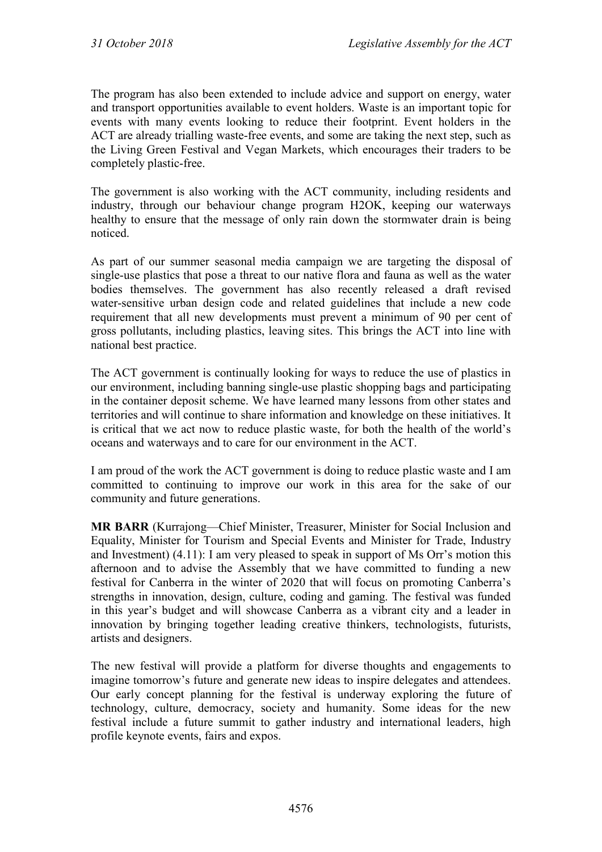The program has also been extended to include advice and support on energy, water and transport opportunities available to event holders. Waste is an important topic for events with many events looking to reduce their footprint. Event holders in the ACT are already trialling waste-free events, and some are taking the next step, such as the Living Green Festival and Vegan Markets, which encourages their traders to be completely plastic-free.

The government is also working with the ACT community, including residents and industry, through our behaviour change program H2OK, keeping our waterways healthy to ensure that the message of only rain down the stormwater drain is being noticed.

As part of our summer seasonal media campaign we are targeting the disposal of single-use plastics that pose a threat to our native flora and fauna as well as the water bodies themselves. The government has also recently released a draft revised water-sensitive urban design code and related guidelines that include a new code requirement that all new developments must prevent a minimum of 90 per cent of gross pollutants, including plastics, leaving sites. This brings the ACT into line with national best practice.

The ACT government is continually looking for ways to reduce the use of plastics in our environment, including banning single-use plastic shopping bags and participating in the container deposit scheme. We have learned many lessons from other states and territories and will continue to share information and knowledge on these initiatives. It is critical that we act now to reduce plastic waste, for both the health of the world's oceans and waterways and to care for our environment in the ACT.

I am proud of the work the ACT government is doing to reduce plastic waste and I am committed to continuing to improve our work in this area for the sake of our community and future generations.

**MR BARR** (Kurrajong—Chief Minister, Treasurer, Minister for Social Inclusion and Equality, Minister for Tourism and Special Events and Minister for Trade, Industry and Investment) (4.11): I am very pleased to speak in support of Ms Orr's motion this afternoon and to advise the Assembly that we have committed to funding a new festival for Canberra in the winter of 2020 that will focus on promoting Canberra's strengths in innovation, design, culture, coding and gaming. The festival was funded in this year's budget and will showcase Canberra as a vibrant city and a leader in innovation by bringing together leading creative thinkers, technologists, futurists, artists and designers.

The new festival will provide a platform for diverse thoughts and engagements to imagine tomorrow's future and generate new ideas to inspire delegates and attendees. Our early concept planning for the festival is underway exploring the future of technology, culture, democracy, society and humanity. Some ideas for the new festival include a future summit to gather industry and international leaders, high profile keynote events, fairs and expos.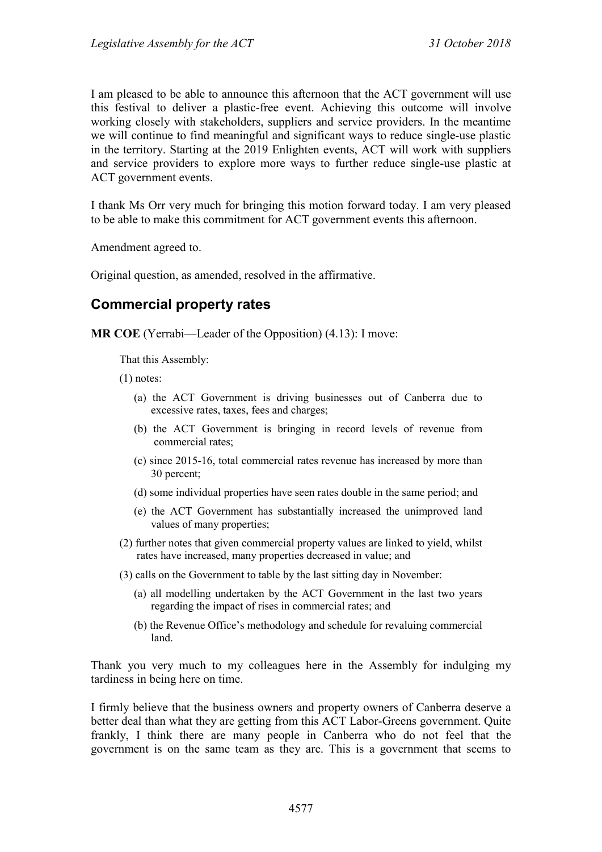I am pleased to be able to announce this afternoon that the ACT government will use this festival to deliver a plastic-free event. Achieving this outcome will involve working closely with stakeholders, suppliers and service providers. In the meantime we will continue to find meaningful and significant ways to reduce single-use plastic in the territory. Starting at the 2019 Enlighten events, ACT will work with suppliers and service providers to explore more ways to further reduce single-use plastic at ACT government events.

I thank Ms Orr very much for bringing this motion forward today. I am very pleased to be able to make this commitment for ACT government events this afternoon.

Amendment agreed to.

Original question, as amended, resolved in the affirmative.

## **Commercial property rates**

**MR COE** (Yerrabi—Leader of the Opposition) (4.13): I move:

That this Assembly:

(1) notes:

- (a) the ACT Government is driving businesses out of Canberra due to excessive rates, taxes, fees and charges;
- (b) the ACT Government is bringing in record levels of revenue from commercial rates;
- (c) since 2015-16, total commercial rates revenue has increased by more than 30 percent;
- (d) some individual properties have seen rates double in the same period; and
- (e) the ACT Government has substantially increased the unimproved land values of many properties;
- (2) further notes that given commercial property values are linked to yield, whilst rates have increased, many properties decreased in value; and
- (3) calls on the Government to table by the last sitting day in November:
	- (a) all modelling undertaken by the ACT Government in the last two years regarding the impact of rises in commercial rates; and
	- (b) the Revenue Office's methodology and schedule for revaluing commercial land.

Thank you very much to my colleagues here in the Assembly for indulging my tardiness in being here on time.

I firmly believe that the business owners and property owners of Canberra deserve a better deal than what they are getting from this ACT Labor-Greens government. Quite frankly, I think there are many people in Canberra who do not feel that the government is on the same team as they are. This is a government that seems to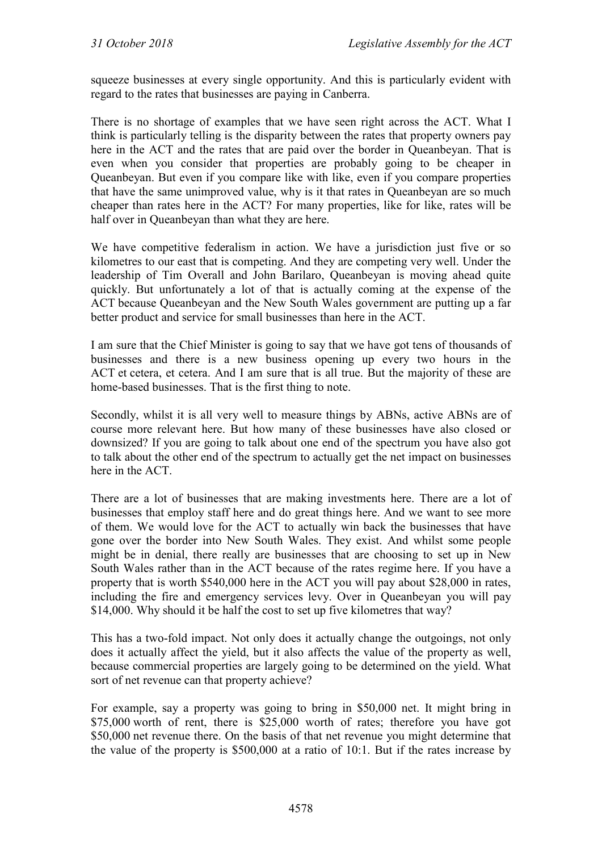squeeze businesses at every single opportunity. And this is particularly evident with regard to the rates that businesses are paying in Canberra.

There is no shortage of examples that we have seen right across the ACT. What I think is particularly telling is the disparity between the rates that property owners pay here in the ACT and the rates that are paid over the border in Queanbeyan. That is even when you consider that properties are probably going to be cheaper in Queanbeyan. But even if you compare like with like, even if you compare properties that have the same unimproved value, why is it that rates in Queanbeyan are so much cheaper than rates here in the ACT? For many properties, like for like, rates will be half over in Queanbeyan than what they are here.

We have competitive federalism in action. We have a jurisdiction just five or so kilometres to our east that is competing. And they are competing very well. Under the leadership of Tim Overall and John Barilaro, Queanbeyan is moving ahead quite quickly. But unfortunately a lot of that is actually coming at the expense of the ACT because Queanbeyan and the New South Wales government are putting up a far better product and service for small businesses than here in the ACT.

I am sure that the Chief Minister is going to say that we have got tens of thousands of businesses and there is a new business opening up every two hours in the ACT et cetera, et cetera. And I am sure that is all true. But the majority of these are home-based businesses. That is the first thing to note.

Secondly, whilst it is all very well to measure things by ABNs, active ABNs are of course more relevant here. But how many of these businesses have also closed or downsized? If you are going to talk about one end of the spectrum you have also got to talk about the other end of the spectrum to actually get the net impact on businesses here in the ACT.

There are a lot of businesses that are making investments here. There are a lot of businesses that employ staff here and do great things here. And we want to see more of them. We would love for the ACT to actually win back the businesses that have gone over the border into New South Wales. They exist. And whilst some people might be in denial, there really are businesses that are choosing to set up in New South Wales rather than in the ACT because of the rates regime here. If you have a property that is worth \$540,000 here in the ACT you will pay about \$28,000 in rates, including the fire and emergency services levy. Over in Queanbeyan you will pay \$14,000. Why should it be half the cost to set up five kilometres that way?

This has a two-fold impact. Not only does it actually change the outgoings, not only does it actually affect the yield, but it also affects the value of the property as well, because commercial properties are largely going to be determined on the yield. What sort of net revenue can that property achieve?

For example, say a property was going to bring in \$50,000 net. It might bring in \$75,000 worth of rent, there is \$25,000 worth of rates; therefore you have got \$50,000 net revenue there. On the basis of that net revenue you might determine that the value of the property is \$500,000 at a ratio of 10:1. But if the rates increase by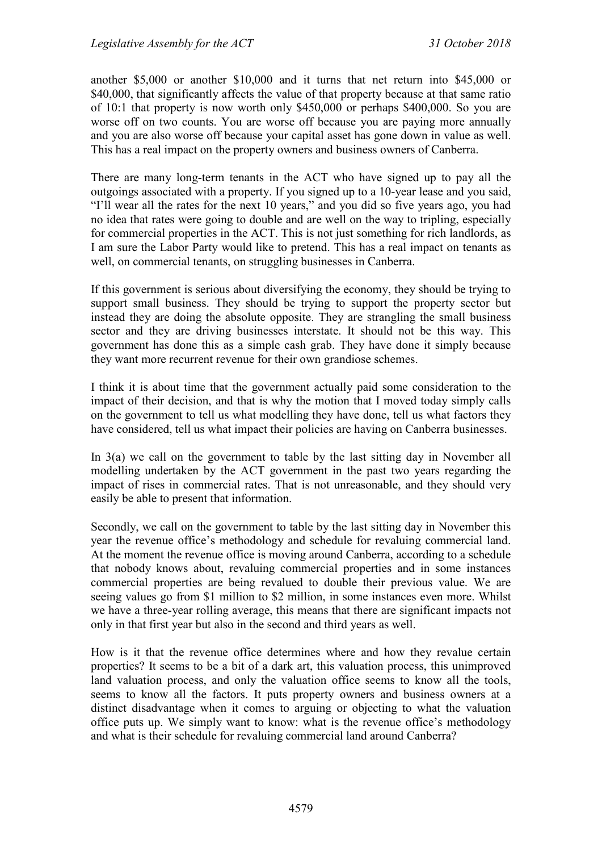another \$5,000 or another \$10,000 and it turns that net return into \$45,000 or \$40,000, that significantly affects the value of that property because at that same ratio of 10:1 that property is now worth only \$450,000 or perhaps \$400,000. So you are worse off on two counts. You are worse off because you are paying more annually and you are also worse off because your capital asset has gone down in value as well. This has a real impact on the property owners and business owners of Canberra.

There are many long-term tenants in the ACT who have signed up to pay all the outgoings associated with a property. If you signed up to a 10-year lease and you said, "I'll wear all the rates for the next 10 years," and you did so five years ago, you had no idea that rates were going to double and are well on the way to tripling, especially for commercial properties in the ACT. This is not just something for rich landlords, as I am sure the Labor Party would like to pretend. This has a real impact on tenants as well, on commercial tenants, on struggling businesses in Canberra.

If this government is serious about diversifying the economy, they should be trying to support small business. They should be trying to support the property sector but instead they are doing the absolute opposite. They are strangling the small business sector and they are driving businesses interstate. It should not be this way. This government has done this as a simple cash grab. They have done it simply because they want more recurrent revenue for their own grandiose schemes.

I think it is about time that the government actually paid some consideration to the impact of their decision, and that is why the motion that I moved today simply calls on the government to tell us what modelling they have done, tell us what factors they have considered, tell us what impact their policies are having on Canberra businesses.

In 3(a) we call on the government to table by the last sitting day in November all modelling undertaken by the ACT government in the past two years regarding the impact of rises in commercial rates. That is not unreasonable, and they should very easily be able to present that information.

Secondly, we call on the government to table by the last sitting day in November this year the revenue office's methodology and schedule for revaluing commercial land. At the moment the revenue office is moving around Canberra, according to a schedule that nobody knows about, revaluing commercial properties and in some instances commercial properties are being revalued to double their previous value. We are seeing values go from \$1 million to \$2 million, in some instances even more. Whilst we have a three-year rolling average, this means that there are significant impacts not only in that first year but also in the second and third years as well.

How is it that the revenue office determines where and how they revalue certain properties? It seems to be a bit of a dark art, this valuation process, this unimproved land valuation process, and only the valuation office seems to know all the tools, seems to know all the factors. It puts property owners and business owners at a distinct disadvantage when it comes to arguing or objecting to what the valuation office puts up. We simply want to know: what is the revenue office's methodology and what is their schedule for revaluing commercial land around Canberra?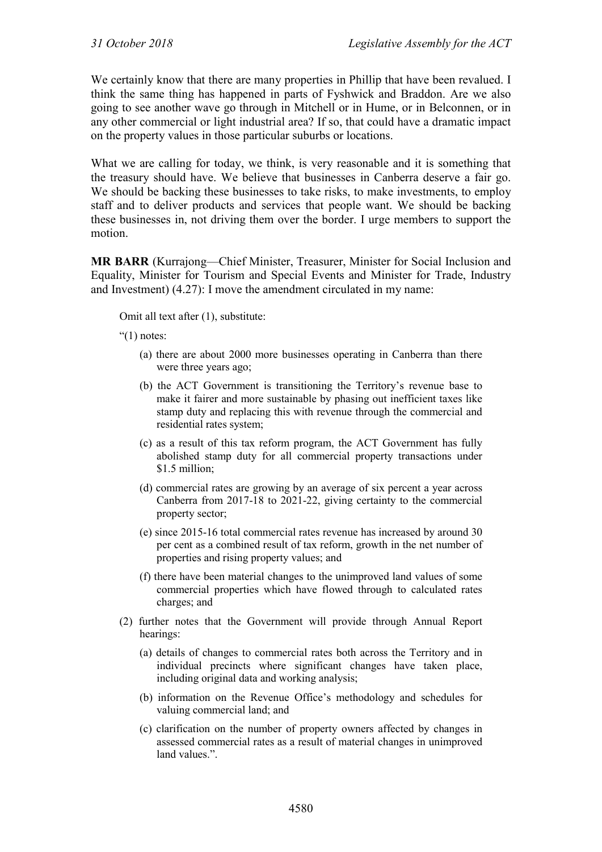We certainly know that there are many properties in Phillip that have been revalued. I think the same thing has happened in parts of Fyshwick and Braddon. Are we also going to see another wave go through in Mitchell or in Hume, or in Belconnen, or in any other commercial or light industrial area? If so, that could have a dramatic impact on the property values in those particular suburbs or locations.

What we are calling for today, we think, is very reasonable and it is something that the treasury should have. We believe that businesses in Canberra deserve a fair go. We should be backing these businesses to take risks, to make investments, to employ staff and to deliver products and services that people want. We should be backing these businesses in, not driving them over the border. I urge members to support the motion.

**MR BARR** (Kurrajong—Chief Minister, Treasurer, Minister for Social Inclusion and Equality, Minister for Tourism and Special Events and Minister for Trade, Industry and Investment) (4.27): I move the amendment circulated in my name:

Omit all text after (1), substitute:

" $(1)$  notes:

- (a) there are about 2000 more businesses operating in Canberra than there were three years ago;
- (b) the ACT Government is transitioning the Territory's revenue base to make it fairer and more sustainable by phasing out inefficient taxes like stamp duty and replacing this with revenue through the commercial and residential rates system;
- (c) as a result of this tax reform program, the ACT Government has fully abolished stamp duty for all commercial property transactions under \$1.5 million:
- (d) commercial rates are growing by an average of six percent a year across Canberra from 2017-18 to 2021-22, giving certainty to the commercial property sector;
- (e) since 2015-16 total commercial rates revenue has increased by around 30 per cent as a combined result of tax reform, growth in the net number of properties and rising property values; and
- (f) there have been material changes to the unimproved land values of some commercial properties which have flowed through to calculated rates charges; and
- (2) further notes that the Government will provide through Annual Report hearings:
	- (a) details of changes to commercial rates both across the Territory and in individual precincts where significant changes have taken place, including original data and working analysis;
	- (b) information on the Revenue Office's methodology and schedules for valuing commercial land; and
	- (c) clarification on the number of property owners affected by changes in assessed commercial rates as a result of material changes in unimproved land values.".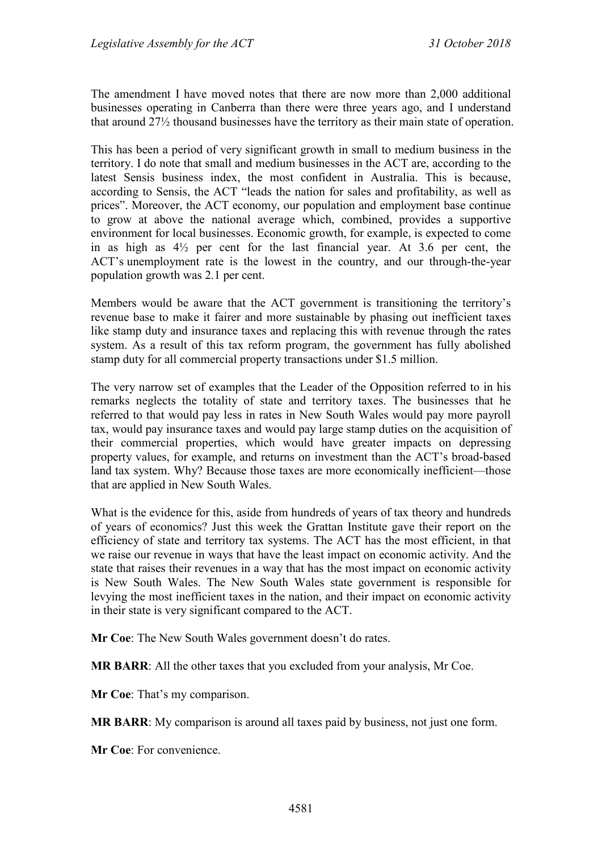The amendment I have moved notes that there are now more than 2,000 additional businesses operating in Canberra than there were three years ago, and I understand that around 27½ thousand businesses have the territory as their main state of operation.

This has been a period of very significant growth in small to medium business in the territory. I do note that small and medium businesses in the ACT are, according to the latest Sensis business index, the most confident in Australia. This is because, according to Sensis, the ACT "leads the nation for sales and profitability, as well as prices". Moreover, the ACT economy, our population and employment base continue to grow at above the national average which, combined, provides a supportive environment for local businesses. Economic growth, for example, is expected to come in as high as 4½ per cent for the last financial year. At 3.6 per cent, the ACT's unemployment rate is the lowest in the country, and our through-the-year population growth was 2.1 per cent.

Members would be aware that the ACT government is transitioning the territory's revenue base to make it fairer and more sustainable by phasing out inefficient taxes like stamp duty and insurance taxes and replacing this with revenue through the rates system. As a result of this tax reform program, the government has fully abolished stamp duty for all commercial property transactions under \$1.5 million.

The very narrow set of examples that the Leader of the Opposition referred to in his remarks neglects the totality of state and territory taxes. The businesses that he referred to that would pay less in rates in New South Wales would pay more payroll tax, would pay insurance taxes and would pay large stamp duties on the acquisition of their commercial properties, which would have greater impacts on depressing property values, for example, and returns on investment than the ACT's broad-based land tax system. Why? Because those taxes are more economically inefficient—those that are applied in New South Wales.

What is the evidence for this, aside from hundreds of years of tax theory and hundreds of years of economics? Just this week the Grattan Institute gave their report on the efficiency of state and territory tax systems. The ACT has the most efficient, in that we raise our revenue in ways that have the least impact on economic activity. And the state that raises their revenues in a way that has the most impact on economic activity is New South Wales. The New South Wales state government is responsible for levying the most inefficient taxes in the nation, and their impact on economic activity in their state is very significant compared to the ACT.

**Mr Coe**: The New South Wales government doesn't do rates.

**MR BARR**: All the other taxes that you excluded from your analysis, Mr Coe.

**Mr Coe**: That's my comparison.

**MR BARR**: My comparison is around all taxes paid by business, not just one form.

**Mr Coe**: For convenience.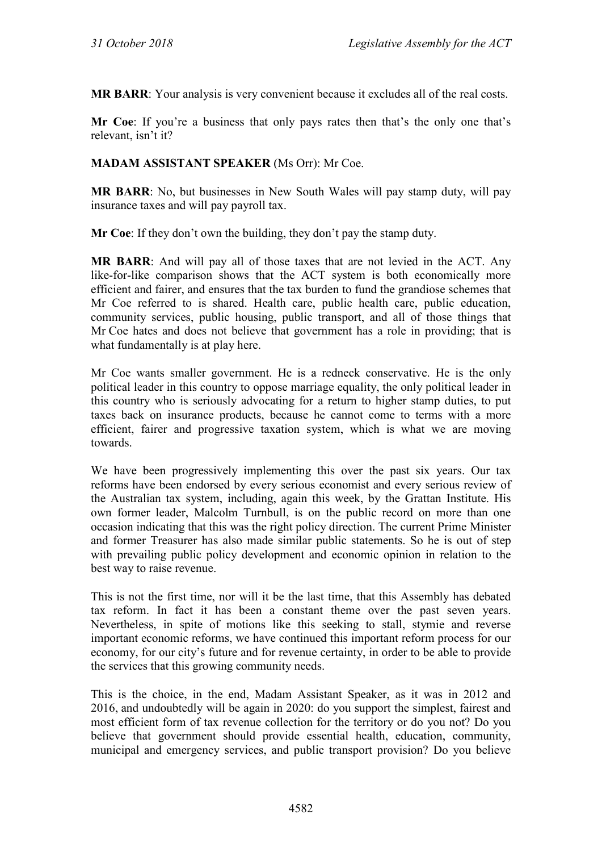**MR BARR**: Your analysis is very convenient because it excludes all of the real costs.

**Mr Coe**: If you're a business that only pays rates then that's the only one that's relevant, isn't it?

#### **MADAM ASSISTANT SPEAKER** (Ms Orr): Mr Coe.

**MR BARR**: No, but businesses in New South Wales will pay stamp duty, will pay insurance taxes and will pay payroll tax.

**Mr Coe**: If they don't own the building, they don't pay the stamp duty.

**MR BARR**: And will pay all of those taxes that are not levied in the ACT. Any like-for-like comparison shows that the ACT system is both economically more efficient and fairer, and ensures that the tax burden to fund the grandiose schemes that Mr Coe referred to is shared. Health care, public health care, public education, community services, public housing, public transport, and all of those things that Mr Coe hates and does not believe that government has a role in providing; that is what fundamentally is at play here.

Mr Coe wants smaller government. He is a redneck conservative. He is the only political leader in this country to oppose marriage equality, the only political leader in this country who is seriously advocating for a return to higher stamp duties, to put taxes back on insurance products, because he cannot come to terms with a more efficient, fairer and progressive taxation system, which is what we are moving towards.

We have been progressively implementing this over the past six years. Our tax reforms have been endorsed by every serious economist and every serious review of the Australian tax system, including, again this week, by the Grattan Institute. His own former leader, Malcolm Turnbull, is on the public record on more than one occasion indicating that this was the right policy direction. The current Prime Minister and former Treasurer has also made similar public statements. So he is out of step with prevailing public policy development and economic opinion in relation to the best way to raise revenue.

This is not the first time, nor will it be the last time, that this Assembly has debated tax reform. In fact it has been a constant theme over the past seven years. Nevertheless, in spite of motions like this seeking to stall, stymie and reverse important economic reforms, we have continued this important reform process for our economy, for our city's future and for revenue certainty, in order to be able to provide the services that this growing community needs.

This is the choice, in the end, Madam Assistant Speaker, as it was in 2012 and 2016, and undoubtedly will be again in 2020: do you support the simplest, fairest and most efficient form of tax revenue collection for the territory or do you not? Do you believe that government should provide essential health, education, community, municipal and emergency services, and public transport provision? Do you believe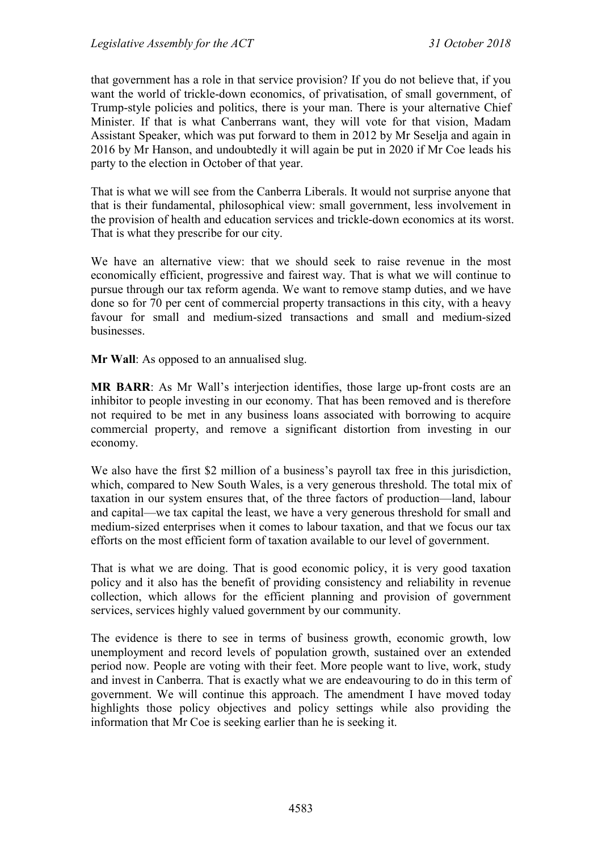that government has a role in that service provision? If you do not believe that, if you want the world of trickle-down economics, of privatisation, of small government, of Trump-style policies and politics, there is your man. There is your alternative Chief Minister. If that is what Canberrans want, they will vote for that vision, Madam Assistant Speaker, which was put forward to them in 2012 by Mr Seselja and again in 2016 by Mr Hanson, and undoubtedly it will again be put in 2020 if Mr Coe leads his party to the election in October of that year.

That is what we will see from the Canberra Liberals. It would not surprise anyone that that is their fundamental, philosophical view: small government, less involvement in the provision of health and education services and trickle-down economics at its worst. That is what they prescribe for our city.

We have an alternative view: that we should seek to raise revenue in the most economically efficient, progressive and fairest way. That is what we will continue to pursue through our tax reform agenda. We want to remove stamp duties, and we have done so for 70 per cent of commercial property transactions in this city, with a heavy favour for small and medium-sized transactions and small and medium-sized businesses.

**Mr Wall**: As opposed to an annualised slug.

**MR BARR**: As Mr Wall's interjection identifies, those large up-front costs are an inhibitor to people investing in our economy. That has been removed and is therefore not required to be met in any business loans associated with borrowing to acquire commercial property, and remove a significant distortion from investing in our economy.

We also have the first \$2 million of a business's payroll tax free in this jurisdiction, which, compared to New South Wales, is a very generous threshold. The total mix of taxation in our system ensures that, of the three factors of production—land, labour and capital—we tax capital the least, we have a very generous threshold for small and medium-sized enterprises when it comes to labour taxation, and that we focus our tax efforts on the most efficient form of taxation available to our level of government.

That is what we are doing. That is good economic policy, it is very good taxation policy and it also has the benefit of providing consistency and reliability in revenue collection, which allows for the efficient planning and provision of government services, services highly valued government by our community.

The evidence is there to see in terms of business growth, economic growth, low unemployment and record levels of population growth, sustained over an extended period now. People are voting with their feet. More people want to live, work, study and invest in Canberra. That is exactly what we are endeavouring to do in this term of government. We will continue this approach. The amendment I have moved today highlights those policy objectives and policy settings while also providing the information that Mr Coe is seeking earlier than he is seeking it.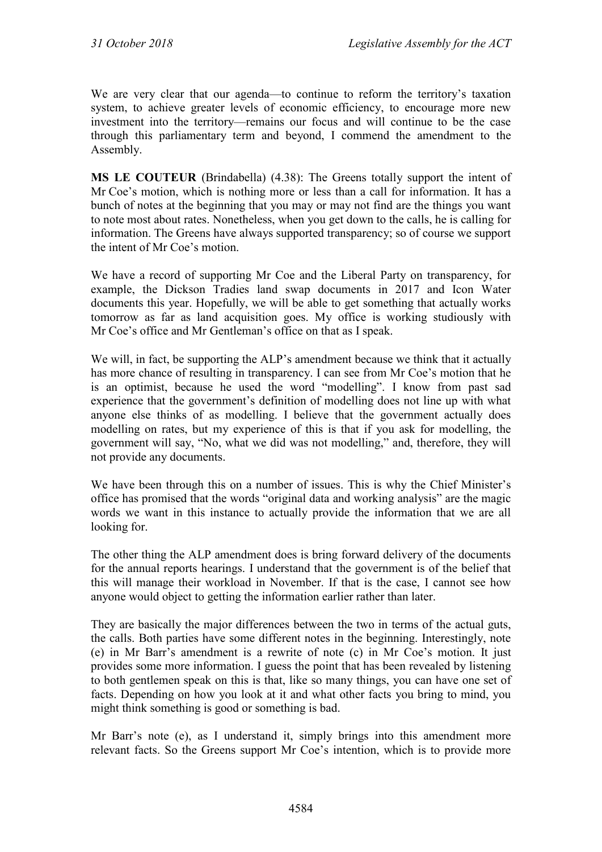We are very clear that our agenda—to continue to reform the territory's taxation system, to achieve greater levels of economic efficiency, to encourage more new investment into the territory—remains our focus and will continue to be the case through this parliamentary term and beyond, I commend the amendment to the Assembly.

**MS LE COUTEUR** (Brindabella) (4.38): The Greens totally support the intent of Mr Coe's motion, which is nothing more or less than a call for information. It has a bunch of notes at the beginning that you may or may not find are the things you want to note most about rates. Nonetheless, when you get down to the calls, he is calling for information. The Greens have always supported transparency; so of course we support the intent of Mr Coe's motion.

We have a record of supporting Mr Coe and the Liberal Party on transparency, for example, the Dickson Tradies land swap documents in 2017 and Icon Water documents this year. Hopefully, we will be able to get something that actually works tomorrow as far as land acquisition goes. My office is working studiously with Mr Coe's office and Mr Gentleman's office on that as I speak.

We will, in fact, be supporting the ALP's amendment because we think that it actually has more chance of resulting in transparency. I can see from Mr Coe's motion that he is an optimist, because he used the word "modelling". I know from past sad experience that the government's definition of modelling does not line up with what anyone else thinks of as modelling. I believe that the government actually does modelling on rates, but my experience of this is that if you ask for modelling, the government will say, "No, what we did was not modelling," and, therefore, they will not provide any documents.

We have been through this on a number of issues. This is why the Chief Minister's office has promised that the words "original data and working analysis" are the magic words we want in this instance to actually provide the information that we are all looking for.

The other thing the ALP amendment does is bring forward delivery of the documents for the annual reports hearings. I understand that the government is of the belief that this will manage their workload in November. If that is the case, I cannot see how anyone would object to getting the information earlier rather than later.

They are basically the major differences between the two in terms of the actual guts, the calls. Both parties have some different notes in the beginning. Interestingly, note (e) in Mr Barr's amendment is a rewrite of note (c) in Mr Coe's motion. It just provides some more information. I guess the point that has been revealed by listening to both gentlemen speak on this is that, like so many things, you can have one set of facts. Depending on how you look at it and what other facts you bring to mind, you might think something is good or something is bad.

Mr Barr's note (e), as I understand it, simply brings into this amendment more relevant facts. So the Greens support Mr Coe's intention, which is to provide more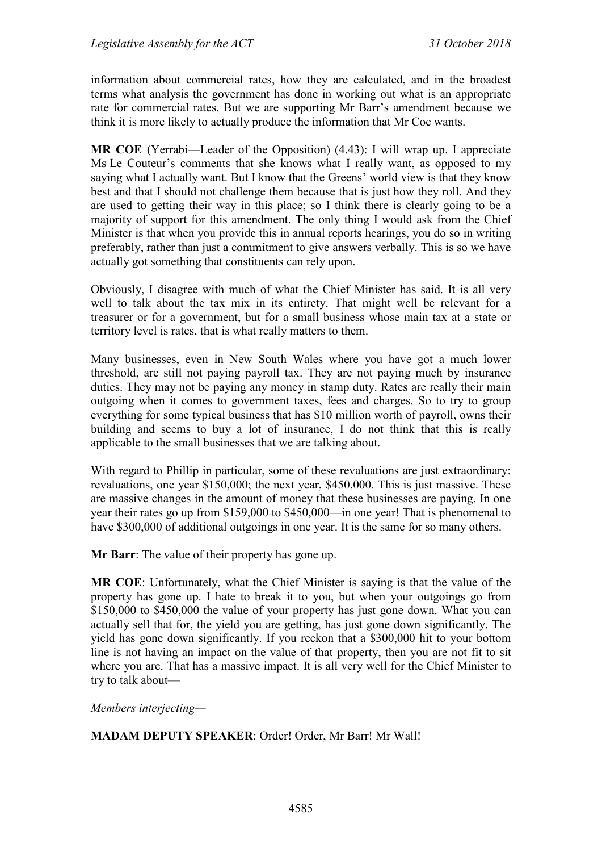information about commercial rates, how they are calculated, and in the broadest terms what analysis the government has done in working out what is an appropriate rate for commercial rates. But we are supporting Mr Barr's amendment because we think it is more likely to actually produce the information that Mr Coe wants.

**MR COE** (Yerrabi—Leader of the Opposition) (4.43): I will wrap up. I appreciate Ms Le Couteur's comments that she knows what I really want, as opposed to my saying what I actually want. But I know that the Greens' world view is that they know best and that I should not challenge them because that is just how they roll. And they are used to getting their way in this place; so I think there is clearly going to be a majority of support for this amendment. The only thing I would ask from the Chief Minister is that when you provide this in annual reports hearings, you do so in writing preferably, rather than just a commitment to give answers verbally. This is so we have actually got something that constituents can rely upon.

Obviously, I disagree with much of what the Chief Minister has said. It is all very well to talk about the tax mix in its entirety. That might well be relevant for a treasurer or for a government, but for a small business whose main tax at a state or territory level is rates, that is what really matters to them.

Many businesses, even in New South Wales where you have got a much lower threshold, are still not paying payroll tax. They are not paying much by insurance duties. They may not be paying any money in stamp duty. Rates are really their main outgoing when it comes to government taxes, fees and charges. So to try to group everything for some typical business that has \$10 million worth of payroll, owns their building and seems to buy a lot of insurance, I do not think that this is really applicable to the small businesses that we are talking about.

With regard to Phillip in particular, some of these revaluations are just extraordinary: revaluations, one year \$150,000; the next year, \$450,000. This is just massive. These are massive changes in the amount of money that these businesses are paying. In one year their rates go up from \$159,000 to \$450,000—in one year! That is phenomenal to have \$300,000 of additional outgoings in one year. It is the same for so many others.

**Mr Barr**: The value of their property has gone up.

**MR COE**: Unfortunately, what the Chief Minister is saying is that the value of the property has gone up. I hate to break it to you, but when your outgoings go from \$150,000 to \$450,000 the value of your property has just gone down. What you can actually sell that for, the yield you are getting, has just gone down significantly. The yield has gone down significantly. If you reckon that a \$300,000 hit to your bottom line is not having an impact on the value of that property, then you are not fit to sit where you are. That has a massive impact. It is all very well for the Chief Minister to try to talk about—

*Members interjecting—*

**MADAM DEPUTY SPEAKER**: Order! Order, Mr Barr! Mr Wall!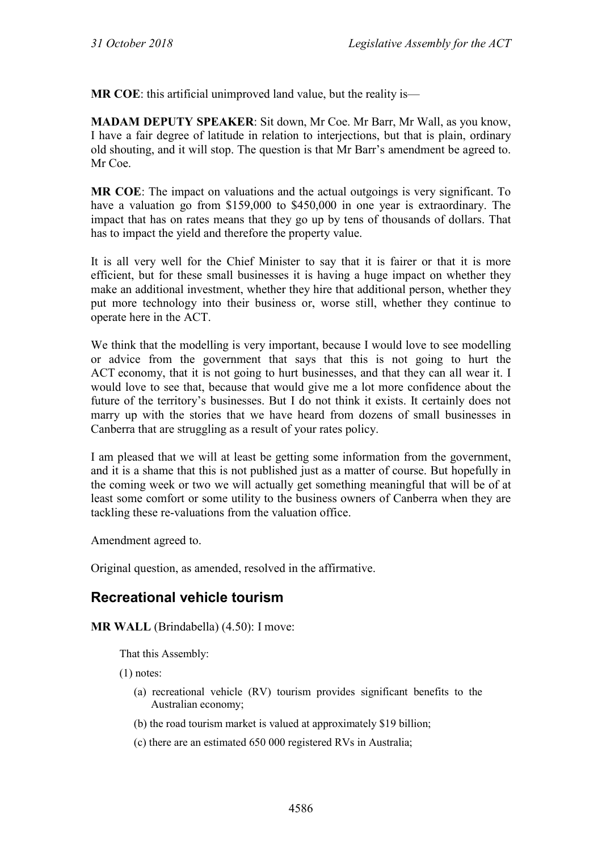**MR COE**: this artificial unimproved land value, but the reality is—

**MADAM DEPUTY SPEAKER**: Sit down, Mr Coe. Mr Barr, Mr Wall, as you know, I have a fair degree of latitude in relation to interjections, but that is plain, ordinary old shouting, and it will stop. The question is that Mr Barr's amendment be agreed to. Mr Coe.

**MR COE**: The impact on valuations and the actual outgoings is very significant. To have a valuation go from \$159,000 to \$450,000 in one year is extraordinary. The impact that has on rates means that they go up by tens of thousands of dollars. That has to impact the yield and therefore the property value.

It is all very well for the Chief Minister to say that it is fairer or that it is more efficient, but for these small businesses it is having a huge impact on whether they make an additional investment, whether they hire that additional person, whether they put more technology into their business or, worse still, whether they continue to operate here in the ACT.

We think that the modelling is very important, because I would love to see modelling or advice from the government that says that this is not going to hurt the ACT economy, that it is not going to hurt businesses, and that they can all wear it. I would love to see that, because that would give me a lot more confidence about the future of the territory's businesses. But I do not think it exists. It certainly does not marry up with the stories that we have heard from dozens of small businesses in Canberra that are struggling as a result of your rates policy.

I am pleased that we will at least be getting some information from the government, and it is a shame that this is not published just as a matter of course. But hopefully in the coming week or two we will actually get something meaningful that will be of at least some comfort or some utility to the business owners of Canberra when they are tackling these re-valuations from the valuation office.

Amendment agreed to.

Original question, as amended, resolved in the affirmative.

# **Recreational vehicle tourism**

**MR WALL** (Brindabella) (4.50): I move:

That this Assembly:

(1) notes:

- (a) recreational vehicle (RV) tourism provides significant benefits to the Australian economy;
- (b) the road tourism market is valued at approximately \$19 billion;
- (c) there are an estimated 650 000 registered RVs in Australia;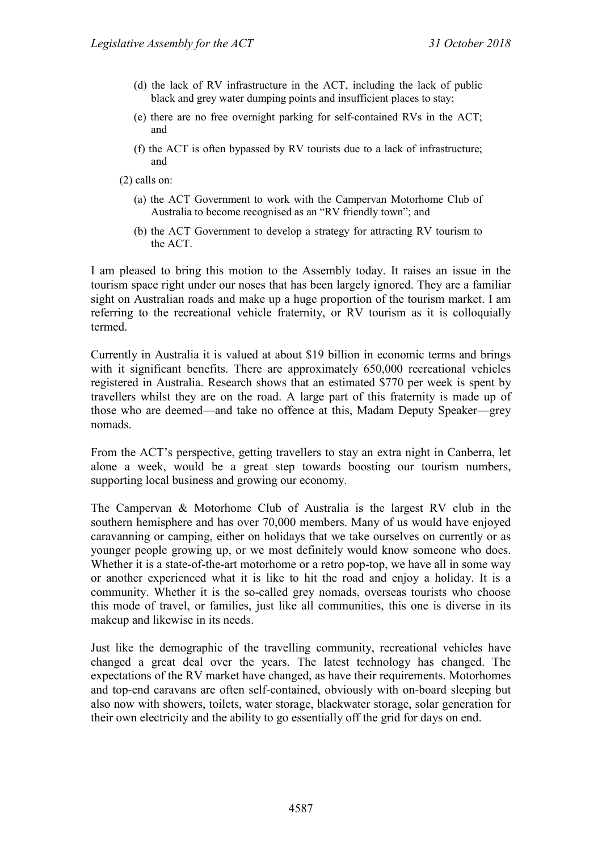- (d) the lack of RV infrastructure in the ACT, including the lack of public black and grey water dumping points and insufficient places to stay;
- (e) there are no free overnight parking for self-contained RVs in the ACT; and
- (f) the ACT is often bypassed by RV tourists due to a lack of infrastructure; and

(2) calls on:

- (a) the ACT Government to work with the Campervan Motorhome Club of Australia to become recognised as an "RV friendly town"; and
- (b) the ACT Government to develop a strategy for attracting RV tourism to the ACT.

I am pleased to bring this motion to the Assembly today. It raises an issue in the tourism space right under our noses that has been largely ignored. They are a familiar sight on Australian roads and make up a huge proportion of the tourism market. I am referring to the recreational vehicle fraternity, or RV tourism as it is colloquially termed.

Currently in Australia it is valued at about \$19 billion in economic terms and brings with it significant benefits. There are approximately 650,000 recreational vehicles registered in Australia. Research shows that an estimated \$770 per week is spent by travellers whilst they are on the road. A large part of this fraternity is made up of those who are deemed—and take no offence at this, Madam Deputy Speaker—grey nomads.

From the ACT's perspective, getting travellers to stay an extra night in Canberra, let alone a week, would be a great step towards boosting our tourism numbers, supporting local business and growing our economy.

The Campervan & Motorhome Club of Australia is the largest RV club in the southern hemisphere and has over 70,000 members. Many of us would have enjoyed caravanning or camping, either on holidays that we take ourselves on currently or as younger people growing up, or we most definitely would know someone who does. Whether it is a state-of-the-art motorhome or a retro pop-top, we have all in some way or another experienced what it is like to hit the road and enjoy a holiday. It is a community. Whether it is the so-called grey nomads, overseas tourists who choose this mode of travel, or families, just like all communities, this one is diverse in its makeup and likewise in its needs.

Just like the demographic of the travelling community, recreational vehicles have changed a great deal over the years. The latest technology has changed. The expectations of the RV market have changed, as have their requirements. Motorhomes and top-end caravans are often self-contained, obviously with on-board sleeping but also now with showers, toilets, water storage, blackwater storage, solar generation for their own electricity and the ability to go essentially off the grid for days on end.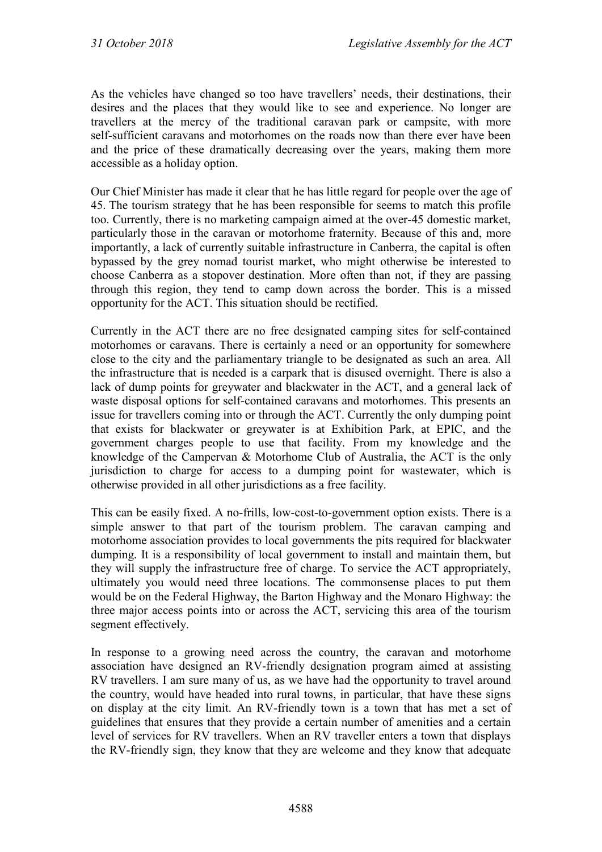As the vehicles have changed so too have travellers' needs, their destinations, their desires and the places that they would like to see and experience. No longer are travellers at the mercy of the traditional caravan park or campsite, with more self-sufficient caravans and motorhomes on the roads now than there ever have been and the price of these dramatically decreasing over the years, making them more accessible as a holiday option.

Our Chief Minister has made it clear that he has little regard for people over the age of 45. The tourism strategy that he has been responsible for seems to match this profile too. Currently, there is no marketing campaign aimed at the over-45 domestic market, particularly those in the caravan or motorhome fraternity. Because of this and, more importantly, a lack of currently suitable infrastructure in Canberra, the capital is often bypassed by the grey nomad tourist market, who might otherwise be interested to choose Canberra as a stopover destination. More often than not, if they are passing through this region, they tend to camp down across the border. This is a missed opportunity for the ACT. This situation should be rectified.

Currently in the ACT there are no free designated camping sites for self-contained motorhomes or caravans. There is certainly a need or an opportunity for somewhere close to the city and the parliamentary triangle to be designated as such an area. All the infrastructure that is needed is a carpark that is disused overnight. There is also a lack of dump points for greywater and blackwater in the ACT, and a general lack of waste disposal options for self-contained caravans and motorhomes. This presents an issue for travellers coming into or through the ACT. Currently the only dumping point that exists for blackwater or greywater is at Exhibition Park, at EPIC, and the government charges people to use that facility. From my knowledge and the knowledge of the Campervan & Motorhome Club of Australia, the ACT is the only jurisdiction to charge for access to a dumping point for wastewater, which is otherwise provided in all other jurisdictions as a free facility.

This can be easily fixed. A no-frills, low-cost-to-government option exists. There is a simple answer to that part of the tourism problem. The caravan camping and motorhome association provides to local governments the pits required for blackwater dumping. It is a responsibility of local government to install and maintain them, but they will supply the infrastructure free of charge. To service the ACT appropriately, ultimately you would need three locations. The commonsense places to put them would be on the Federal Highway, the Barton Highway and the Monaro Highway: the three major access points into or across the ACT, servicing this area of the tourism segment effectively.

In response to a growing need across the country, the caravan and motorhome association have designed an RV-friendly designation program aimed at assisting RV travellers. I am sure many of us, as we have had the opportunity to travel around the country, would have headed into rural towns, in particular, that have these signs on display at the city limit. An RV-friendly town is a town that has met a set of guidelines that ensures that they provide a certain number of amenities and a certain level of services for RV travellers. When an RV traveller enters a town that displays the RV-friendly sign, they know that they are welcome and they know that adequate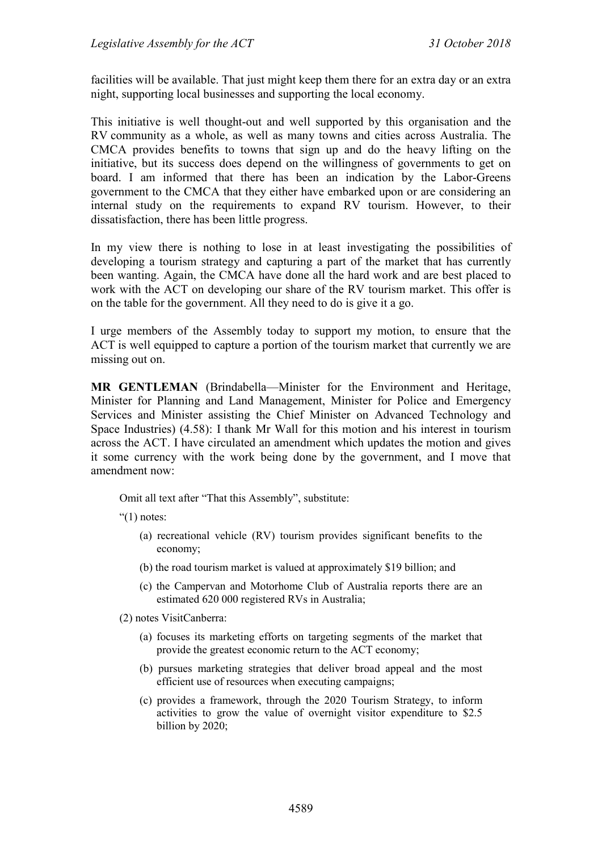facilities will be available. That just might keep them there for an extra day or an extra night, supporting local businesses and supporting the local economy.

This initiative is well thought-out and well supported by this organisation and the RV community as a whole, as well as many towns and cities across Australia. The CMCA provides benefits to towns that sign up and do the heavy lifting on the initiative, but its success does depend on the willingness of governments to get on board. I am informed that there has been an indication by the Labor-Greens government to the CMCA that they either have embarked upon or are considering an internal study on the requirements to expand RV tourism. However, to their dissatisfaction, there has been little progress.

In my view there is nothing to lose in at least investigating the possibilities of developing a tourism strategy and capturing a part of the market that has currently been wanting. Again, the CMCA have done all the hard work and are best placed to work with the ACT on developing our share of the RV tourism market. This offer is on the table for the government. All they need to do is give it a go.

I urge members of the Assembly today to support my motion, to ensure that the ACT is well equipped to capture a portion of the tourism market that currently we are missing out on.

**MR GENTLEMAN** (Brindabella—Minister for the Environment and Heritage, Minister for Planning and Land Management, Minister for Police and Emergency Services and Minister assisting the Chief Minister on Advanced Technology and Space Industries) (4.58): I thank Mr Wall for this motion and his interest in tourism across the ACT. I have circulated an amendment which updates the motion and gives it some currency with the work being done by the government, and I move that amendment now:

Omit all text after "That this Assembly", substitute:

" $(1)$  notes:

- (a) recreational vehicle (RV) tourism provides significant benefits to the economy;
- (b) the road tourism market is valued at approximately \$19 billion; and
- (c) the Campervan and Motorhome Club of Australia reports there are an estimated 620 000 registered RVs in Australia;

(2) notes VisitCanberra:

- (a) focuses its marketing efforts on targeting segments of the market that provide the greatest economic return to the ACT economy;
- (b) pursues marketing strategies that deliver broad appeal and the most efficient use of resources when executing campaigns;
- (c) provides a framework, through the 2020 Tourism Strategy, to inform activities to grow the value of overnight visitor expenditure to \$2.5 billion by 2020;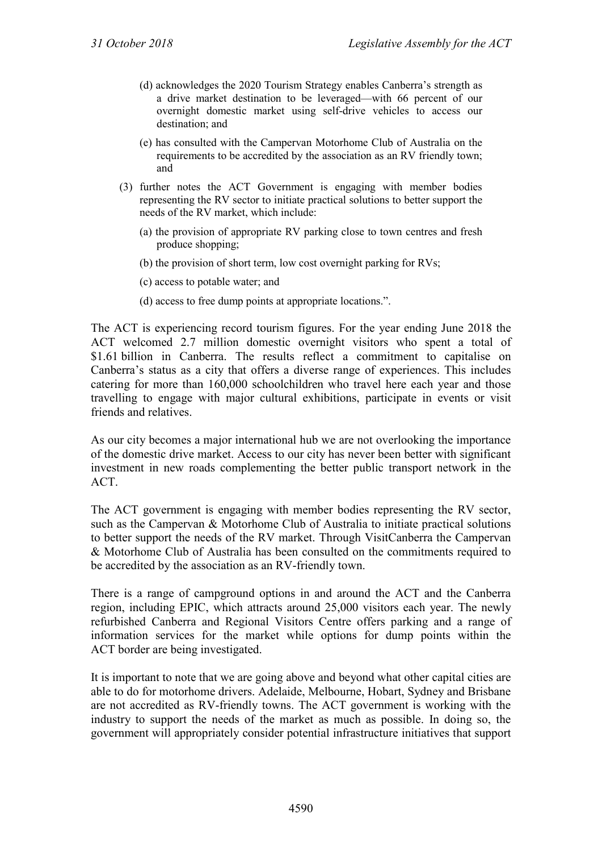- (d) acknowledges the 2020 Tourism Strategy enables Canberra's strength as a drive market destination to be leveraged—with 66 percent of our overnight domestic market using self-drive vehicles to access our destination; and
- (e) has consulted with the Campervan Motorhome Club of Australia on the requirements to be accredited by the association as an RV friendly town; and
- (3) further notes the ACT Government is engaging with member bodies representing the RV sector to initiate practical solutions to better support the needs of the RV market, which include:
	- (a) the provision of appropriate RV parking close to town centres and fresh produce shopping;
	- (b) the provision of short term, low cost overnight parking for RVs;
	- (c) access to potable water; and
	- (d) access to free dump points at appropriate locations.".

The ACT is experiencing record tourism figures. For the year ending June 2018 the ACT welcomed 2.7 million domestic overnight visitors who spent a total of \$1.61 billion in Canberra. The results reflect a commitment to capitalise on Canberra's status as a city that offers a diverse range of experiences. This includes catering for more than 160,000 schoolchildren who travel here each year and those travelling to engage with major cultural exhibitions, participate in events or visit friends and relatives.

As our city becomes a major international hub we are not overlooking the importance of the domestic drive market. Access to our city has never been better with significant investment in new roads complementing the better public transport network in the ACT.

The ACT government is engaging with member bodies representing the RV sector, such as the Campervan & Motorhome Club of Australia to initiate practical solutions to better support the needs of the RV market. Through VisitCanberra the Campervan & Motorhome Club of Australia has been consulted on the commitments required to be accredited by the association as an RV-friendly town.

There is a range of campground options in and around the ACT and the Canberra region, including EPIC, which attracts around 25,000 visitors each year. The newly refurbished Canberra and Regional Visitors Centre offers parking and a range of information services for the market while options for dump points within the ACT border are being investigated.

It is important to note that we are going above and beyond what other capital cities are able to do for motorhome drivers. Adelaide, Melbourne, Hobart, Sydney and Brisbane are not accredited as RV-friendly towns. The ACT government is working with the industry to support the needs of the market as much as possible. In doing so, the government will appropriately consider potential infrastructure initiatives that support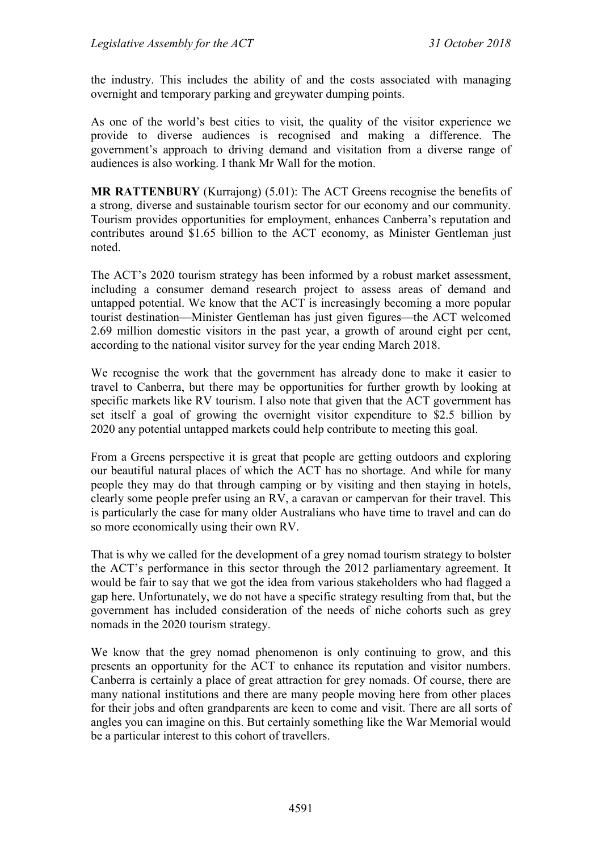the industry. This includes the ability of and the costs associated with managing overnight and temporary parking and greywater dumping points.

As one of the world's best cities to visit, the quality of the visitor experience we provide to diverse audiences is recognised and making a difference. The government's approach to driving demand and visitation from a diverse range of audiences is also working. I thank Mr Wall for the motion.

**MR RATTENBURY** (Kurrajong) (5.01): The ACT Greens recognise the benefits of a strong, diverse and sustainable tourism sector for our economy and our community. Tourism provides opportunities for employment, enhances Canberra's reputation and contributes around \$1.65 billion to the ACT economy, as Minister Gentleman just noted.

The ACT's 2020 tourism strategy has been informed by a robust market assessment, including a consumer demand research project to assess areas of demand and untapped potential. We know that the ACT is increasingly becoming a more popular tourist destination—Minister Gentleman has just given figures—the ACT welcomed 2.69 million domestic visitors in the past year, a growth of around eight per cent, according to the national visitor survey for the year ending March 2018.

We recognise the work that the government has already done to make it easier to travel to Canberra, but there may be opportunities for further growth by looking at specific markets like RV tourism. I also note that given that the ACT government has set itself a goal of growing the overnight visitor expenditure to \$2.5 billion by 2020 any potential untapped markets could help contribute to meeting this goal.

From a Greens perspective it is great that people are getting outdoors and exploring our beautiful natural places of which the ACT has no shortage. And while for many people they may do that through camping or by visiting and then staying in hotels, clearly some people prefer using an RV, a caravan or campervan for their travel. This is particularly the case for many older Australians who have time to travel and can do so more economically using their own RV.

That is why we called for the development of a grey nomad tourism strategy to bolster the ACT's performance in this sector through the 2012 parliamentary agreement. It would be fair to say that we got the idea from various stakeholders who had flagged a gap here. Unfortunately, we do not have a specific strategy resulting from that, but the government has included consideration of the needs of niche cohorts such as grey nomads in the 2020 tourism strategy.

We know that the grey nomad phenomenon is only continuing to grow, and this presents an opportunity for the ACT to enhance its reputation and visitor numbers. Canberra is certainly a place of great attraction for grey nomads. Of course, there are many national institutions and there are many people moving here from other places for their jobs and often grandparents are keen to come and visit. There are all sorts of angles you can imagine on this. But certainly something like the War Memorial would be a particular interest to this cohort of travellers.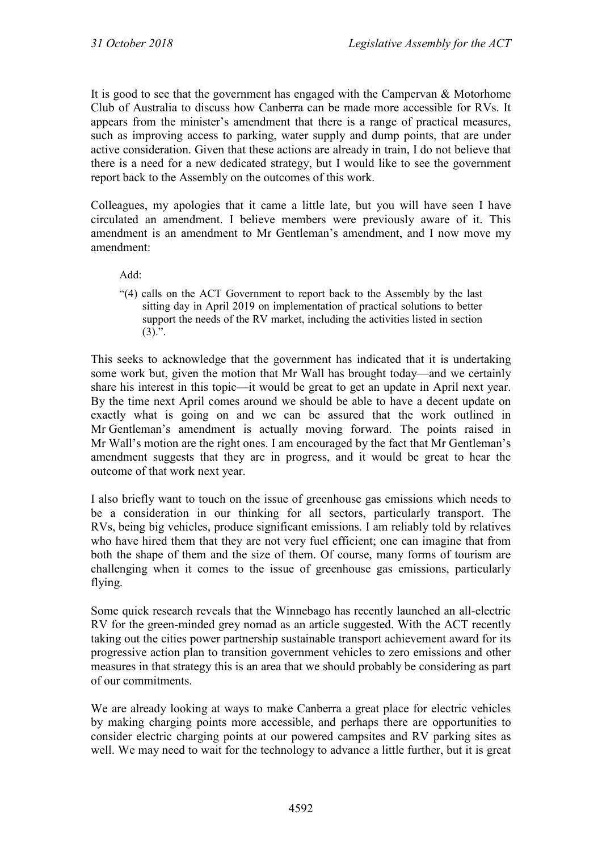It is good to see that the government has engaged with the Campervan & Motorhome Club of Australia to discuss how Canberra can be made more accessible for RVs. It appears from the minister's amendment that there is a range of practical measures, such as improving access to parking, water supply and dump points, that are under active consideration. Given that these actions are already in train, I do not believe that there is a need for a new dedicated strategy, but I would like to see the government report back to the Assembly on the outcomes of this work.

Colleagues, my apologies that it came a little late, but you will have seen I have circulated an amendment. I believe members were previously aware of it. This amendment is an amendment to Mr Gentleman's amendment, and I now move my amendment:

Add:

"(4) calls on the ACT Government to report back to the Assembly by the last sitting day in April 2019 on implementation of practical solutions to better support the needs of the RV market, including the activities listed in section  $(3).$ ".

This seeks to acknowledge that the government has indicated that it is undertaking some work but, given the motion that Mr Wall has brought today—and we certainly share his interest in this topic—it would be great to get an update in April next year. By the time next April comes around we should be able to have a decent update on exactly what is going on and we can be assured that the work outlined in Mr Gentleman's amendment is actually moving forward. The points raised in Mr Wall's motion are the right ones. I am encouraged by the fact that Mr Gentleman's amendment suggests that they are in progress, and it would be great to hear the outcome of that work next year.

I also briefly want to touch on the issue of greenhouse gas emissions which needs to be a consideration in our thinking for all sectors, particularly transport. The RVs, being big vehicles, produce significant emissions. I am reliably told by relatives who have hired them that they are not very fuel efficient; one can imagine that from both the shape of them and the size of them. Of course, many forms of tourism are challenging when it comes to the issue of greenhouse gas emissions, particularly flying.

Some quick research reveals that the Winnebago has recently launched an all-electric RV for the green-minded grey nomad as an article suggested. With the ACT recently taking out the cities power partnership sustainable transport achievement award for its progressive action plan to transition government vehicles to zero emissions and other measures in that strategy this is an area that we should probably be considering as part of our commitments.

We are already looking at ways to make Canberra a great place for electric vehicles by making charging points more accessible, and perhaps there are opportunities to consider electric charging points at our powered campsites and RV parking sites as well. We may need to wait for the technology to advance a little further, but it is great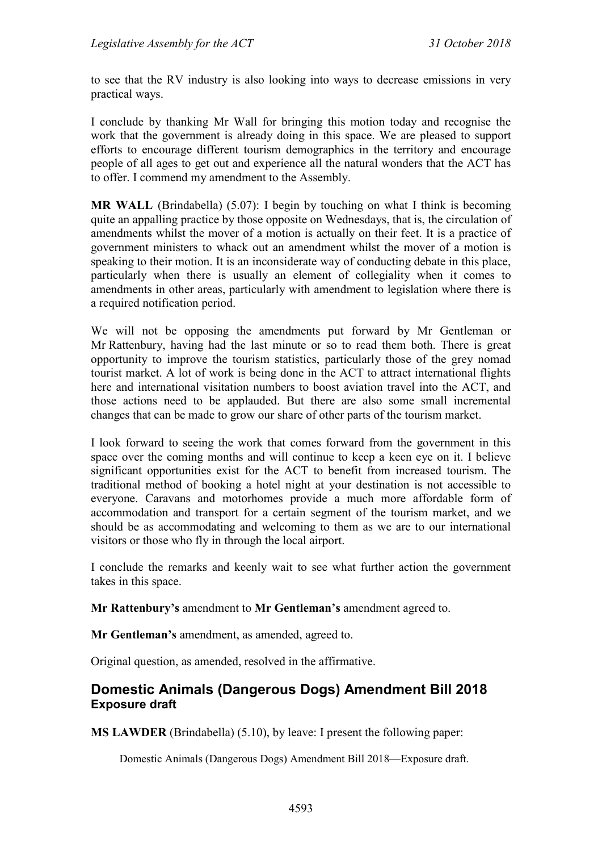to see that the RV industry is also looking into ways to decrease emissions in very practical ways.

I conclude by thanking Mr Wall for bringing this motion today and recognise the work that the government is already doing in this space. We are pleased to support efforts to encourage different tourism demographics in the territory and encourage people of all ages to get out and experience all the natural wonders that the ACT has to offer. I commend my amendment to the Assembly.

**MR WALL** (Brindabella) (5.07): I begin by touching on what I think is becoming quite an appalling practice by those opposite on Wednesdays, that is, the circulation of amendments whilst the mover of a motion is actually on their feet. It is a practice of government ministers to whack out an amendment whilst the mover of a motion is speaking to their motion. It is an inconsiderate way of conducting debate in this place, particularly when there is usually an element of collegiality when it comes to amendments in other areas, particularly with amendment to legislation where there is a required notification period.

We will not be opposing the amendments put forward by Mr Gentleman or Mr Rattenbury, having had the last minute or so to read them both. There is great opportunity to improve the tourism statistics, particularly those of the grey nomad tourist market. A lot of work is being done in the ACT to attract international flights here and international visitation numbers to boost aviation travel into the ACT, and those actions need to be applauded. But there are also some small incremental changes that can be made to grow our share of other parts of the tourism market.

I look forward to seeing the work that comes forward from the government in this space over the coming months and will continue to keep a keen eye on it. I believe significant opportunities exist for the ACT to benefit from increased tourism. The traditional method of booking a hotel night at your destination is not accessible to everyone. Caravans and motorhomes provide a much more affordable form of accommodation and transport for a certain segment of the tourism market, and we should be as accommodating and welcoming to them as we are to our international visitors or those who fly in through the local airport.

I conclude the remarks and keenly wait to see what further action the government takes in this space.

**Mr Rattenbury's** amendment to **Mr Gentleman's** amendment agreed to.

**Mr Gentleman's** amendment, as amended, agreed to.

Original question, as amended, resolved in the affirmative.

## **Domestic Animals (Dangerous Dogs) Amendment Bill 2018 Exposure draft**

**MS LAWDER** (Brindabella) (5.10), by leave: I present the following paper:

Domestic Animals (Dangerous Dogs) Amendment Bill 2018—Exposure draft.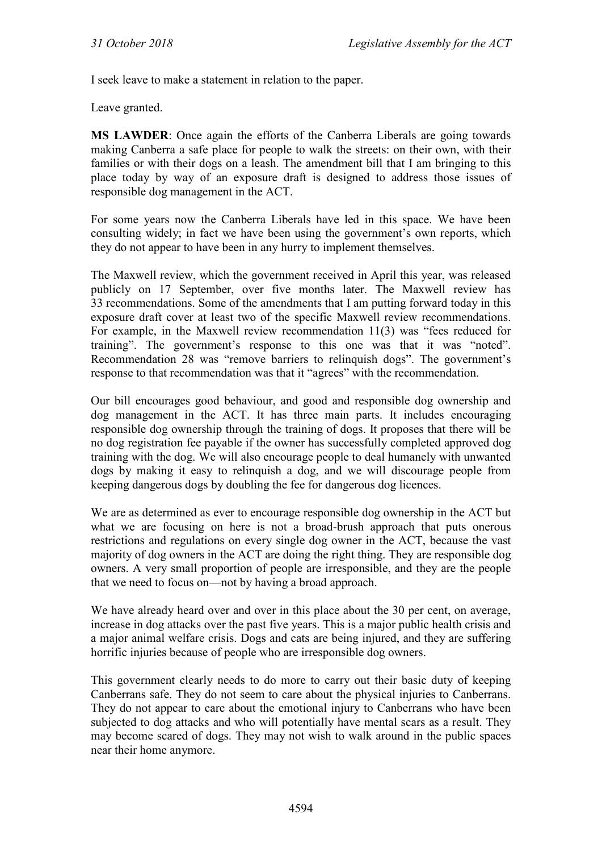I seek leave to make a statement in relation to the paper.

Leave granted.

**MS LAWDER**: Once again the efforts of the Canberra Liberals are going towards making Canberra a safe place for people to walk the streets: on their own, with their families or with their dogs on a leash. The amendment bill that I am bringing to this place today by way of an exposure draft is designed to address those issues of responsible dog management in the ACT.

For some years now the Canberra Liberals have led in this space. We have been consulting widely; in fact we have been using the government's own reports, which they do not appear to have been in any hurry to implement themselves.

The Maxwell review, which the government received in April this year, was released publicly on 17 September, over five months later. The Maxwell review has 33 recommendations. Some of the amendments that I am putting forward today in this exposure draft cover at least two of the specific Maxwell review recommendations. For example, in the Maxwell review recommendation 11(3) was "fees reduced for training". The government's response to this one was that it was "noted". Recommendation 28 was "remove barriers to relinquish dogs". The government's response to that recommendation was that it "agrees" with the recommendation.

Our bill encourages good behaviour, and good and responsible dog ownership and dog management in the ACT. It has three main parts. It includes encouraging responsible dog ownership through the training of dogs. It proposes that there will be no dog registration fee payable if the owner has successfully completed approved dog training with the dog. We will also encourage people to deal humanely with unwanted dogs by making it easy to relinquish a dog, and we will discourage people from keeping dangerous dogs by doubling the fee for dangerous dog licences.

We are as determined as ever to encourage responsible dog ownership in the ACT but what we are focusing on here is not a broad-brush approach that puts onerous restrictions and regulations on every single dog owner in the ACT, because the vast majority of dog owners in the ACT are doing the right thing. They are responsible dog owners. A very small proportion of people are irresponsible, and they are the people that we need to focus on—not by having a broad approach.

We have already heard over and over in this place about the 30 per cent, on average, increase in dog attacks over the past five years. This is a major public health crisis and a major animal welfare crisis. Dogs and cats are being injured, and they are suffering horrific injuries because of people who are irresponsible dog owners.

This government clearly needs to do more to carry out their basic duty of keeping Canberrans safe. They do not seem to care about the physical injuries to Canberrans. They do not appear to care about the emotional injury to Canberrans who have been subjected to dog attacks and who will potentially have mental scars as a result. They may become scared of dogs. They may not wish to walk around in the public spaces near their home anymore.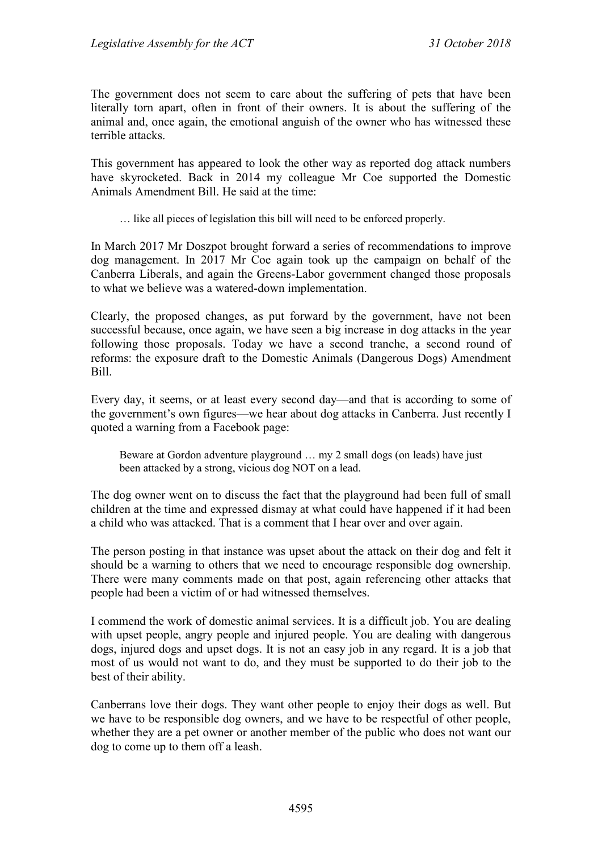The government does not seem to care about the suffering of pets that have been literally torn apart, often in front of their owners. It is about the suffering of the animal and, once again, the emotional anguish of the owner who has witnessed these terrible attacks.

This government has appeared to look the other way as reported dog attack numbers have skyrocketed. Back in 2014 my colleague Mr Coe supported the Domestic Animals Amendment Bill. He said at the time:

… like all pieces of legislation this bill will need to be enforced properly.

In March 2017 Mr Doszpot brought forward a series of recommendations to improve dog management. In 2017 Mr Coe again took up the campaign on behalf of the Canberra Liberals, and again the Greens-Labor government changed those proposals to what we believe was a watered-down implementation.

Clearly, the proposed changes, as put forward by the government, have not been successful because, once again, we have seen a big increase in dog attacks in the year following those proposals. Today we have a second tranche, a second round of reforms: the exposure draft to the Domestic Animals (Dangerous Dogs) Amendment Bill.

Every day, it seems, or at least every second day—and that is according to some of the government's own figures—we hear about dog attacks in Canberra. Just recently I quoted a warning from a Facebook page:

Beware at Gordon adventure playground … my 2 small dogs (on leads) have just been attacked by a strong, vicious dog NOT on a lead.

The dog owner went on to discuss the fact that the playground had been full of small children at the time and expressed dismay at what could have happened if it had been a child who was attacked. That is a comment that I hear over and over again.

The person posting in that instance was upset about the attack on their dog and felt it should be a warning to others that we need to encourage responsible dog ownership. There were many comments made on that post, again referencing other attacks that people had been a victim of or had witnessed themselves.

I commend the work of domestic animal services. It is a difficult job. You are dealing with upset people, angry people and injured people. You are dealing with dangerous dogs, injured dogs and upset dogs. It is not an easy job in any regard. It is a job that most of us would not want to do, and they must be supported to do their job to the best of their ability.

Canberrans love their dogs. They want other people to enjoy their dogs as well. But we have to be responsible dog owners, and we have to be respectful of other people, whether they are a pet owner or another member of the public who does not want our dog to come up to them off a leash.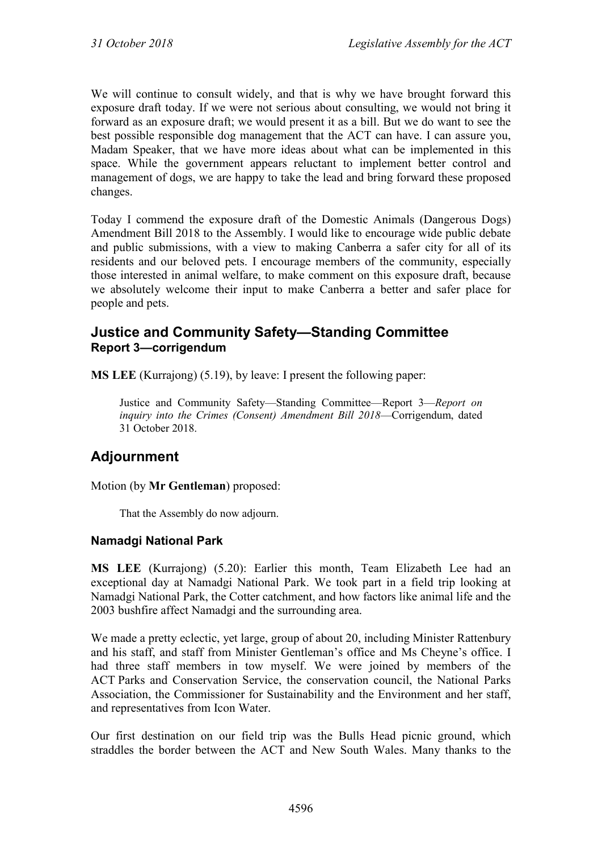We will continue to consult widely, and that is why we have brought forward this exposure draft today. If we were not serious about consulting, we would not bring it forward as an exposure draft; we would present it as a bill. But we do want to see the best possible responsible dog management that the ACT can have. I can assure you, Madam Speaker, that we have more ideas about what can be implemented in this space. While the government appears reluctant to implement better control and management of dogs, we are happy to take the lead and bring forward these proposed changes.

Today I commend the exposure draft of the Domestic Animals (Dangerous Dogs) Amendment Bill 2018 to the Assembly. I would like to encourage wide public debate and public submissions, with a view to making Canberra a safer city for all of its residents and our beloved pets. I encourage members of the community, especially those interested in animal welfare, to make comment on this exposure draft, because we absolutely welcome their input to make Canberra a better and safer place for people and pets.

## **Justice and Community Safety—Standing Committee Report 3—corrigendum**

**MS LEE** (Kurrajong) (5.19), by leave: I present the following paper:

Justice and Community Safety—Standing Committee—Report 3—*Report on inquiry into the Crimes (Consent) Amendment Bill 2018*—Corrigendum, dated 31 October 2018.

# **Adjournment**

Motion (by **Mr Gentleman**) proposed:

That the Assembly do now adjourn.

### **Namadgi National Park**

**MS LEE** (Kurrajong) (5.20): Earlier this month, Team Elizabeth Lee had an exceptional day at Namadgi National Park. We took part in a field trip looking at Namadgi National Park, the Cotter catchment, and how factors like animal life and the 2003 bushfire affect Namadgi and the surrounding area.

We made a pretty eclectic, yet large, group of about 20, including Minister Rattenbury and his staff, and staff from Minister Gentleman's office and Ms Cheyne's office. I had three staff members in tow myself. We were joined by members of the ACT Parks and Conservation Service, the conservation council, the National Parks Association, the Commissioner for Sustainability and the Environment and her staff, and representatives from Icon Water.

Our first destination on our field trip was the Bulls Head picnic ground, which straddles the border between the ACT and New South Wales. Many thanks to the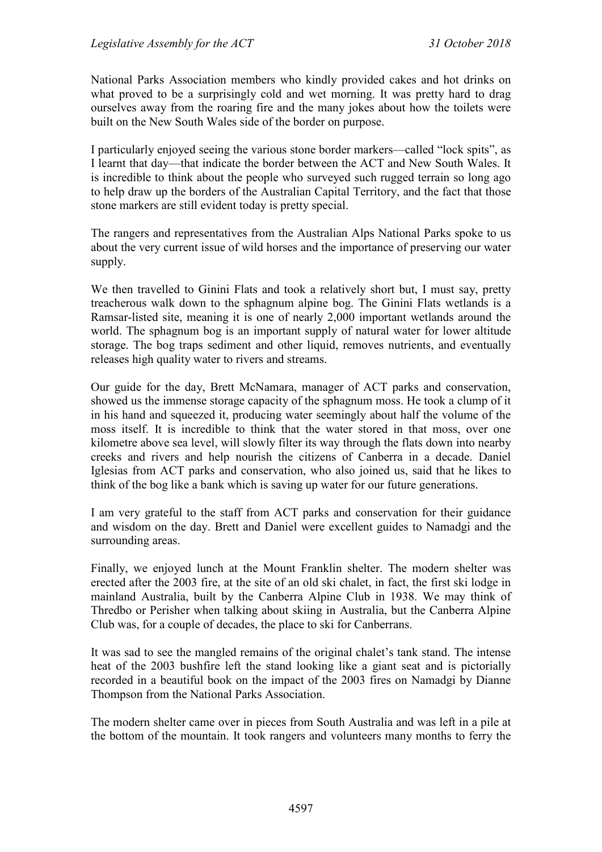National Parks Association members who kindly provided cakes and hot drinks on what proved to be a surprisingly cold and wet morning. It was pretty hard to drag ourselves away from the roaring fire and the many jokes about how the toilets were built on the New South Wales side of the border on purpose.

I particularly enjoyed seeing the various stone border markers—called "lock spits", as I learnt that day—that indicate the border between the ACT and New South Wales. It is incredible to think about the people who surveyed such rugged terrain so long ago to help draw up the borders of the Australian Capital Territory, and the fact that those stone markers are still evident today is pretty special.

The rangers and representatives from the Australian Alps National Parks spoke to us about the very current issue of wild horses and the importance of preserving our water supply.

We then travelled to Ginini Flats and took a relatively short but, I must say, pretty treacherous walk down to the sphagnum alpine bog. The Ginini Flats wetlands is a Ramsar-listed site, meaning it is one of nearly 2,000 important wetlands around the world. The sphagnum bog is an important supply of natural water for lower altitude storage. The bog traps sediment and other liquid, removes nutrients, and eventually releases high quality water to rivers and streams.

Our guide for the day, Brett McNamara, manager of ACT parks and conservation, showed us the immense storage capacity of the sphagnum moss. He took a clump of it in his hand and squeezed it, producing water seemingly about half the volume of the moss itself. It is incredible to think that the water stored in that moss, over one kilometre above sea level, will slowly filter its way through the flats down into nearby creeks and rivers and help nourish the citizens of Canberra in a decade. Daniel Iglesias from ACT parks and conservation, who also joined us, said that he likes to think of the bog like a bank which is saving up water for our future generations.

I am very grateful to the staff from ACT parks and conservation for their guidance and wisdom on the day. Brett and Daniel were excellent guides to Namadgi and the surrounding areas.

Finally, we enjoyed lunch at the Mount Franklin shelter. The modern shelter was erected after the 2003 fire, at the site of an old ski chalet, in fact, the first ski lodge in mainland Australia, built by the Canberra Alpine Club in 1938. We may think of Thredbo or Perisher when talking about skiing in Australia, but the Canberra Alpine Club was, for a couple of decades, the place to ski for Canberrans.

It was sad to see the mangled remains of the original chalet's tank stand. The intense heat of the 2003 bushfire left the stand looking like a giant seat and is pictorially recorded in a beautiful book on the impact of the 2003 fires on Namadgi by Dianne Thompson from the National Parks Association.

The modern shelter came over in pieces from South Australia and was left in a pile at the bottom of the mountain. It took rangers and volunteers many months to ferry the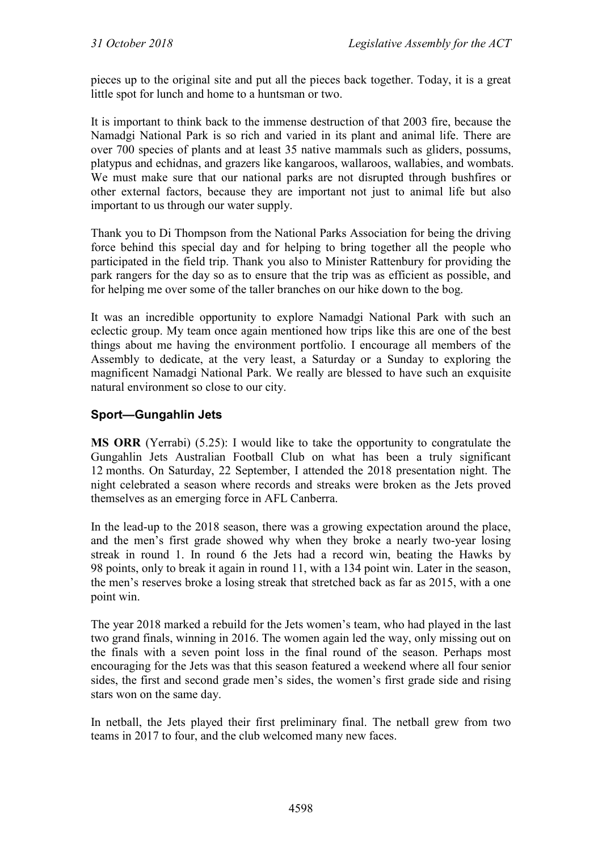pieces up to the original site and put all the pieces back together. Today, it is a great little spot for lunch and home to a huntsman or two.

It is important to think back to the immense destruction of that 2003 fire, because the Namadgi National Park is so rich and varied in its plant and animal life. There are over 700 species of plants and at least 35 native mammals such as gliders, possums, platypus and echidnas, and grazers like kangaroos, wallaroos, wallabies, and wombats. We must make sure that our national parks are not disrupted through bushfires or other external factors, because they are important not just to animal life but also important to us through our water supply.

Thank you to Di Thompson from the National Parks Association for being the driving force behind this special day and for helping to bring together all the people who participated in the field trip. Thank you also to Minister Rattenbury for providing the park rangers for the day so as to ensure that the trip was as efficient as possible, and for helping me over some of the taller branches on our hike down to the bog.

It was an incredible opportunity to explore Namadgi National Park with such an eclectic group. My team once again mentioned how trips like this are one of the best things about me having the environment portfolio. I encourage all members of the Assembly to dedicate, at the very least, a Saturday or a Sunday to exploring the magnificent Namadgi National Park. We really are blessed to have such an exquisite natural environment so close to our city.

## **Sport—Gungahlin Jets**

**MS ORR** (Yerrabi) (5.25): I would like to take the opportunity to congratulate the Gungahlin Jets Australian Football Club on what has been a truly significant 12 months. On Saturday, 22 September, I attended the 2018 presentation night. The night celebrated a season where records and streaks were broken as the Jets proved themselves as an emerging force in AFL Canberra.

In the lead-up to the 2018 season, there was a growing expectation around the place, and the men's first grade showed why when they broke a nearly two-year losing streak in round 1. In round 6 the Jets had a record win, beating the Hawks by 98 points, only to break it again in round 11, with a 134 point win. Later in the season, the men's reserves broke a losing streak that stretched back as far as 2015, with a one point win.

The year 2018 marked a rebuild for the Jets women's team, who had played in the last two grand finals, winning in 2016. The women again led the way, only missing out on the finals with a seven point loss in the final round of the season. Perhaps most encouraging for the Jets was that this season featured a weekend where all four senior sides, the first and second grade men's sides, the women's first grade side and rising stars won on the same day.

In netball, the Jets played their first preliminary final. The netball grew from two teams in 2017 to four, and the club welcomed many new faces.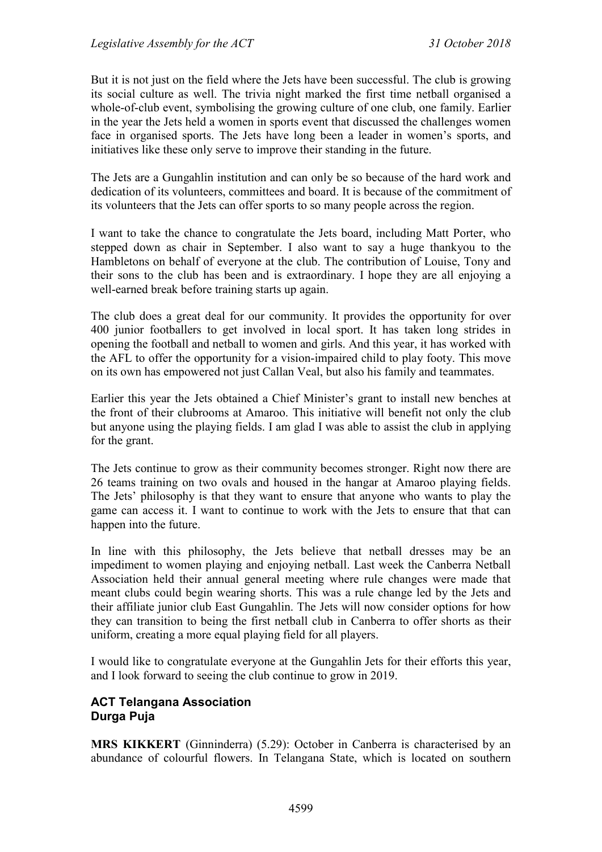But it is not just on the field where the Jets have been successful. The club is growing its social culture as well. The trivia night marked the first time netball organised a whole-of-club event, symbolising the growing culture of one club, one family. Earlier in the year the Jets held a women in sports event that discussed the challenges women face in organised sports. The Jets have long been a leader in women's sports, and initiatives like these only serve to improve their standing in the future.

The Jets are a Gungahlin institution and can only be so because of the hard work and dedication of its volunteers, committees and board. It is because of the commitment of its volunteers that the Jets can offer sports to so many people across the region.

I want to take the chance to congratulate the Jets board, including Matt Porter, who stepped down as chair in September. I also want to say a huge thankyou to the Hambletons on behalf of everyone at the club. The contribution of Louise, Tony and their sons to the club has been and is extraordinary. I hope they are all enjoying a well-earned break before training starts up again.

The club does a great deal for our community. It provides the opportunity for over 400 junior footballers to get involved in local sport. It has taken long strides in opening the football and netball to women and girls. And this year, it has worked with the AFL to offer the opportunity for a vision-impaired child to play footy. This move on its own has empowered not just Callan Veal, but also his family and teammates.

Earlier this year the Jets obtained a Chief Minister's grant to install new benches at the front of their clubrooms at Amaroo. This initiative will benefit not only the club but anyone using the playing fields. I am glad I was able to assist the club in applying for the grant.

The Jets continue to grow as their community becomes stronger. Right now there are 26 teams training on two ovals and housed in the hangar at Amaroo playing fields. The Jets' philosophy is that they want to ensure that anyone who wants to play the game can access it. I want to continue to work with the Jets to ensure that that can happen into the future.

In line with this philosophy, the Jets believe that netball dresses may be an impediment to women playing and enjoying netball. Last week the Canberra Netball Association held their annual general meeting where rule changes were made that meant clubs could begin wearing shorts. This was a rule change led by the Jets and their affiliate junior club East Gungahlin. The Jets will now consider options for how they can transition to being the first netball club in Canberra to offer shorts as their uniform, creating a more equal playing field for all players.

I would like to congratulate everyone at the Gungahlin Jets for their efforts this year, and I look forward to seeing the club continue to grow in 2019.

### **ACT Telangana Association Durga Puja**

**MRS KIKKERT** (Ginninderra) (5.29): October in Canberra is characterised by an abundance of colourful flowers. In Telangana State, which is located on southern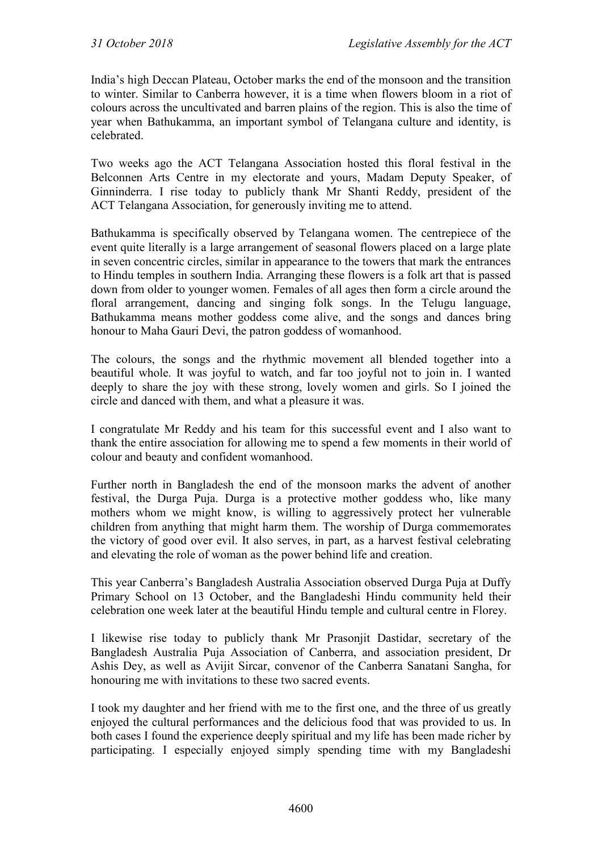India's high Deccan Plateau, October marks the end of the monsoon and the transition to winter. Similar to Canberra however, it is a time when flowers bloom in a riot of colours across the uncultivated and barren plains of the region. This is also the time of year when Bathukamma, an important symbol of Telangana culture and identity, is celebrated.

Two weeks ago the ACT Telangana Association hosted this floral festival in the Belconnen Arts Centre in my electorate and yours, Madam Deputy Speaker, of Ginninderra. I rise today to publicly thank Mr Shanti Reddy, president of the ACT Telangana Association, for generously inviting me to attend.

Bathukamma is specifically observed by Telangana women. The centrepiece of the event quite literally is a large arrangement of seasonal flowers placed on a large plate in seven concentric circles, similar in appearance to the towers that mark the entrances to Hindu temples in southern India. Arranging these flowers is a folk art that is passed down from older to younger women. Females of all ages then form a circle around the floral arrangement, dancing and singing folk songs. In the Telugu language, Bathukamma means mother goddess come alive, and the songs and dances bring honour to Maha Gauri Devi, the patron goddess of womanhood.

The colours, the songs and the rhythmic movement all blended together into a beautiful whole. It was joyful to watch, and far too joyful not to join in. I wanted deeply to share the joy with these strong, lovely women and girls. So I joined the circle and danced with them, and what a pleasure it was.

I congratulate Mr Reddy and his team for this successful event and I also want to thank the entire association for allowing me to spend a few moments in their world of colour and beauty and confident womanhood.

Further north in Bangladesh the end of the monsoon marks the advent of another festival, the Durga Puja. Durga is a protective mother goddess who, like many mothers whom we might know, is willing to aggressively protect her vulnerable children from anything that might harm them. The worship of Durga commemorates the victory of good over evil. It also serves, in part, as a harvest festival celebrating and elevating the role of woman as the power behind life and creation.

This year Canberra's Bangladesh Australia Association observed Durga Puja at Duffy Primary School on 13 October, and the Bangladeshi Hindu community held their celebration one week later at the beautiful Hindu temple and cultural centre in Florey.

I likewise rise today to publicly thank Mr Prasonjit Dastidar, secretary of the Bangladesh Australia Puja Association of Canberra, and association president, Dr Ashis Dey, as well as Avijit Sircar, convenor of the Canberra Sanatani Sangha, for honouring me with invitations to these two sacred events.

I took my daughter and her friend with me to the first one, and the three of us greatly enjoyed the cultural performances and the delicious food that was provided to us. In both cases I found the experience deeply spiritual and my life has been made richer by participating. I especially enjoyed simply spending time with my Bangladeshi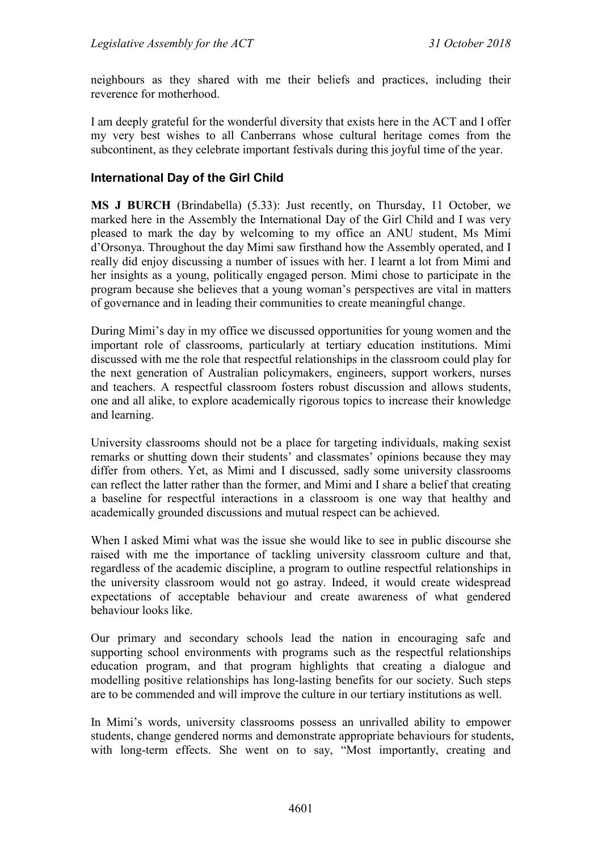neighbours as they shared with me their beliefs and practices, including their reverence for motherhood.

I am deeply grateful for the wonderful diversity that exists here in the ACT and I offer my very best wishes to all Canberrans whose cultural heritage comes from the subcontinent, as they celebrate important festivals during this joyful time of the year.

#### **International Day of the Girl Child**

**MS J BURCH** (Brindabella) (5.33): Just recently, on Thursday, 11 October, we marked here in the Assembly the International Day of the Girl Child and I was very pleased to mark the day by welcoming to my office an ANU student, Ms Mimi d'Orsonya. Throughout the day Mimi saw firsthand how the Assembly operated, and I really did enjoy discussing a number of issues with her. I learnt a lot from Mimi and her insights as a young, politically engaged person. Mimi chose to participate in the program because she believes that a young woman's perspectives are vital in matters of governance and in leading their communities to create meaningful change.

During Mimi's day in my office we discussed opportunities for young women and the important role of classrooms, particularly at tertiary education institutions. Mimi discussed with me the role that respectful relationships in the classroom could play for the next generation of Australian policymakers, engineers, support workers, nurses and teachers. A respectful classroom fosters robust discussion and allows students, one and all alike, to explore academically rigorous topics to increase their knowledge and learning.

University classrooms should not be a place for targeting individuals, making sexist remarks or shutting down their students' and classmates' opinions because they may differ from others. Yet, as Mimi and I discussed, sadly some university classrooms can reflect the latter rather than the former, and Mimi and I share a belief that creating a baseline for respectful interactions in a classroom is one way that healthy and academically grounded discussions and mutual respect can be achieved.

When I asked Mimi what was the issue she would like to see in public discourse she raised with me the importance of tackling university classroom culture and that, regardless of the academic discipline, a program to outline respectful relationships in the university classroom would not go astray. Indeed, it would create widespread expectations of acceptable behaviour and create awareness of what gendered behaviour looks like.

Our primary and secondary schools lead the nation in encouraging safe and supporting school environments with programs such as the respectful relationships education program, and that program highlights that creating a dialogue and modelling positive relationships has long-lasting benefits for our society. Such steps are to be commended and will improve the culture in our tertiary institutions as well.

In Mimi's words, university classrooms possess an unrivalled ability to empower students, change gendered norms and demonstrate appropriate behaviours for students, with long-term effects. She went on to say, "Most importantly, creating and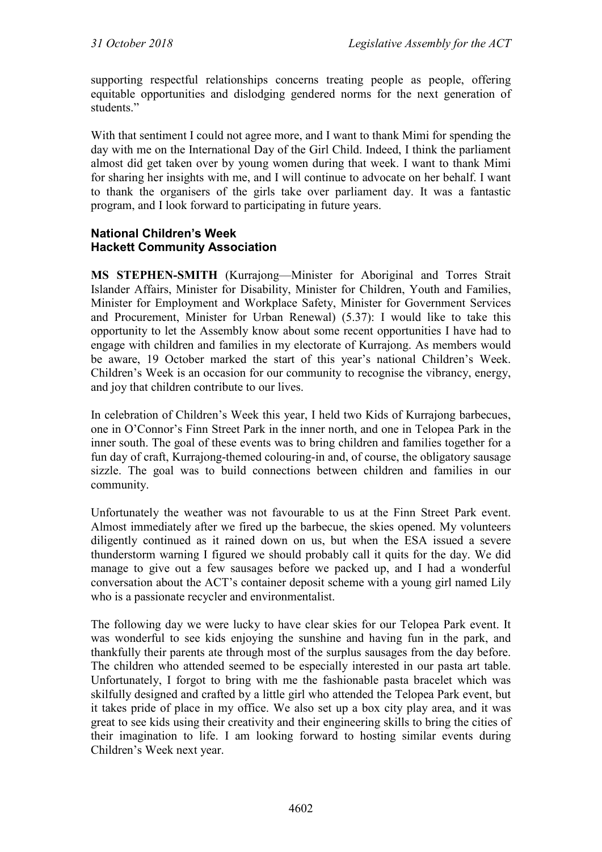supporting respectful relationships concerns treating people as people, offering equitable opportunities and dislodging gendered norms for the next generation of students<sup>"</sup>

With that sentiment I could not agree more, and I want to thank Mimi for spending the day with me on the International Day of the Girl Child. Indeed, I think the parliament almost did get taken over by young women during that week. I want to thank Mimi for sharing her insights with me, and I will continue to advocate on her behalf. I want to thank the organisers of the girls take over parliament day. It was a fantastic program, and I look forward to participating in future years.

#### **National Children's Week Hackett Community Association**

**MS STEPHEN-SMITH** (Kurrajong—Minister for Aboriginal and Torres Strait Islander Affairs, Minister for Disability, Minister for Children, Youth and Families, Minister for Employment and Workplace Safety, Minister for Government Services and Procurement, Minister for Urban Renewal) (5.37): I would like to take this opportunity to let the Assembly know about some recent opportunities I have had to engage with children and families in my electorate of Kurrajong. As members would be aware, 19 October marked the start of this year's national Children's Week. Children's Week is an occasion for our community to recognise the vibrancy, energy, and joy that children contribute to our lives.

In celebration of Children's Week this year, I held two Kids of Kurrajong barbecues, one in O'Connor's Finn Street Park in the inner north, and one in Telopea Park in the inner south. The goal of these events was to bring children and families together for a fun day of craft, Kurrajong-themed colouring-in and, of course, the obligatory sausage sizzle. The goal was to build connections between children and families in our community.

Unfortunately the weather was not favourable to us at the Finn Street Park event. Almost immediately after we fired up the barbecue, the skies opened. My volunteers diligently continued as it rained down on us, but when the ESA issued a severe thunderstorm warning I figured we should probably call it quits for the day. We did manage to give out a few sausages before we packed up, and I had a wonderful conversation about the ACT's container deposit scheme with a young girl named Lily who is a passionate recycler and environmentalist.

The following day we were lucky to have clear skies for our Telopea Park event. It was wonderful to see kids enjoying the sunshine and having fun in the park, and thankfully their parents ate through most of the surplus sausages from the day before. The children who attended seemed to be especially interested in our pasta art table. Unfortunately, I forgot to bring with me the fashionable pasta bracelet which was skilfully designed and crafted by a little girl who attended the Telopea Park event, but it takes pride of place in my office. We also set up a box city play area, and it was great to see kids using their creativity and their engineering skills to bring the cities of their imagination to life. I am looking forward to hosting similar events during Children's Week next year.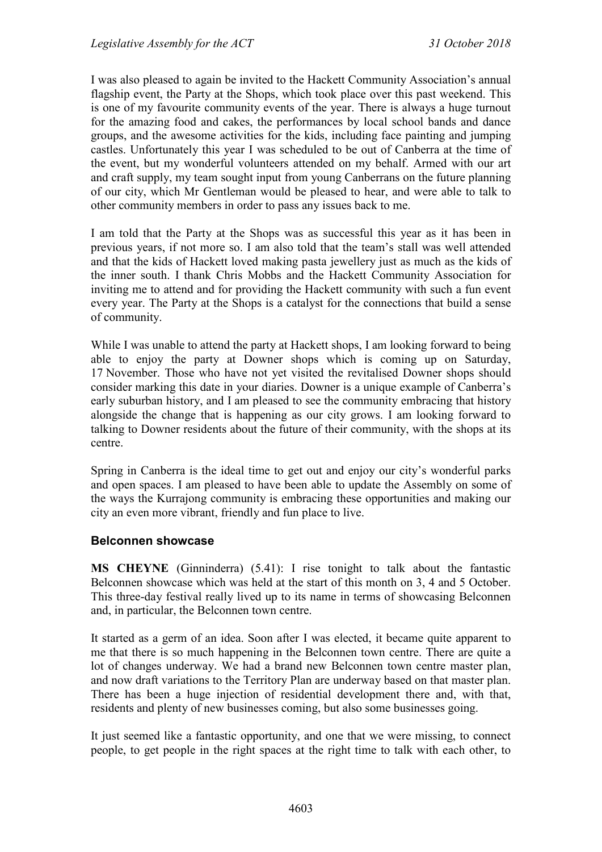I was also pleased to again be invited to the Hackett Community Association's annual flagship event, the Party at the Shops, which took place over this past weekend. This is one of my favourite community events of the year. There is always a huge turnout for the amazing food and cakes, the performances by local school bands and dance groups, and the awesome activities for the kids, including face painting and jumping castles. Unfortunately this year I was scheduled to be out of Canberra at the time of the event, but my wonderful volunteers attended on my behalf. Armed with our art and craft supply, my team sought input from young Canberrans on the future planning of our city, which Mr Gentleman would be pleased to hear, and were able to talk to other community members in order to pass any issues back to me.

I am told that the Party at the Shops was as successful this year as it has been in previous years, if not more so. I am also told that the team's stall was well attended and that the kids of Hackett loved making pasta jewellery just as much as the kids of the inner south. I thank Chris Mobbs and the Hackett Community Association for inviting me to attend and for providing the Hackett community with such a fun event every year. The Party at the Shops is a catalyst for the connections that build a sense of community.

While I was unable to attend the party at Hackett shops, I am looking forward to being able to enjoy the party at Downer shops which is coming up on Saturday, 17 November. Those who have not yet visited the revitalised Downer shops should consider marking this date in your diaries. Downer is a unique example of Canberra's early suburban history, and I am pleased to see the community embracing that history alongside the change that is happening as our city grows. I am looking forward to talking to Downer residents about the future of their community, with the shops at its centre.

Spring in Canberra is the ideal time to get out and enjoy our city's wonderful parks and open spaces. I am pleased to have been able to update the Assembly on some of the ways the Kurrajong community is embracing these opportunities and making our city an even more vibrant, friendly and fun place to live.

## **Belconnen showcase**

**MS CHEYNE** (Ginninderra) (5.41): I rise tonight to talk about the fantastic Belconnen showcase which was held at the start of this month on 3, 4 and 5 October. This three-day festival really lived up to its name in terms of showcasing Belconnen and, in particular, the Belconnen town centre.

It started as a germ of an idea. Soon after I was elected, it became quite apparent to me that there is so much happening in the Belconnen town centre. There are quite a lot of changes underway. We had a brand new Belconnen town centre master plan, and now draft variations to the Territory Plan are underway based on that master plan. There has been a huge injection of residential development there and, with that, residents and plenty of new businesses coming, but also some businesses going.

It just seemed like a fantastic opportunity, and one that we were missing, to connect people, to get people in the right spaces at the right time to talk with each other, to